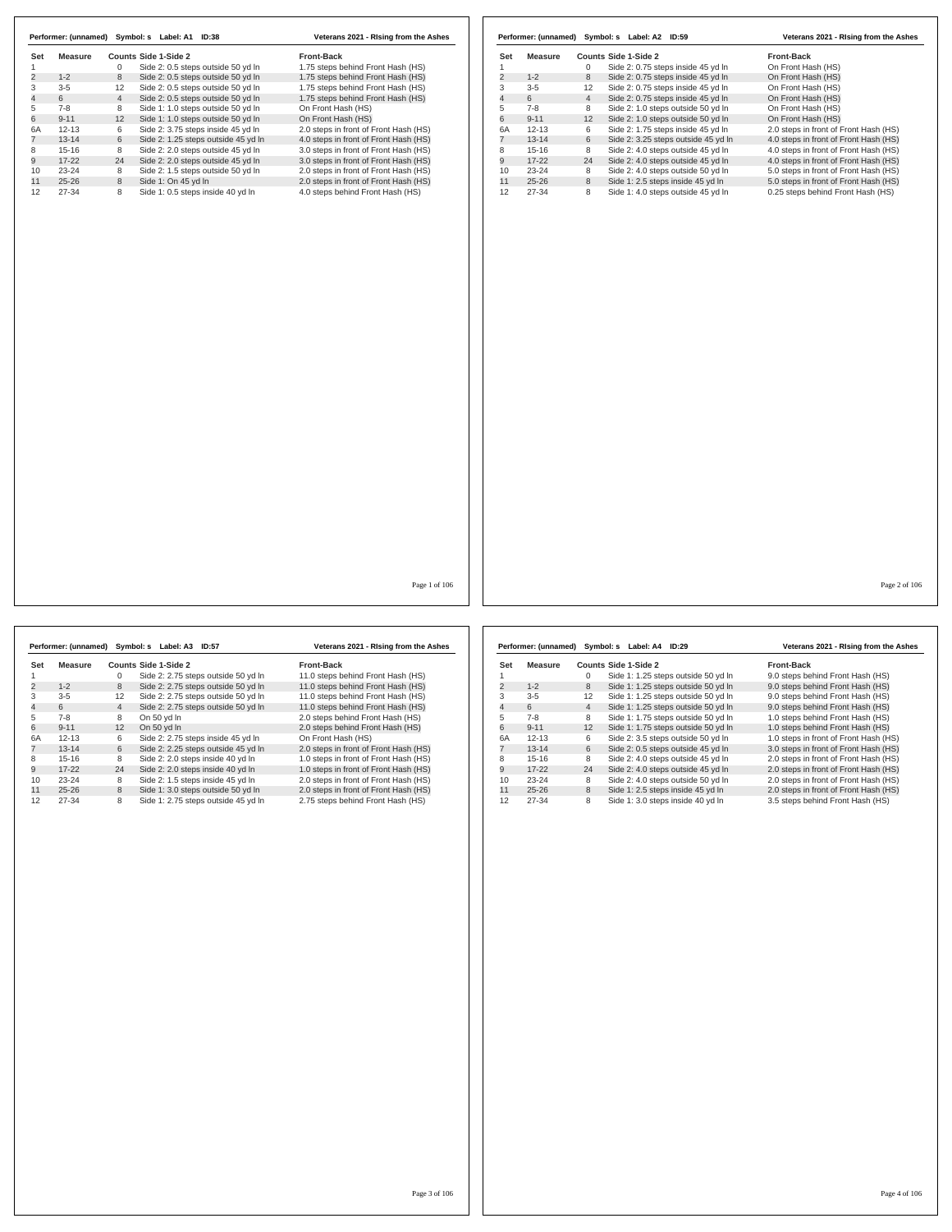|                |                |                | Performer: (unnamed) Symbol: s Label: A1 ID:38 | Veterans 2021 - Rising from the Ashes |                           |                |                | Performer: (unnamed) Symbol: s Label: A2 ID:59 | Veterans 2021 - Rising from the Ashes |
|----------------|----------------|----------------|------------------------------------------------|---------------------------------------|---------------------------|----------------|----------------|------------------------------------------------|---------------------------------------|
| Set            | <b>Measure</b> |                | Counts Side 1-Side 2                           | Front-Back                            | Set                       | <b>Measure</b> |                | Counts Side 1-Side 2                           | <b>Front-Back</b>                     |
| $\overline{1}$ |                | $\mathbf 0$    | Side 2: 0.5 steps outside 50 yd In             | 1.75 steps behind Front Hash (HS)     | $\mathbf{1}$              |                | $\mathbf 0$    | Side 2: 0.75 steps inside 45 yd In             | On Front Hash (HS)                    |
| $\overline{2}$ | $1 - 2$        | 8              | Side 2: 0.5 steps outside 50 yd In             | 1.75 steps behind Front Hash (HS)     | $\overline{c}$            | $1 - 2$        | 8              | Side 2: 0.75 steps inside 45 yd In             | On Front Hash (HS)                    |
| 3              | $3 - 5$        | 12             | Side 2: 0.5 steps outside 50 yd In             | 1.75 steps behind Front Hash (HS)     | $\ensuremath{\mathsf{3}}$ | $3 - 5$        | 12             | Side 2: 0.75 steps inside 45 yd In             | On Front Hash (HS)                    |
| $\overline{4}$ | 6              | $\overline{4}$ | Side 2: 0.5 steps outside 50 yd In             | 1.75 steps behind Front Hash (HS)     | $\overline{\mathbf{4}}$   | 6              | $\overline{4}$ | Side 2: 0.75 steps inside 45 yd In             | On Front Hash (HS)                    |
| 5              | $7 - 8$        | 8              | Side 1: 1.0 steps outside 50 yd In             | On Front Hash (HS)                    | $\,$ 5 $\,$               | $7 - 8$        | 8              | Side 2: 1.0 steps outside 50 yd In             | On Front Hash (HS)                    |
| 6              | $9 - 11$       | 12             | Side 1: 1.0 steps outside 50 yd In             | On Front Hash (HS)                    | 6                         | $9 - 11$       | 12             | Side 2: 1.0 steps outside 50 yd In             | On Front Hash (HS)                    |
| 6A             | $12 - 13$      | 6              | Side 2: 3.75 steps inside 45 yd In             | 2.0 steps in front of Front Hash (HS) | 6A                        | $12 - 13$      | 6              | Side 2: 1.75 steps inside 45 yd In             | 2.0 steps in front of Front Hash (HS) |
| $\overline{7}$ | $13 - 14$      | 6              | Side 2: 1.25 steps outside 45 yd In            | 4.0 steps in front of Front Hash (HS) | $\overline{7}$            | $13 - 14$      | 6              | Side 2: 3.25 steps outside 45 yd In            | 4.0 steps in front of Front Hash (HS) |
| 8              | $15 - 16$      | 8              | Side 2: 2.0 steps outside 45 yd In             | 3.0 steps in front of Front Hash (HS) | 8                         | $15 - 16$      | 8              | Side 2: 4.0 steps outside 45 yd In             | 4.0 steps in front of Front Hash (HS) |
| 9              | $17 - 22$      | 24             | Side 2: 2.0 steps outside 45 yd In             | 3.0 steps in front of Front Hash (HS) | 9                         | $17 - 22$      | 24             | Side 2: 4.0 steps outside 45 yd In             | 4.0 steps in front of Front Hash (HS) |
| 10             | 23-24          | 8              | Side 2: 1.5 steps outside 50 yd In             | 2.0 steps in front of Front Hash (HS) | 10                        | 23-24          | 8              | Side 2: 4.0 steps outside 50 yd In             | 5.0 steps in front of Front Hash (HS) |
| 11             | $25 - 26$      | 8              | Side 1: On 45 yd In                            | 2.0 steps in front of Front Hash (HS) | 11                        | $25 - 26$      | 8              | Side 1: 2.5 steps inside 45 yd In              | 5.0 steps in front of Front Hash (HS) |
| 12             | 27-34          | 8              | Side 1: 0.5 steps inside 40 yd In              | 4.0 steps behind Front Hash (HS)      | 12                        | 27-34          | 8              | Side 1: 4.0 steps outside 45 yd In             | 0.25 steps behind Front Hash (HS)     |
|                |                |                |                                                |                                       |                           |                |                |                                                |                                       |
|                |                |                |                                                | Page 1 of 106                         |                           |                |                |                                                | Page 2 of 106                         |
|                |                |                |                                                |                                       |                           |                |                |                                                |                                       |

 $\overline{1}$ 

|                |           |                | Performer: (unnamed) Symbol: s Label: A3<br><b>ID:57</b> | Veterans 2021 - Rising from the Ashes |
|----------------|-----------|----------------|----------------------------------------------------------|---------------------------------------|
| Set            | Measure   |                | Counts Side 1-Side 2                                     | Front-Back                            |
| 1              |           | $\Omega$       | Side 2: 2.75 steps outside 50 yd In                      | 11.0 steps behind Front Hash (HS)     |
| $\overline{2}$ | $1 - 2$   | 8              | Side 2: 2.75 steps outside 50 yd In                      | 11.0 steps behind Front Hash (HS)     |
| 3              | $3 - 5$   | 12             | Side 2: 2.75 steps outside 50 yd In                      | 11.0 steps behind Front Hash (HS)     |
| $\overline{4}$ | 6         | $\overline{4}$ | Side 2: 2.75 steps outside 50 yd In                      | 11.0 steps behind Front Hash (HS)     |
| 5              | $7-8$     | 8              | On 50 vd In                                              | 2.0 steps behind Front Hash (HS)      |
| 6              | $9 - 11$  | 12             | On 50 vd In                                              | 2.0 steps behind Front Hash (HS)      |
| 6A             | $12 - 13$ | 6              | Side 2: 2.75 steps inside 45 yd In                       | On Front Hash (HS)                    |
| $\overline{7}$ | $13 - 14$ | 6              | Side 2: 2.25 steps outside 45 yd In                      | 2.0 steps in front of Front Hash (HS) |
| 8              | $15 - 16$ | 8              | Side 2: 2.0 steps inside 40 yd In                        | 1.0 steps in front of Front Hash (HS) |
| 9              | $17-22$   | 24             | Side 2: 2.0 steps inside 40 yd In                        | 1.0 steps in front of Front Hash (HS) |
| 10             | $23 - 24$ | 8              | Side 2: 1.5 steps inside 45 yd In                        | 2.0 steps in front of Front Hash (HS) |
| 11             | $25 - 26$ | 8              | Side 1: 3.0 steps outside 50 yd In                       | 2.0 steps in front of Front Hash (HS) |
| 12             | $27 - 34$ | 8              | Side 1: 2.75 steps outside 45 yd In                      | 2.75 steps behind Front Hash (HS)     |

|     | Performer: (unnamed) | Symbol: s         | Label: A4<br>ID:29                  | Veterans 2021 - Rising from the Ashes |
|-----|----------------------|-------------------|-------------------------------------|---------------------------------------|
| Set | Measure              |                   | Counts Side 1-Side 2                | Front-Back                            |
|     |                      | $\Omega$          | Side 1: 1.25 steps outside 50 yd In | 9.0 steps behind Front Hash (HS)      |
| 2   | $1 - 2$              | 8                 | Side 1: 1.25 steps outside 50 yd In | 9.0 steps behind Front Hash (HS)      |
| 3   | $3 - 5$              | $12 \overline{ }$ | Side 1: 1.25 steps outside 50 yd In | 9.0 steps behind Front Hash (HS)      |
| 4   | 6                    | $\overline{4}$    | Side 1: 1.25 steps outside 50 yd In | 9.0 steps behind Front Hash (HS)      |
| 5   | $7-8$                | 8                 | Side 1: 1.75 steps outside 50 yd In | 1.0 steps behind Front Hash (HS)      |
| 6   | $9 - 11$             | 12                | Side 1: 1.75 steps outside 50 yd In | 1.0 steps behind Front Hash (HS)      |
| 6A  | $12 - 13$            | 6                 | Side 2: 3.5 steps outside 50 yd In  | 1.0 steps in front of Front Hash (HS) |
|     | $13 - 14$            | 6                 | Side 2: 0.5 steps outside 45 yd In  | 3.0 steps in front of Front Hash (HS) |
| 8   | $15-16$              | 8                 | Side 2: 4.0 steps outside 45 yd In  | 2.0 steps in front of Front Hash (HS) |
| 9   | $17-22$              | 24                | Side 2: 4.0 steps outside 45 yd In  | 2.0 steps in front of Front Hash (HS) |
| 10  | $23 - 24$            | 8                 | Side 2: 4.0 steps outside 50 yd In  | 2.0 steps in front of Front Hash (HS) |
| 11  | $25 - 26$            | 8                 | Side 1: 2.5 steps inside 45 yd In   | 2.0 steps in front of Front Hash (HS) |
| 12  | 27-34                | 8                 | Side 1: 3.0 steps inside 40 yd In   | 3.5 steps behind Front Hash (HS)      |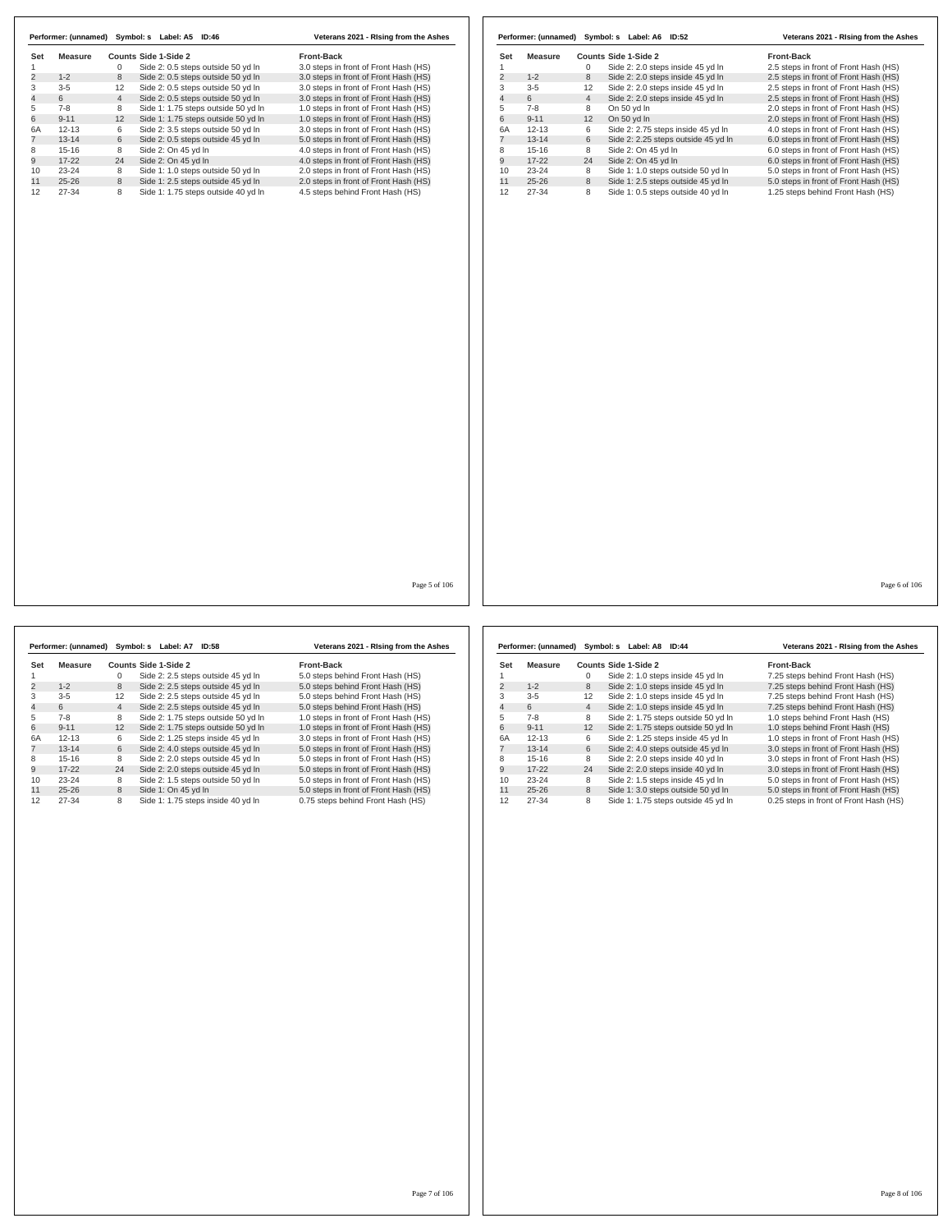| Set<br><b>Measure</b><br>Counts Side 1-Side 2<br><b>Front-Back</b><br>3.0 steps in front of Front Hash (HS)<br>Side 2: 2.0 steps inside 45 yd In<br>2.5 steps in front of Front Hash (HS)<br>$\mathbf{1}$<br>$\mathbf{0}$<br>$\overline{2}$<br>$1 - 2$<br>Side 2: 2.0 steps inside 45 yd In<br>2.5 steps in front of Front Hash (HS)<br>8<br>3<br>$3-5$<br>Side 2: 2.0 steps inside 45 yd In<br>2.5 steps in front of Front Hash (HS)<br>12<br>$\overline{4}$<br>6<br>$\overline{4}$<br>Side 2: 2.0 steps inside 45 yd In<br>2.5 steps in front of Front Hash (HS)<br>5<br>$7 - 8$<br>8<br>1.0 steps in front of Front Hash (HS)<br>On 50 yd In<br>2.0 steps in front of Front Hash (HS)<br>$9 - 11$<br>12<br>On 50 yd In<br>1.0 steps in front of Front Hash (HS)<br>6<br>2.0 steps in front of Front Hash (HS)<br>3.0 steps in front of Front Hash (HS)<br>6A<br>$12 - 13$<br>Side 2: 2.75 steps inside 45 yd In<br>4.0 steps in front of Front Hash (HS)<br>6<br>$\overline{7}$<br>5.0 steps in front of Front Hash (HS)<br>$13 - 14$<br>6<br>Side 2: 2.25 steps outside 45 yd In<br>6.0 steps in front of Front Hash (HS)<br>Side 2: On 45 yd In<br>4.0 steps in front of Front Hash (HS)<br>8<br>$15 - 16$<br>8<br>6.0 steps in front of Front Hash (HS)<br>9<br>$17 - 22$<br>Side 2: On 45 yd In<br>4.0 steps in front of Front Hash (HS)<br>24<br>6.0 steps in front of Front Hash (HS)<br>10<br>23-24<br>Side 1: 1.0 steps outside 50 yd In<br>2.0 steps in front of Front Hash (HS)<br>8<br>5.0 steps in front of Front Hash (HS)<br>11<br>$25 - 26$<br>8<br>Side 1: 2.5 steps outside 45 yd In<br>5.0 steps in front of Front Hash (HS)<br>12<br>4.5 steps behind Front Hash (HS)<br>27-34<br>Side 1: 0.5 steps outside 40 yd In<br>1.25 steps behind Front Hash (HS)<br>8 |                | Performer: (unnamed) |                | Symbol: s Label: A5 ID:46           | Veterans 2021 - Rising from the Ashes |  | Performer: (unnamed) Symbol: s Label: A6 ID:52 | Veterans 2021 - Rising from the Ashes |
|--------------------------------------------------------------------------------------------------------------------------------------------------------------------------------------------------------------------------------------------------------------------------------------------------------------------------------------------------------------------------------------------------------------------------------------------------------------------------------------------------------------------------------------------------------------------------------------------------------------------------------------------------------------------------------------------------------------------------------------------------------------------------------------------------------------------------------------------------------------------------------------------------------------------------------------------------------------------------------------------------------------------------------------------------------------------------------------------------------------------------------------------------------------------------------------------------------------------------------------------------------------------------------------------------------------------------------------------------------------------------------------------------------------------------------------------------------------------------------------------------------------------------------------------------------------------------------------------------------------------------------------------------------------------------------------------------------------------------------------------------------------------------------------|----------------|----------------------|----------------|-------------------------------------|---------------------------------------|--|------------------------------------------------|---------------------------------------|
|                                                                                                                                                                                                                                                                                                                                                                                                                                                                                                                                                                                                                                                                                                                                                                                                                                                                                                                                                                                                                                                                                                                                                                                                                                                                                                                                                                                                                                                                                                                                                                                                                                                                                                                                                                                      | Set            | <b>Measure</b>       |                | Counts Side 1-Side 2                | <b>Front-Back</b>                     |  |                                                |                                       |
|                                                                                                                                                                                                                                                                                                                                                                                                                                                                                                                                                                                                                                                                                                                                                                                                                                                                                                                                                                                                                                                                                                                                                                                                                                                                                                                                                                                                                                                                                                                                                                                                                                                                                                                                                                                      | $\mathbf{1}$   |                      | $\mathbf 0$    | Side 2: 0.5 steps outside 50 yd In  |                                       |  |                                                |                                       |
|                                                                                                                                                                                                                                                                                                                                                                                                                                                                                                                                                                                                                                                                                                                                                                                                                                                                                                                                                                                                                                                                                                                                                                                                                                                                                                                                                                                                                                                                                                                                                                                                                                                                                                                                                                                      | $\overline{2}$ | $1 - 2$              | 8              | Side 2: 0.5 steps outside 50 yd In  | 3.0 steps in front of Front Hash (HS) |  |                                                |                                       |
|                                                                                                                                                                                                                                                                                                                                                                                                                                                                                                                                                                                                                                                                                                                                                                                                                                                                                                                                                                                                                                                                                                                                                                                                                                                                                                                                                                                                                                                                                                                                                                                                                                                                                                                                                                                      | 3              | $3 - 5$              | 12             | Side 2: 0.5 steps outside 50 yd In  | 3.0 steps in front of Front Hash (HS) |  |                                                |                                       |
|                                                                                                                                                                                                                                                                                                                                                                                                                                                                                                                                                                                                                                                                                                                                                                                                                                                                                                                                                                                                                                                                                                                                                                                                                                                                                                                                                                                                                                                                                                                                                                                                                                                                                                                                                                                      | $\overline{4}$ | 6                    | $\overline{4}$ | Side 2: 0.5 steps outside 50 yd In  | 3.0 steps in front of Front Hash (HS) |  |                                                |                                       |
|                                                                                                                                                                                                                                                                                                                                                                                                                                                                                                                                                                                                                                                                                                                                                                                                                                                                                                                                                                                                                                                                                                                                                                                                                                                                                                                                                                                                                                                                                                                                                                                                                                                                                                                                                                                      |                | $7 - 8$              | 8              | Side 1: 1.75 steps outside 50 yd In |                                       |  |                                                |                                       |
|                                                                                                                                                                                                                                                                                                                                                                                                                                                                                                                                                                                                                                                                                                                                                                                                                                                                                                                                                                                                                                                                                                                                                                                                                                                                                                                                                                                                                                                                                                                                                                                                                                                                                                                                                                                      |                | $9 - 11$             | 12             | Side 1: 1.75 steps outside 50 yd In |                                       |  |                                                |                                       |
|                                                                                                                                                                                                                                                                                                                                                                                                                                                                                                                                                                                                                                                                                                                                                                                                                                                                                                                                                                                                                                                                                                                                                                                                                                                                                                                                                                                                                                                                                                                                                                                                                                                                                                                                                                                      |                | $12 - 13$            | 6              | Side 2: 3.5 steps outside 50 yd In  |                                       |  |                                                |                                       |
|                                                                                                                                                                                                                                                                                                                                                                                                                                                                                                                                                                                                                                                                                                                                                                                                                                                                                                                                                                                                                                                                                                                                                                                                                                                                                                                                                                                                                                                                                                                                                                                                                                                                                                                                                                                      |                | $13 - 14$            | 6              | Side 2: 0.5 steps outside 45 yd In  |                                       |  |                                                |                                       |
|                                                                                                                                                                                                                                                                                                                                                                                                                                                                                                                                                                                                                                                                                                                                                                                                                                                                                                                                                                                                                                                                                                                                                                                                                                                                                                                                                                                                                                                                                                                                                                                                                                                                                                                                                                                      |                |                      |                |                                     |                                       |  |                                                |                                       |
|                                                                                                                                                                                                                                                                                                                                                                                                                                                                                                                                                                                                                                                                                                                                                                                                                                                                                                                                                                                                                                                                                                                                                                                                                                                                                                                                                                                                                                                                                                                                                                                                                                                                                                                                                                                      |                | $15 - 16$            | 8              | Side 2: On 45 yd In                 |                                       |  |                                                |                                       |
|                                                                                                                                                                                                                                                                                                                                                                                                                                                                                                                                                                                                                                                                                                                                                                                                                                                                                                                                                                                                                                                                                                                                                                                                                                                                                                                                                                                                                                                                                                                                                                                                                                                                                                                                                                                      |                | $17 - 22$            | 24             | Side 2: On 45 yd In                 |                                       |  |                                                |                                       |
|                                                                                                                                                                                                                                                                                                                                                                                                                                                                                                                                                                                                                                                                                                                                                                                                                                                                                                                                                                                                                                                                                                                                                                                                                                                                                                                                                                                                                                                                                                                                                                                                                                                                                                                                                                                      |                | 23-24                | 8              | Side 1: 1.0 steps outside 50 yd In  |                                       |  |                                                |                                       |
|                                                                                                                                                                                                                                                                                                                                                                                                                                                                                                                                                                                                                                                                                                                                                                                                                                                                                                                                                                                                                                                                                                                                                                                                                                                                                                                                                                                                                                                                                                                                                                                                                                                                                                                                                                                      |                | $25 - 26$            | 8              | Side 1: 2.5 steps outside 45 yd In  | 2.0 steps in front of Front Hash (HS) |  |                                                |                                       |
|                                                                                                                                                                                                                                                                                                                                                                                                                                                                                                                                                                                                                                                                                                                                                                                                                                                                                                                                                                                                                                                                                                                                                                                                                                                                                                                                                                                                                                                                                                                                                                                                                                                                                                                                                                                      |                | $27 - 34$            | 8              | Side 1: 1.75 steps outside 40 yd In |                                       |  |                                                |                                       |
|                                                                                                                                                                                                                                                                                                                                                                                                                                                                                                                                                                                                                                                                                                                                                                                                                                                                                                                                                                                                                                                                                                                                                                                                                                                                                                                                                                                                                                                                                                                                                                                                                                                                                                                                                                                      |                |                      |                |                                     |                                       |  |                                                |                                       |
|                                                                                                                                                                                                                                                                                                                                                                                                                                                                                                                                                                                                                                                                                                                                                                                                                                                                                                                                                                                                                                                                                                                                                                                                                                                                                                                                                                                                                                                                                                                                                                                                                                                                                                                                                                                      |                |                      |                |                                     |                                       |  |                                                |                                       |
|                                                                                                                                                                                                                                                                                                                                                                                                                                                                                                                                                                                                                                                                                                                                                                                                                                                                                                                                                                                                                                                                                                                                                                                                                                                                                                                                                                                                                                                                                                                                                                                                                                                                                                                                                                                      |                |                      |                |                                     | Page 5 of 106                         |  |                                                | Page 6 of 106                         |

|                | Performer: (unnamed) |                | Symbol: s Label: A7<br><b>ID:58</b> | Veterans 2021 - Rising from the Ashes |
|----------------|----------------------|----------------|-------------------------------------|---------------------------------------|
| Set            | Measure              |                | Counts Side 1-Side 2                | <b>Front-Back</b>                     |
|                |                      | 0              | Side 2: 2.5 steps outside 45 yd In  | 5.0 steps behind Front Hash (HS)      |
| 2              | $1 - 2$              | 8              | Side 2: 2.5 steps outside 45 yd In  | 5.0 steps behind Front Hash (HS)      |
| 3              | $3 - 5$              | 12             | Side 2: 2.5 steps outside 45 yd In  | 5.0 steps behind Front Hash (HS)      |
| $\overline{4}$ | 6                    | $\overline{4}$ | Side 2: 2.5 steps outside 45 yd In  | 5.0 steps behind Front Hash (HS)      |
| 5              | $7-8$                | 8              | Side 2: 1.75 steps outside 50 yd In | 1.0 steps in front of Front Hash (HS) |
| 6              | $9 - 11$             | 12             | Side 2: 1.75 steps outside 50 yd In | 1.0 steps in front of Front Hash (HS) |
| 6A             | $12 - 13$            | 6              | Side 2: 1.25 steps inside 45 yd In  | 3.0 steps in front of Front Hash (HS) |
| 7              | $13 - 14$            | 6              | Side 2: 4.0 steps outside 45 yd In  | 5.0 steps in front of Front Hash (HS) |
| 8              | $15 - 16$            | 8              | Side 2: 2.0 steps outside 45 vd In  | 5.0 steps in front of Front Hash (HS) |
| 9              | $17-22$              | 24             | Side 2: 2.0 steps outside 45 yd In  | 5.0 steps in front of Front Hash (HS) |
| 10             | $23 - 24$            | 8              | Side 2: 1.5 steps outside 50 yd In  | 5.0 steps in front of Front Hash (HS) |
| 11             | $25 - 26$            | 8              | Side 1: On 45 yd In                 | 5.0 steps in front of Front Hash (HS) |
| 12             | 27-34                | 8              | Side 1: 1.75 steps inside 40 yd In  | 0.75 steps behind Front Hash (HS)     |

|     | Performer: (unnamed) Symbol: s |                | Label: A8<br>ID:44                  | Veterans 2021 - Rising from the Ashes  |
|-----|--------------------------------|----------------|-------------------------------------|----------------------------------------|
| Set | Measure                        |                | Counts Side 1-Side 2                | <b>Front-Back</b>                      |
|     |                                | 0              | Side 2: 1.0 steps inside 45 yd In   | 7.25 steps behind Front Hash (HS)      |
| 2   | $1 - 2$                        | 8              | Side 2: 1.0 steps inside 45 yd In   | 7.25 steps behind Front Hash (HS)      |
| 3   | $3 - 5$                        | 12             | Side 2: 1.0 steps inside 45 yd In   | 7.25 steps behind Front Hash (HS)      |
| 4   | 6                              | $\overline{4}$ | Side 2: 1.0 steps inside 45 yd In   | 7.25 steps behind Front Hash (HS)      |
| 5   | $7-8$                          | 8              | Side 2: 1.75 steps outside 50 yd In | 1.0 steps behind Front Hash (HS)       |
| 6   | $9 - 11$                       | 12             | Side 2: 1.75 steps outside 50 yd In | 1.0 steps behind Front Hash (HS)       |
| 6A  | $12 - 13$                      | 6              | Side 2: 1.25 steps inside 45 yd In  | 1.0 steps in front of Front Hash (HS)  |
|     | $13 - 14$                      | 6              | Side 2: 4.0 steps outside 45 yd In  | 3.0 steps in front of Front Hash (HS)  |
| 8   | $15 - 16$                      | 8              | Side 2: 2.0 steps inside 40 yd In   | 3.0 steps in front of Front Hash (HS)  |
| 9   | $17-22$                        | 24             | Side 2: 2.0 steps inside 40 yd In   | 3.0 steps in front of Front Hash (HS)  |
| 10  | $23 - 24$                      | 8              | Side 2: 1.5 steps inside 45 yd In   | 5.0 steps in front of Front Hash (HS)  |
| 11  | $25 - 26$                      | 8              | Side 1: 3.0 steps outside 50 yd In  | 5.0 steps in front of Front Hash (HS)  |
| 12  | 27-34                          | 8              | Side 1: 1.75 steps outside 45 yd In | 0.25 steps in front of Front Hash (HS) |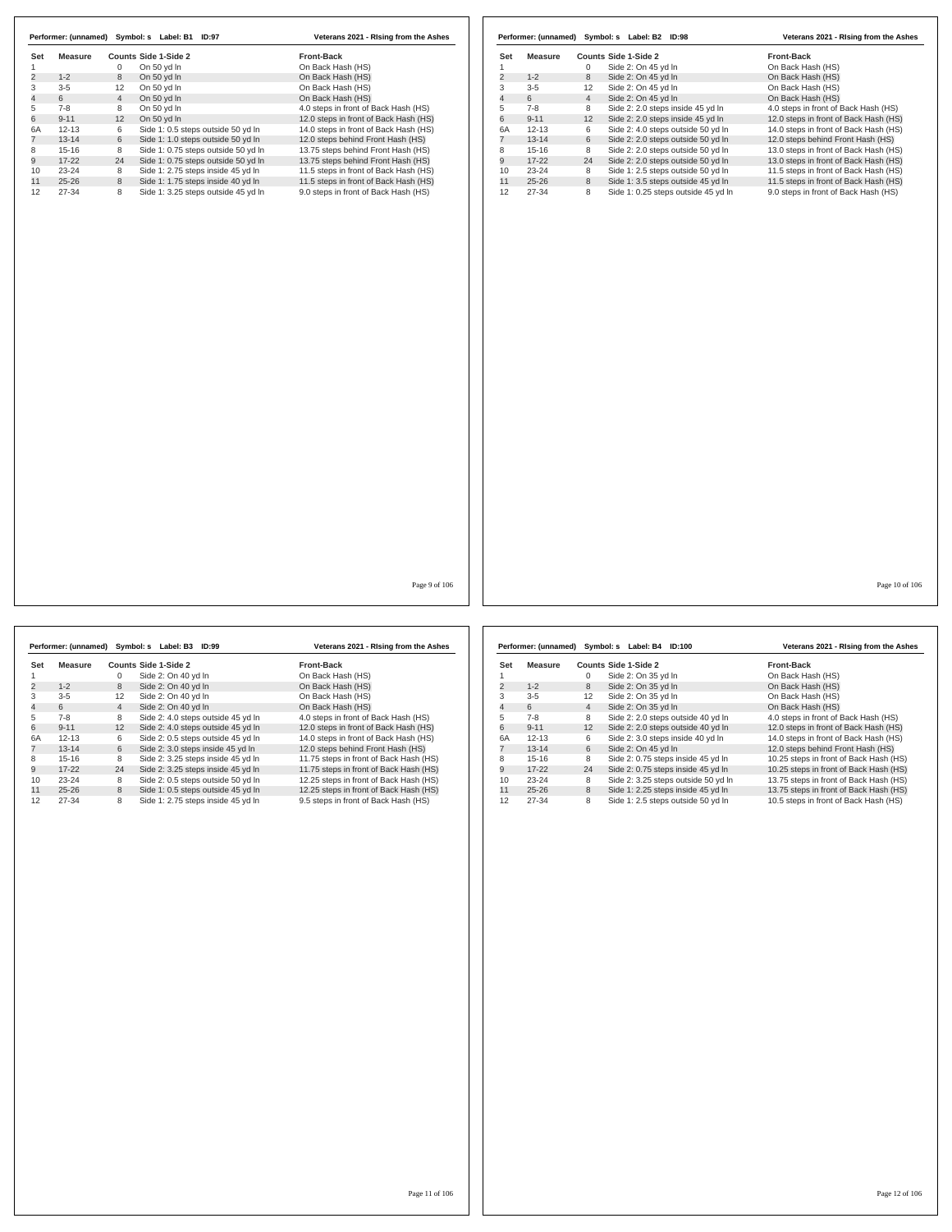| Set            | <b>Measure</b> |                | Counts Side 1-Side 2                | Front-Back                            | Set            | <b>Measure</b> |                | Counts Side 1-Side 2                | Front-Back                            |
|----------------|----------------|----------------|-------------------------------------|---------------------------------------|----------------|----------------|----------------|-------------------------------------|---------------------------------------|
| $\mathbf{1}$   |                | $\mathbf 0$    | On 50 yd In                         | On Back Hash (HS)                     | 1              |                | $\mathbf 0$    | Side 2: On 45 yd In                 | On Back Hash (HS)                     |
| $\overline{2}$ | $1 - 2$        | 8              | On 50 yd In                         | On Back Hash (HS)                     | $\overline{c}$ | $1 - 2$        | 8              | Side 2: On 45 yd In                 | On Back Hash (HS)                     |
|                | $3 - 5$        | 12             | On 50 yd In                         | On Back Hash (HS)                     | 3              | $3-5$          | 12             | Side 2: On 45 yd In                 | On Back Hash (HS)                     |
|                | 6              | $\overline{4}$ | On 50 yd In                         | On Back Hash (HS)                     | 4              | 6              | $\overline{4}$ | Side 2: On 45 yd In                 | On Back Hash (HS)                     |
|                | $7 - 8$        | 8              | On 50 yd In                         | 4.0 steps in front of Back Hash (HS)  | 5              | $7 - 8$        | 8              | Side 2: 2.0 steps inside 45 yd In   | 4.0 steps in front of Back Hash (HS)  |
|                | $9 - 11$       | 12             | On 50 yd In                         | 12.0 steps in front of Back Hash (HS) | 6              | $9 - 11$       | 12             |                                     | 12.0 steps in front of Back Hash (HS) |
|                | $12 - 13$      | 6              | Side 1: 0.5 steps outside 50 yd In  |                                       | 6A             | $12 - 13$      | 6              | Side 2: 2.0 steps inside 45 yd In   |                                       |
|                |                |                |                                     | 14.0 steps in front of Back Hash (HS) |                |                |                | Side 2: 4.0 steps outside 50 yd In  | 14.0 steps in front of Back Hash (HS) |
|                | $13 - 14$      | 6              | Side 1: 1.0 steps outside 50 yd In  | 12.0 steps behind Front Hash (HS)     | 7              | $13 - 14$      | 6              | Side 2: 2.0 steps outside 50 yd In  | 12.0 steps behind Front Hash (HS)     |
|                | $15 - 16$      | 8              | Side 1: 0.75 steps outside 50 yd In | 13.75 steps behind Front Hash (HS)    | 8              | 15-16          | 8              | Side 2: 2.0 steps outside 50 yd In  | 13.0 steps in front of Back Hash (HS) |
|                | $17 - 22$      | 24             | Side 1: 0.75 steps outside 50 yd In | 13.75 steps behind Front Hash (HS)    | 9              | $17 - 22$      | 24             | Side 2: 2.0 steps outside 50 yd In  | 13.0 steps in front of Back Hash (HS) |
|                | 23-24          | 8              | Side 1: 2.75 steps inside 45 yd In  | 11.5 steps in front of Back Hash (HS) | 10             | 23-24          | 8              | Side 1: 2.5 steps outside 50 yd In  | 11.5 steps in front of Back Hash (HS) |
|                | $25 - 26$      | 8              | Side 1: 1.75 steps inside 40 yd In  | 11.5 steps in front of Back Hash (HS) | 11             | $25 - 26$      | 8              | Side 1: 3.5 steps outside 45 yd In  | 11.5 steps in front of Back Hash (HS) |
|                | 27-34          | 8              | Side 1: 3.25 steps outside 45 yd In | 9.0 steps in front of Back Hash (HS)  | 12             | 27-34          | 8              | Side 1: 0.25 steps outside 45 yd In | 9.0 steps in front of Back Hash (HS)  |
|                |                |                |                                     |                                       |                |                |                |                                     |                                       |
|                |                |                |                                     | Page 9 of 106                         |                |                |                |                                     | Page 10 of 106                        |

|     | Performer: (unnamed) |                | Symbol: s Label: B3  | <b>ID:99</b>                       | Veterans 2021 - Rising from the Ashes  |  |
|-----|----------------------|----------------|----------------------|------------------------------------|----------------------------------------|--|
| Set | Measure              |                | Counts Side 1-Side 2 |                                    | <b>Front-Back</b>                      |  |
|     |                      | 0              | Side 2: On 40 vd In  |                                    | On Back Hash (HS)                      |  |
| 2   | $1 - 2$              | 8              | Side 2: On 40 vd In  |                                    | On Back Hash (HS)                      |  |
| 3   | $3 - 5$              | 12             | Side 2: On 40 vd In  |                                    | On Back Hash (HS)                      |  |
| 4   | 6                    | $\overline{4}$ | Side 2: On 40 vd In  |                                    | On Back Hash (HS)                      |  |
| 5   | $7-8$                | 8              |                      | Side 2: 4.0 steps outside 45 yd In | 4.0 steps in front of Back Hash (HS)   |  |
| 6   | $9 - 11$             | 12             |                      | Side 2: 4.0 steps outside 45 yd In | 12.0 steps in front of Back Hash (HS)  |  |
| 6A  | $12 - 13$            | 6              |                      | Side 2: 0.5 steps outside 45 yd In | 14.0 steps in front of Back Hash (HS)  |  |
|     | $13 - 14$            | 6              |                      | Side 2: 3.0 steps inside 45 yd In  | 12.0 steps behind Front Hash (HS)      |  |
| 8   | $15 - 16$            | 8              |                      | Side 2: 3.25 steps inside 45 yd In | 11.75 steps in front of Back Hash (HS) |  |
| 9   | $17 - 22$            | 24             |                      | Side 2: 3.25 steps inside 45 yd In | 11.75 steps in front of Back Hash (HS) |  |
| 10  | $23 - 24$            | 8              |                      | Side 2: 0.5 steps outside 50 yd In | 12.25 steps in front of Back Hash (HS) |  |
| 11  | $25 - 26$            | 8              |                      | Side 1: 0.5 steps outside 45 vd In | 12.25 steps in front of Back Hash (HS) |  |
| 12  | $27 - 34$            | 8              |                      | Side 1: 2.75 steps inside 45 yd In | 9.5 steps in front of Back Hash (HS)   |  |

|     | Performer: (unnamed) |                 | Symbol: s Label: B4<br>ID:100       | Veterans 2021 - Rising from the Ashes  |
|-----|----------------------|-----------------|-------------------------------------|----------------------------------------|
| Set | Measure              |                 | Counts Side 1-Side 2                | <b>Front-Back</b>                      |
|     |                      | 0               | Side 2: On 35 yd In                 | On Back Hash (HS)                      |
| 2   | $1 - 2$              | 8               | Side 2: On 35 vd In                 | On Back Hash (HS)                      |
| 3   | $3 - 5$              | 12              | Side 2: On 35 yd In                 | On Back Hash (HS)                      |
| 4   | 6                    | $\overline{4}$  | Side 2: On 35 yd In                 | On Back Hash (HS)                      |
| 5   | $7-8$                | 8               | Side 2: 2.0 steps outside 40 yd In  | 4.0 steps in front of Back Hash (HS)   |
| 6   | $9 - 11$             | 12 <sup>2</sup> | Side 2: 2.0 steps outside 40 yd In  | 12.0 steps in front of Back Hash (HS)  |
| 6A  | $12 - 13$            | 6               | Side 2: 3.0 steps inside 40 yd In   | 14.0 steps in front of Back Hash (HS)  |
| 7   | $13 - 14$            | 6               | Side 2: On 45 vd In                 | 12.0 steps behind Front Hash (HS)      |
| 8   | $15-16$              | 8               | Side 2: 0.75 steps inside 45 vd In  | 10.25 steps in front of Back Hash (HS) |
| 9   | $17 - 22$            | 24              | Side 2: 0.75 steps inside 45 yd In  | 10.25 steps in front of Back Hash (HS) |
| 10  | 23-24                | 8               | Side 2: 3.25 steps outside 50 yd In | 13.75 steps in front of Back Hash (HS) |
| 11  | $25 - 26$            | 8               | Side 1: 2.25 steps inside 45 yd In  | 13.75 steps in front of Back Hash (HS) |
| 12  | 27-34                | 8               | Side 1: 2.5 steps outside 50 yd In  | 10.5 steps in front of Back Hash (HS)  |

Page 10 of 106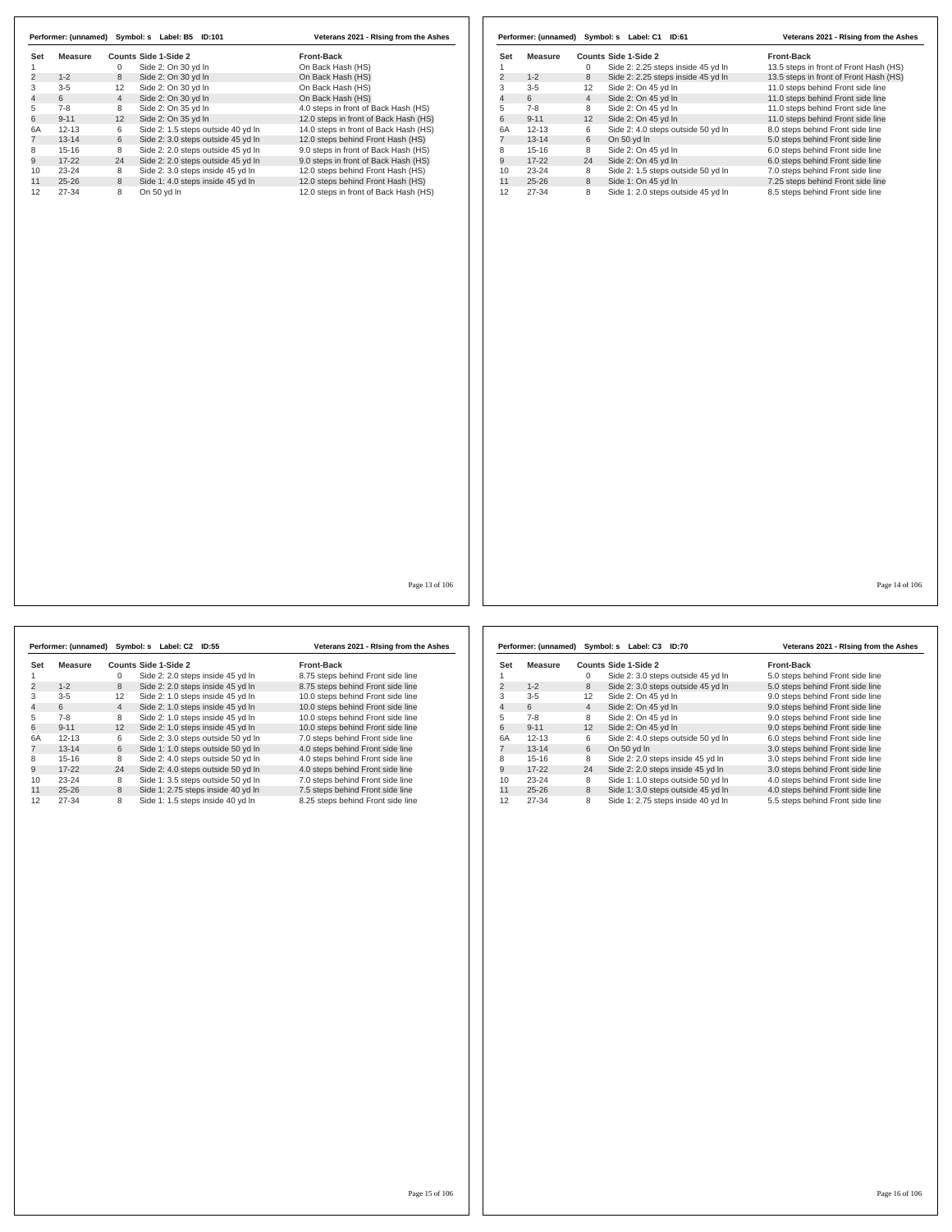| Side 2: On 30 yd In<br>On Back Hash (HS)<br>1<br>0<br>$\overline{2}$<br>$1 - 2$<br>Side 2: On 30 vd In<br>8<br>On Back Hash (HS)<br>3<br>$3 - 5$<br>12<br>Side 2: On 30 yd In<br>On Back Hash (HS)<br>$\overline{4}$<br>6<br>$\overline{4}$<br>Side 2: On 30 yd In<br>On Back Hash (HS)<br>5<br>$7 - 8$<br>8<br>Side 2: On 35 yd In<br>4.0 steps in front of Back Hash (HS)<br>6<br>$9 - 11$<br>12<br>Side 2: On 35 yd In<br>12.0 steps in front of Back Hash (HS)<br>Side 2: 1.5 steps outside 40 yd In<br>6A<br>$12 - 13$<br>6<br>14.0 steps in front of Back Hash (HS)<br>$\overline{7}$<br>$13 - 14$<br>6<br>12.0 steps behind Front Hash (HS)<br>Side 2: 3.0 steps outside 45 yd In<br>$15 - 16$<br>8<br>Side 2: 2.0 steps outside 45 yd In<br>9.0 steps in front of Back Hash (HS)<br>8<br>9<br>$17 - 22$<br>Side 2: 2.0 steps outside 45 yd In<br>9.0 steps in front of Back Hash (HS)<br>24<br>$23 - 24$<br>10<br>Side 2: 3.0 steps inside 45 yd In<br>12.0 steps behind Front Hash (HS)<br>8<br>11<br>$25 - 26$<br>8<br>Side 1: 4.0 steps inside 45 yd In<br>12.0 steps behind Front Hash (HS)<br>12<br>$27 - 34$<br>8<br>On 50 yd In<br>12.0 steps in front of Back Hash (HS) | Set | <b>Measure</b> | <b>Counts Side 1-Side 2</b> | <b>Front-Back</b> |
|-----------------------------------------------------------------------------------------------------------------------------------------------------------------------------------------------------------------------------------------------------------------------------------------------------------------------------------------------------------------------------------------------------------------------------------------------------------------------------------------------------------------------------------------------------------------------------------------------------------------------------------------------------------------------------------------------------------------------------------------------------------------------------------------------------------------------------------------------------------------------------------------------------------------------------------------------------------------------------------------------------------------------------------------------------------------------------------------------------------------------------------------------------------------------------------------|-----|----------------|-----------------------------|-------------------|
|                                                                                                                                                                                                                                                                                                                                                                                                                                                                                                                                                                                                                                                                                                                                                                                                                                                                                                                                                                                                                                                                                                                                                                                         |     |                |                             |                   |
|                                                                                                                                                                                                                                                                                                                                                                                                                                                                                                                                                                                                                                                                                                                                                                                                                                                                                                                                                                                                                                                                                                                                                                                         |     |                |                             |                   |
|                                                                                                                                                                                                                                                                                                                                                                                                                                                                                                                                                                                                                                                                                                                                                                                                                                                                                                                                                                                                                                                                                                                                                                                         |     |                |                             |                   |
|                                                                                                                                                                                                                                                                                                                                                                                                                                                                                                                                                                                                                                                                                                                                                                                                                                                                                                                                                                                                                                                                                                                                                                                         |     |                |                             |                   |
|                                                                                                                                                                                                                                                                                                                                                                                                                                                                                                                                                                                                                                                                                                                                                                                                                                                                                                                                                                                                                                                                                                                                                                                         |     |                |                             |                   |
|                                                                                                                                                                                                                                                                                                                                                                                                                                                                                                                                                                                                                                                                                                                                                                                                                                                                                                                                                                                                                                                                                                                                                                                         |     |                |                             |                   |
|                                                                                                                                                                                                                                                                                                                                                                                                                                                                                                                                                                                                                                                                                                                                                                                                                                                                                                                                                                                                                                                                                                                                                                                         |     |                |                             |                   |
|                                                                                                                                                                                                                                                                                                                                                                                                                                                                                                                                                                                                                                                                                                                                                                                                                                                                                                                                                                                                                                                                                                                                                                                         |     |                |                             |                   |
|                                                                                                                                                                                                                                                                                                                                                                                                                                                                                                                                                                                                                                                                                                                                                                                                                                                                                                                                                                                                                                                                                                                                                                                         |     |                |                             |                   |
|                                                                                                                                                                                                                                                                                                                                                                                                                                                                                                                                                                                                                                                                                                                                                                                                                                                                                                                                                                                                                                                                                                                                                                                         |     |                |                             |                   |
|                                                                                                                                                                                                                                                                                                                                                                                                                                                                                                                                                                                                                                                                                                                                                                                                                                                                                                                                                                                                                                                                                                                                                                                         |     |                |                             |                   |
|                                                                                                                                                                                                                                                                                                                                                                                                                                                                                                                                                                                                                                                                                                                                                                                                                                                                                                                                                                                                                                                                                                                                                                                         |     |                |                             |                   |
|                                                                                                                                                                                                                                                                                                                                                                                                                                                                                                                                                                                                                                                                                                                                                                                                                                                                                                                                                                                                                                                                                                                                                                                         |     |                |                             |                   |
|                                                                                                                                                                                                                                                                                                                                                                                                                                                                                                                                                                                                                                                                                                                                                                                                                                                                                                                                                                                                                                                                                                                                                                                         |     |                |                             |                   |
|                                                                                                                                                                                                                                                                                                                                                                                                                                                                                                                                                                                                                                                                                                                                                                                                                                                                                                                                                                                                                                                                                                                                                                                         |     |                |                             |                   |
|                                                                                                                                                                                                                                                                                                                                                                                                                                                                                                                                                                                                                                                                                                                                                                                                                                                                                                                                                                                                                                                                                                                                                                                         |     |                |                             |                   |
|                                                                                                                                                                                                                                                                                                                                                                                                                                                                                                                                                                                                                                                                                                                                                                                                                                                                                                                                                                                                                                                                                                                                                                                         |     |                |                             |                   |

|                |           |                | Performer: (unnamed) Symbol: s Label: C1 ID:61 | Veterans 2021 - Rising from the Ashes  |
|----------------|-----------|----------------|------------------------------------------------|----------------------------------------|
| Set            | Measure   |                | Counts Side 1-Side 2                           | <b>Front-Back</b>                      |
| 1              |           | 0              | Side 2: 2.25 steps inside 45 yd In             | 13.5 steps in front of Front Hash (HS) |
| $\overline{c}$ | $1 - 2$   | 8              | Side 2: 2.25 steps inside 45 yd In             | 13.5 steps in front of Front Hash (HS) |
| 3              | $3 - 5$   | 12             | Side 2: On 45 yd In                            | 11.0 steps behind Front side line      |
| 4              | 6         | $\overline{4}$ | Side 2: On 45 yd In                            | 11.0 steps behind Front side line      |
| 5              | $7 - 8$   | 8              | Side 2: On 45 yd In                            | 11.0 steps behind Front side line      |
| 6              | $9 - 11$  | 12             | Side 2: On 45 vd In                            | 11.0 steps behind Front side line      |
| 6A             | $12 - 13$ | 6              | Side 2: 4.0 steps outside 50 yd In             | 8.0 steps behind Front side line       |
| $\overline{7}$ | $13 - 14$ | 6              | On 50 yd In                                    | 5.0 steps behind Front side line       |
| 8              | $15 - 16$ | 8              | Side 2: On 45 yd In                            | 6.0 steps behind Front side line       |
| 9              | $17 - 22$ | 24             | Side 2: On 45 yd In                            | 6.0 steps behind Front side line       |
| 10             | $23 - 24$ | 8              | Side 2: 1.5 steps outside 50 yd In             | 7.0 steps behind Front side line       |
| 11             | $25 - 26$ | 8              | Side 1: On 45 yd In                            | 7.25 steps behind Front side line      |
| 12             | $27 - 34$ | 8              | Side 1: 2.0 steps outside 45 yd In             | 8.5 steps behind Front side line       |

Page 13 of 106

|                | Performer: (unnamed) |                | Symbol: s Label: C2 ID:55 |                                    | Veterans 2021 - Rising from the Ashes |
|----------------|----------------------|----------------|---------------------------|------------------------------------|---------------------------------------|
| Set            | Measure              |                | Counts Side 1-Side 2      |                                    | <b>Front-Back</b>                     |
|                |                      | 0              |                           | Side 2: 2.0 steps inside 45 yd In  | 8.75 steps behind Front side line     |
| $\overline{2}$ | $1 - 2$              | 8              |                           | Side 2: 2.0 steps inside 45 yd In  | 8.75 steps behind Front side line     |
| 3              | $3-5$                | 12             |                           | Side 2: 1.0 steps inside 45 yd In  | 10.0 steps behind Front side line     |
| 4              | 6                    | $\overline{4}$ |                           | Side 2: 1.0 steps inside 45 yd In  | 10.0 steps behind Front side line     |
| 5              | $7-8$                | 8              |                           | Side 2: 1.0 steps inside 45 yd In  | 10.0 steps behind Front side line     |
| 6              | $9 - 11$             | 12             |                           | Side 2: 1.0 steps inside 45 yd In  | 10.0 steps behind Front side line     |
| 6A             | $12 - 13$            | 6              |                           | Side 2: 3.0 steps outside 50 yd In | 7.0 steps behind Front side line      |
|                | $13 - 14$            | 6              |                           | Side 1: 1.0 steps outside 50 yd In | 4.0 steps behind Front side line      |
| 8              | $15 - 16$            | 8              |                           | Side 2: 4.0 steps outside 50 yd In | 4.0 steps behind Front side line      |
| 9              | $17-22$              | 24             |                           | Side 2: 4.0 steps outside 50 yd In | 4.0 steps behind Front side line      |
| 10             | $23 - 24$            | 8              |                           | Side 1: 3.5 steps outside 50 vd In | 7.0 steps behind Front side line      |
| 11             | $25 - 26$            | 8              |                           | Side 1: 2.75 steps inside 40 yd In | 7.5 steps behind Front side line      |
| 12             | 27-34                | 8              |                           | Side 1: 1.5 steps inside 40 yd In  | 8.25 steps behind Front side line     |

|                |           |                | Performer: (unnamed) Symbol: s Label: C3 ID:70 | Veterans 2021 - Rising from the Ashes |
|----------------|-----------|----------------|------------------------------------------------|---------------------------------------|
| Set            | Measure   |                | Counts Side 1-Side 2                           | <b>Front-Back</b>                     |
|                |           | 0              | Side 2: 3.0 steps outside 45 yd In             | 5.0 steps behind Front side line      |
| 2              | $1 - 2$   | 8              | Side 2: 3.0 steps outside 45 yd In             | 5.0 steps behind Front side line      |
| 3              | $3-5$     | 12             | Side 2: On 45 yd In                            | 9.0 steps behind Front side line      |
| $\overline{4}$ | 6         | $\overline{4}$ | Side 2: On 45 yd In                            | 9.0 steps behind Front side line      |
| 5              | $7 - 8$   | 8              | Side 2: On 45 yd In                            | 9.0 steps behind Front side line      |
| 6              | $9 - 11$  | 12             | Side 2: On 45 vd In                            | 9.0 steps behind Front side line      |
| 6A             | $12 - 13$ | 6              | Side 2: 4.0 steps outside 50 yd In             | 6.0 steps behind Front side line      |
|                | $13 - 14$ | 6              | On 50 yd In                                    | 3.0 steps behind Front side line      |
| 8              | $15-16$   | 8              | Side 2: 2.0 steps inside 45 yd In              | 3.0 steps behind Front side line      |
| 9              | $17-22$   | 24             | Side 2: 2.0 steps inside 45 yd In              | 3.0 steps behind Front side line      |
| 10             | $23 - 24$ | 8              | Side 1: 1.0 steps outside 50 yd In             | 4.0 steps behind Front side line      |
| 11             | $25 - 26$ | 8              | Side 1: 3.0 steps outside 45 yd In             | 4.0 steps behind Front side line      |
| 12             | 27-34     | 8              | Side 1: 2.75 steps inside 40 yd In             | 5.5 steps behind Front side line      |

Page 14 of 106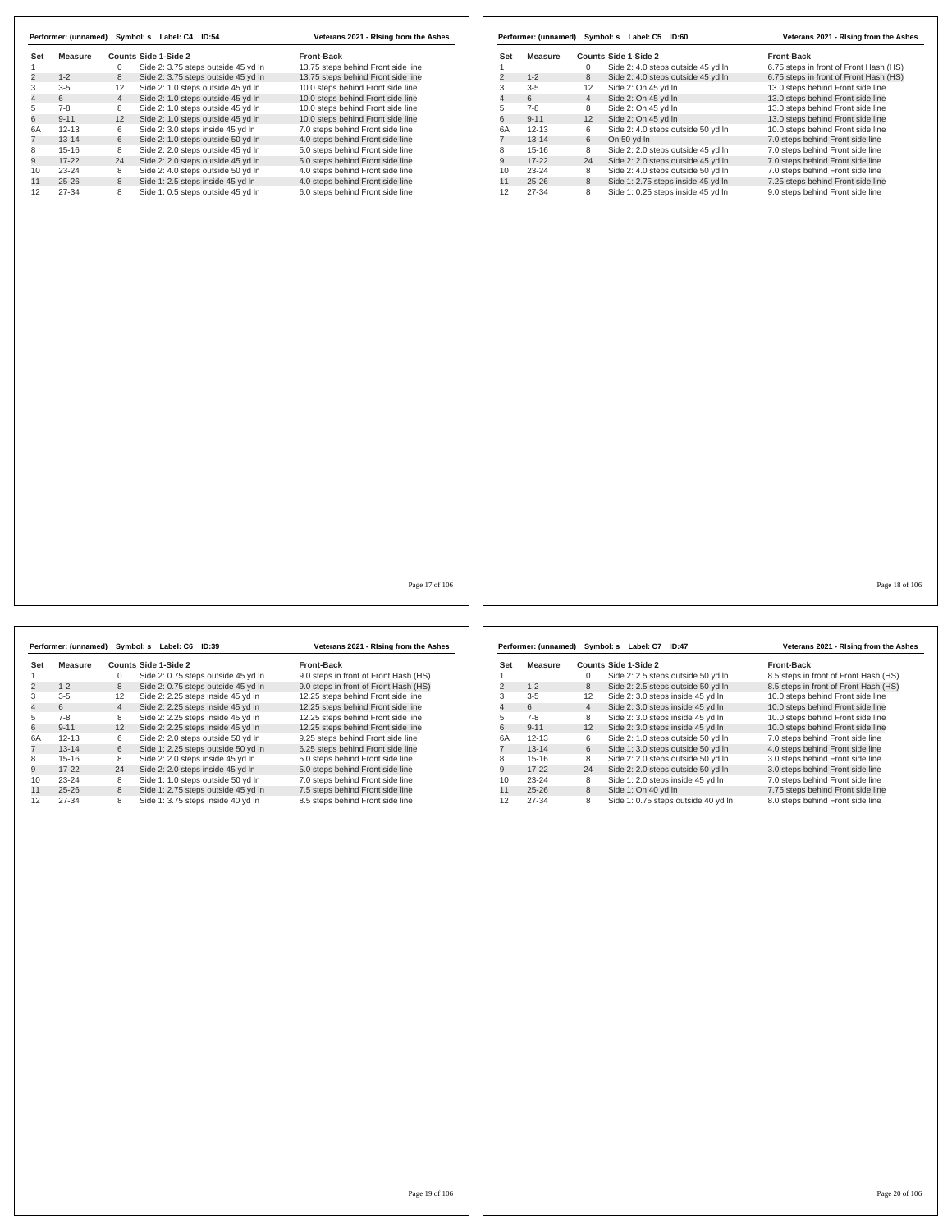|                | Performer: (unnamed) |                | Symbol: s<br>Label: C4<br><b>ID:54</b> | Veterans 2021 - Rising from the Ashes |
|----------------|----------------------|----------------|----------------------------------------|---------------------------------------|
| Set            | Measure              |                | Counts Side 1-Side 2                   | <b>Front-Back</b>                     |
|                |                      | 0              | Side 2: 3.75 steps outside 45 yd In    | 13.75 steps behind Front side line    |
| $\overline{2}$ | $1 - 2$              | 8              | Side 2: 3.75 steps outside 45 yd In    | 13.75 steps behind Front side line    |
| 3              | $3 - 5$              | 12             | Side 2: 1.0 steps outside 45 yd In     | 10.0 steps behind Front side line     |
| $\overline{4}$ | 6                    | $\overline{4}$ | Side 2: 1.0 steps outside 45 yd In     | 10.0 steps behind Front side line     |
| 5              | $7-8$                | 8              | Side 2: 1.0 steps outside 45 yd In     | 10.0 steps behind Front side line     |
| 6              | $9 - 11$             | 12             | Side 2: 1.0 steps outside 45 yd In     | 10.0 steps behind Front side line     |
| 6A             | $12 - 13$            | 6              | Side 2: 3.0 steps inside 45 yd In      | 7.0 steps behind Front side line      |
|                | $13 - 14$            | 6              | Side 2: 1.0 steps outside 50 yd In     | 4.0 steps behind Front side line      |
| 8              | $15 - 16$            | 8              | Side 2: 2.0 steps outside 45 vd In     | 5.0 steps behind Front side line      |
| 9              | $17-22$              | 24             | Side 2: 2.0 steps outside 45 yd In     | 5.0 steps behind Front side line      |
| 10             | $23 - 24$            | 8              | Side 2: 4.0 steps outside 50 yd In     | 4.0 steps behind Front side line      |
| 11             | $25 - 26$            | 8              | Side 1: 2.5 steps inside 45 yd In      | 4.0 steps behind Front side line      |
| 12             | 27-34                | 8              | Side 1: 0.5 steps outside 45 yd In     | 6.0 steps behind Front side line      |

|                |           |                | Performer: (unnamed) Symbol: s Label: C5<br><b>ID:60</b> | Veterans 2021 - Rising from the Ashes  |
|----------------|-----------|----------------|----------------------------------------------------------|----------------------------------------|
| Set            | Measure   |                | Counts Side 1-Side 2                                     | <b>Front-Back</b>                      |
|                |           | 0              | Side 2: 4.0 steps outside 45 yd In                       | 6.75 steps in front of Front Hash (HS) |
| $\overline{2}$ | $1 - 2$   | 8              | Side 2: 4.0 steps outside 45 yd In                       | 6.75 steps in front of Front Hash (HS) |
| 3              | $3 - 5$   | 12             | Side 2: On 45 yd In                                      | 13.0 steps behind Front side line      |
| 4              | 6         | $\overline{4}$ | Side 2: On 45 yd In                                      | 13.0 steps behind Front side line      |
| 5              | $7-8$     | 8              | Side 2: On 45 yd In                                      | 13.0 steps behind Front side line      |
| 6              | $9 - 11$  | 12             | Side 2: On 45 yd In                                      | 13.0 steps behind Front side line      |
| 6A             | $12 - 13$ | 6              | Side 2: 4.0 steps outside 50 yd In                       | 10.0 steps behind Front side line      |
|                | $13 - 14$ | 6              | On 50 yd In                                              | 7.0 steps behind Front side line       |
| 8              | $15 - 16$ | 8              | Side 2: 2.0 steps outside 45 yd In                       | 7.0 steps behind Front side line       |
| 9              | $17-22$   | 24             | Side 2: 2.0 steps outside 45 yd In                       | 7.0 steps behind Front side line       |
| 10             | $23 - 24$ | 8              | Side 2: 4.0 steps outside 50 yd In                       | 7.0 steps behind Front side line       |
| 11             | $25 - 26$ | 8              | Side 1: 2.75 steps inside 45 yd In                       | 7.25 steps behind Front side line      |
| 12             | 27-34     | 8              | Side 1: 0.25 steps inside 45 yd In                       | 9.0 steps behind Front side line       |

Page 17 of 106

|                | Performer: (unnamed) |                | Symbol: s Label: C6<br><b>ID:39</b> | Veterans 2021 - Rising from the Ashes |
|----------------|----------------------|----------------|-------------------------------------|---------------------------------------|
| Set            | Measure              |                | Counts Side 1-Side 2                | <b>Front-Back</b>                     |
|                |                      | 0              | Side 2: 0.75 steps outside 45 yd In | 9.0 steps in front of Front Hash (HS) |
| $\overline{2}$ | $1 - 2$              | 8              | Side 2: 0.75 steps outside 45 vd In | 9.0 steps in front of Front Hash (HS) |
| 3              | $3 - 5$              | 12             | Side 2: 2.25 steps inside 45 yd In  | 12.25 steps behind Front side line    |
| 4              | 6                    | $\overline{4}$ | Side 2: 2.25 steps inside 45 yd In  | 12.25 steps behind Front side line    |
| 5              | $7 - 8$              | 8              | Side 2: 2.25 steps inside 45 yd In  | 12.25 steps behind Front side line    |
| 6              | $9 - 11$             | 12             | Side 2: 2.25 steps inside 45 yd In  | 12.25 steps behind Front side line    |
| 6A             | $12 - 13$            | 6              | Side 2: 2.0 steps outside 50 vd In  | 9.25 steps behind Front side line     |
|                | $13 - 14$            | 6              | Side 1: 2.25 steps outside 50 yd In | 6.25 steps behind Front side line     |
| 8              | $15-16$              | 8              | Side 2: 2.0 steps inside 45 yd In   | 5.0 steps behind Front side line      |
| 9              | $17-22$              | 24             | Side 2: 2.0 steps inside 45 yd In   | 5.0 steps behind Front side line      |
| 10             | $23 - 24$            | 8              | Side 1: 1.0 steps outside 50 yd In  | 7.0 steps behind Front side line      |
| 11             | $25 - 26$            | 8              | Side 1: 2.75 steps outside 45 yd In | 7.5 steps behind Front side line      |
| 12             | 27-34                | 8              | Side 1: 3.75 steps inside 40 yd In  | 8.5 steps behind Front side line      |

|     | Performer: (unnamed) | Symbol: s         | Label: C7<br>ID:47                  | Veterans 2021 - Rising from the Ashes |
|-----|----------------------|-------------------|-------------------------------------|---------------------------------------|
| Set | Measure              |                   | Counts Side 1-Side 2                | <b>Front-Back</b>                     |
|     |                      | $\Omega$          | Side 2: 2.5 steps outside 50 yd In  | 8.5 steps in front of Front Hash (HS) |
| 2   | $1 - 2$              | 8                 | Side 2: 2.5 steps outside 50 yd In  | 8.5 steps in front of Front Hash (HS) |
| 3   | $3 - 5$              | $12 \overline{ }$ | Side 2: 3.0 steps inside 45 yd In   | 10.0 steps behind Front side line     |
| 4   | 6                    | $\overline{4}$    | Side 2: 3.0 steps inside 45 yd In   | 10.0 steps behind Front side line     |
| 5   | $7 - 8$              | 8                 | Side 2: 3.0 steps inside 45 yd In   | 10.0 steps behind Front side line     |
| 6   | $9 - 11$             | 12                | Side 2: 3.0 steps inside 45 yd In   | 10.0 steps behind Front side line     |
| 6A  | $12 - 13$            | 6                 | Side 2: 1.0 steps outside 50 yd In  | 7.0 steps behind Front side line      |
|     | $13 - 14$            | 6                 | Side 1: 3.0 steps outside 50 yd In  | 4.0 steps behind Front side line      |
| 8   | $15 - 16$            | 8                 | Side 2: 2.0 steps outside 50 vd In  | 3.0 steps behind Front side line      |
| 9   | $17-22$              | 24                | Side 2: 2.0 steps outside 50 yd In  | 3.0 steps behind Front side line      |
| 10  | $23 - 24$            | 8                 | Side 1: 2.0 steps inside 45 yd In   | 7.0 steps behind Front side line      |
| 11  | $25 - 26$            | 8                 | Side 1: On 40 yd In                 | 7.75 steps behind Front side line     |
| 12  | 27-34                | 8                 | Side 1: 0.75 steps outside 40 yd In | 8.0 steps behind Front side line      |

Page 18 of 106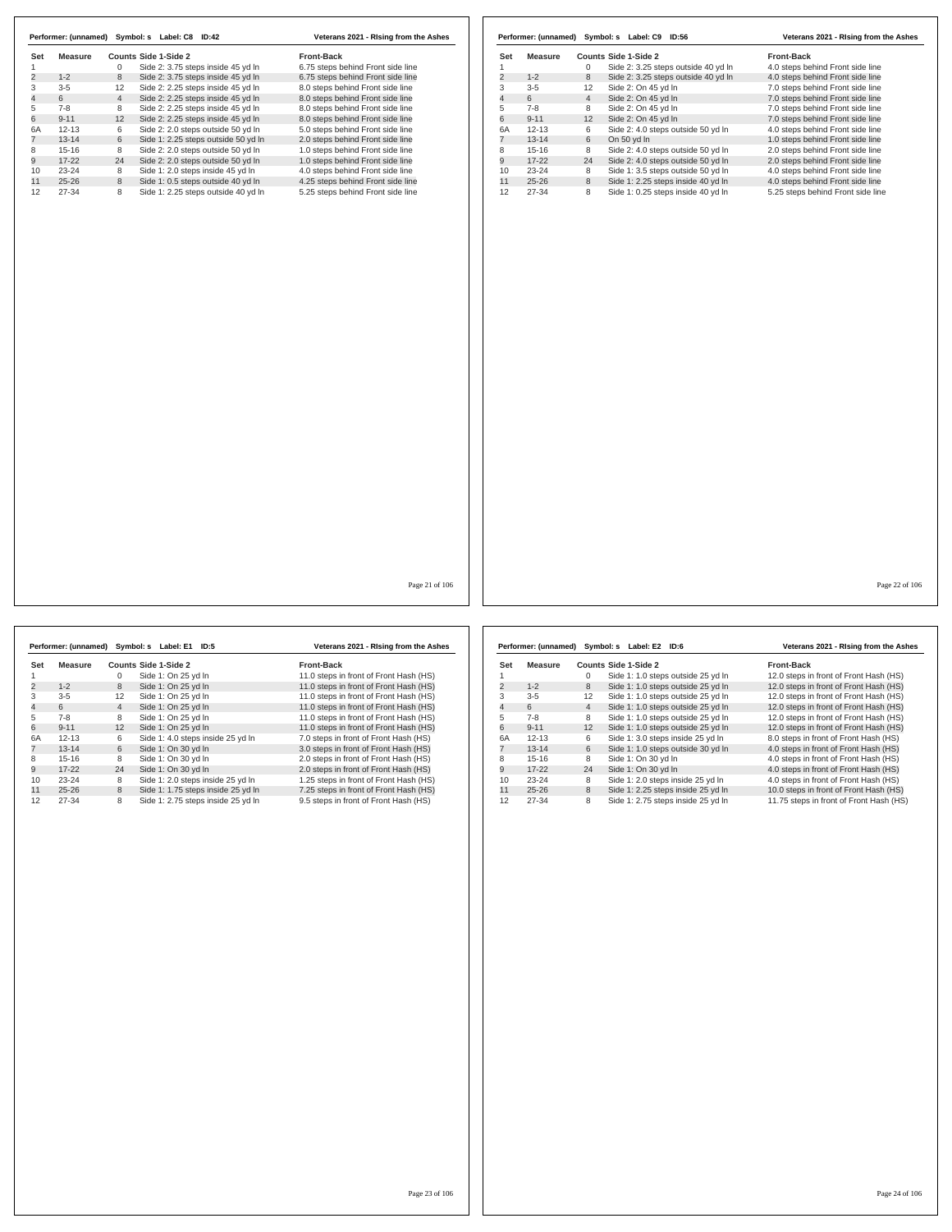|                |           |                | Performer: (unnamed) Symbol: s Label: C8 ID:42 | Veterans 2021 - Rising from the Ashes |
|----------------|-----------|----------------|------------------------------------------------|---------------------------------------|
| Set            | Measure   |                | Counts Side 1-Side 2                           | <b>Front-Back</b>                     |
|                |           | 0              | Side 2: 3.75 steps inside 45 yd In             | 6.75 steps behind Front side line     |
| $\overline{2}$ | $1 - 2$   | 8              | Side 2: 3.75 steps inside 45 vd In             | 6.75 steps behind Front side line     |
| 3              | $3 - 5$   | 12             | Side 2: 2.25 steps inside 45 yd In             | 8.0 steps behind Front side line      |
| 4              | 6         | $\overline{4}$ | Side 2: 2.25 steps inside 45 yd In             | 8.0 steps behind Front side line      |
| 5              | $7 - 8$   | 8              | Side 2: 2.25 steps inside 45 yd In             | 8.0 steps behind Front side line      |
| 6              | $9 - 11$  | 12             | Side 2: 2.25 steps inside 45 yd In             | 8.0 steps behind Front side line      |
| 6A             | $12 - 13$ | 6              | Side 2: 2.0 steps outside 50 yd In             | 5.0 steps behind Front side line      |
|                | $13 - 14$ | 6              | Side 1: 2.25 steps outside 50 yd In            | 2.0 steps behind Front side line      |
| 8              | $15-16$   | 8              | Side 2: 2.0 steps outside 50 vd In             | 1.0 steps behind Front side line      |
| 9              | $17-22$   | 24             | Side 2: 2.0 steps outside 50 yd In             | 1.0 steps behind Front side line      |
| 10             | $23 - 24$ | 8              | Side 1: 2.0 steps inside 45 yd In              | 4.0 steps behind Front side line      |
| 11             | $25 - 26$ | 8              | Side 1: 0.5 steps outside 40 yd In             | 4.25 steps behind Front side line     |
| 12             | $27 - 34$ | 8              | Side 1: 2.25 steps outside 40 vd In            | 5.25 steps behind Front side line     |

|                         | Performer: (unnamed) | Symbol: s      | Label: C9 ID:56                     | Veterans 2021 - Rising from the Ashes |
|-------------------------|----------------------|----------------|-------------------------------------|---------------------------------------|
| Set                     | Measure              |                | Counts Side 1-Side 2                | Front-Back                            |
|                         |                      | 0              | Side 2: 3.25 steps outside 40 yd In | 4.0 steps behind Front side line      |
| $\overline{\mathbf{c}}$ | $1 - 2$              | 8              | Side 2: 3.25 steps outside 40 yd In | 4.0 steps behind Front side line      |
| 3                       | $3 - 5$              | 12             | Side 2: On 45 yd In                 | 7.0 steps behind Front side line      |
| $\overline{4}$          | 6                    | $\overline{4}$ | Side 2: On 45 yd In                 | 7.0 steps behind Front side line      |
| 5                       | $7 - 8$              | 8              | Side 2: On 45 yd In                 | 7.0 steps behind Front side line      |
| 6                       | $9 - 11$             | 12             | Side 2: On 45 vd In                 | 7.0 steps behind Front side line      |
| 6A                      | $12 - 13$            | 6              | Side 2: 4.0 steps outside 50 yd In  | 4.0 steps behind Front side line      |
| 7                       | $13 - 14$            | 6              | On 50 yd In                         | 1.0 steps behind Front side line      |
| 8                       | $15 - 16$            | 8              | Side 2: 4.0 steps outside 50 vd In  | 2.0 steps behind Front side line      |
| 9                       | $17 - 22$            | 24             | Side 2: 4.0 steps outside 50 yd In  | 2.0 steps behind Front side line      |
| 10                      | $23 - 24$            | 8              | Side 1: 3.5 steps outside 50 yd In  | 4.0 steps behind Front side line      |
| 11                      | $25 - 26$            | 8              | Side 1: 2.25 steps inside 40 yd In  | 4.0 steps behind Front side line      |
| 12                      | 27-34                | 8              | Side 1: 0.25 steps inside 40 vd In  | 5.25 steps behind Front side line     |

Page 21 of 106

|     | Performer: (unnamed) | Symbol: s      | Label: E1<br>ID:5                  | Veterans 2021 - Rising from the Ashes  |
|-----|----------------------|----------------|------------------------------------|----------------------------------------|
| Set | Measure              |                | Counts Side 1-Side 2               | <b>Front-Back</b>                      |
|     |                      | 0              | Side 1: On 25 yd In                | 11.0 steps in front of Front Hash (HS) |
| 2   | $1 - 2$              | 8              | Side 1: On 25 yd In                | 11.0 steps in front of Front Hash (HS) |
| 3   | $3 - 5$              | 12             | Side 1: On 25 yd In                | 11.0 steps in front of Front Hash (HS) |
| 4   | 6                    | $\overline{4}$ | Side 1: On 25 yd In                | 11.0 steps in front of Front Hash (HS) |
| 5   | $7 - 8$              | 8              | Side 1: On 25 yd In                | 11.0 steps in front of Front Hash (HS) |
| 6   | $9 - 11$             | 12             | Side 1: On 25 yd In                | 11.0 steps in front of Front Hash (HS) |
| 6A  | $12 - 13$            | 6              | Side 1: 4.0 steps inside 25 yd In  | 7.0 steps in front of Front Hash (HS)  |
|     | $13 - 14$            | 6              | Side 1: On 30 yd In                | 3.0 steps in front of Front Hash (HS)  |
| 8   | $15 - 16$            | 8              | Side 1: On 30 yd In                | 2.0 steps in front of Front Hash (HS)  |
| 9   | $17 - 22$            | 24             | Side 1: On 30 yd In                | 2.0 steps in front of Front Hash (HS)  |
| 10  | $23 - 24$            | 8              | Side 1: 2.0 steps inside 25 yd In  | 1.25 steps in front of Front Hash (HS) |
| 11  | $25 - 26$            | 8              | Side 1: 1.75 steps inside 25 yd In | 7.25 steps in front of Front Hash (HS) |
| 12  | $27 - 34$            | 8              | Side 1: 2.75 steps inside 25 yd In | 9.5 steps in front of Front Hash (HS)  |

|                | Performer: (unnamed) | Symbol: s      | Label: E2<br>ID:6                  | Veterans 2021 - Rising from the Ashes   |
|----------------|----------------------|----------------|------------------------------------|-----------------------------------------|
| Set            | Measure              |                | Counts Side 1-Side 2               | <b>Front-Back</b>                       |
|                |                      | 0              | Side 1: 1.0 steps outside 25 yd In | 12.0 steps in front of Front Hash (HS)  |
| $\overline{2}$ | $1 - 2$              | 8              | Side 1: 1.0 steps outside 25 yd In | 12.0 steps in front of Front Hash (HS)  |
| 3              | $3 - 5$              | 12             | Side 1: 1.0 steps outside 25 yd In | 12.0 steps in front of Front Hash (HS)  |
| 4              | 6                    | $\overline{4}$ | Side 1: 1.0 steps outside 25 yd In | 12.0 steps in front of Front Hash (HS)  |
| 5              | $7 - 8$              | 8              | Side 1: 1.0 steps outside 25 yd In | 12.0 steps in front of Front Hash (HS)  |
| 6              | $9 - 11$             | 12             | Side 1: 1.0 steps outside 25 yd In | 12.0 steps in front of Front Hash (HS)  |
| 6A             | $12 - 13$            | 6              | Side 1: 3.0 steps inside 25 yd In  | 8.0 steps in front of Front Hash (HS)   |
|                | $13 - 14$            | 6              | Side 1: 1.0 steps outside 30 yd In | 4.0 steps in front of Front Hash (HS)   |
| 8              | $15-16$              | 8              | Side 1: On 30 vd In                | 4.0 steps in front of Front Hash (HS)   |
| 9              | $17-22$              | 24             | Side 1: On 30 yd In                | 4.0 steps in front of Front Hash (HS)   |
| 10             | $23 - 24$            | 8              | Side 1: 2.0 steps inside 25 yd In  | 4.0 steps in front of Front Hash (HS)   |
| 11             | $25 - 26$            | 8              | Side 1: 2.25 steps inside 25 yd In | 10.0 steps in front of Front Hash (HS)  |
| 12             | 27-34                | 8              | Side 1: 2.75 steps inside 25 yd In | 11.75 steps in front of Front Hash (HS) |

Page 22 of 106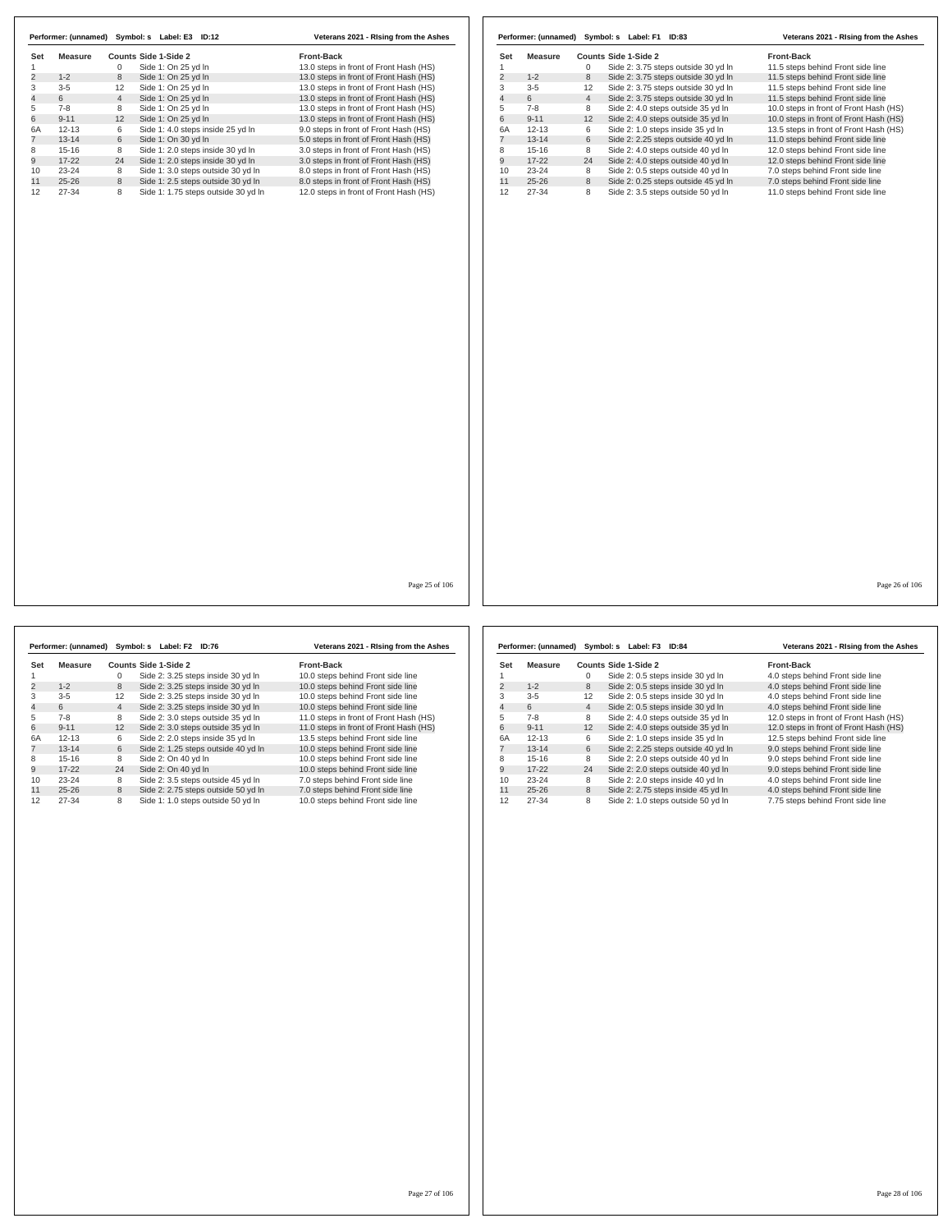| Set                 | <b>Measure</b> |                | <b>Counts Side 1-Side 2</b>         | Front-Back                             | Set            | <b>Measure</b> |                | <b>Counts Side 1-Side 2</b>         | Front-Back                             |
|---------------------|----------------|----------------|-------------------------------------|----------------------------------------|----------------|----------------|----------------|-------------------------------------|----------------------------------------|
| $\mathbf{1}$        |                | $\mathbf 0$    | Side 1: On 25 yd In                 | 13.0 steps in front of Front Hash (HS) | $\overline{1}$ |                | $\mathbf 0$    | Side 2: 3.75 steps outside 30 yd In | 11.5 steps behind Front side line      |
| $\overline{2}$      | $1 - 2$        | $\,$ 8 $\,$    | Side 1: On 25 yd In                 | 13.0 steps in front of Front Hash (HS) | $\overline{2}$ | $1 - 2$        | 8              | Side 2: 3.75 steps outside 30 yd In | 11.5 steps behind Front side line      |
| 3                   | $3-5$          | 12             | Side 1: On 25 yd In                 | 13.0 steps in front of Front Hash (HS) | 3              | $3 - 5$        | 12             | Side 2: 3.75 steps outside 30 yd In | 11.5 steps behind Front side line      |
| $\overline{4}$<br>5 | 6              | $\overline{4}$ | Side 1: On 25 yd In                 | 13.0 steps in front of Front Hash (HS) | $\overline{4}$ | 6              | $\overline{4}$ | Side 2: 3.75 steps outside 30 yd In | 11.5 steps behind Front side line      |
|                     | $7 - 8$        | 8              | Side 1: On 25 yd In                 | 13.0 steps in front of Front Hash (HS) | 5              | $7 - 8$        | 8              | Side 2: 4.0 steps outside 35 yd In  | 10.0 steps in front of Front Hash (HS) |
|                     | $9 - 11$       | 12             | Side 1: On 25 yd In                 | 13.0 steps in front of Front Hash (HS) | 6              | $9 - 11$       | 12             | Side 2: 4.0 steps outside 35 yd In  | 10.0 steps in front of Front Hash (HS) |
|                     | $12 - 13$      | 6              | Side 1: 4.0 steps inside 25 yd In   | 9.0 steps in front of Front Hash (HS)  | 6A             | $12 - 13$      | 6              | Side 2: 1.0 steps inside 35 yd In   | 13.5 steps in front of Front Hash (HS) |
|                     | $13 - 14$      | 6              | Side 1: On 30 yd In                 | 5.0 steps in front of Front Hash (HS)  | $\overline{7}$ | $13 - 14$      | 6              | Side 2: 2.25 steps outside 40 yd In | 11.0 steps behind Front side line      |
|                     | $15 - 16$      | 8              | Side 1: 2.0 steps inside 30 yd In   | 3.0 steps in front of Front Hash (HS)  | 8              | $15 - 16$      | 8              | Side 2: 4.0 steps outside 40 yd In  | 12.0 steps behind Front side line      |
|                     | $17 - 22$      | 24             | Side 1: 2.0 steps inside 30 yd In   | 3.0 steps in front of Front Hash (HS)  | $\overline{9}$ | $17 - 22$      | 24             | Side 2: 4.0 steps outside 40 yd In  | 12.0 steps behind Front side line      |
|                     | 23-24          | 8              | Side 1: 3.0 steps outside 30 yd In  | 8.0 steps in front of Front Hash (HS)  | 10             | $23 - 24$      | 8              | Side 2: 0.5 steps outside 40 yd In  | 7.0 steps behind Front side line       |
|                     | $25 - 26$      | 8              | Side 1: 2.5 steps outside 30 yd In  | 8.0 steps in front of Front Hash (HS)  | 11             | $25 - 26$      | 8              | Side 2: 0.25 steps outside 45 yd In | 7.0 steps behind Front side line       |
|                     | 27-34          | 8              | Side 1: 1.75 steps outside 30 yd In | 12.0 steps in front of Front Hash (HS) | 12             | 27-34          | 8              | Side 2: 3.5 steps outside 50 yd In  | 11.0 steps behind Front side line      |
|                     |                |                |                                     |                                        |                |                |                |                                     |                                        |
|                     |                |                |                                     | Page 25 of 106                         |                |                |                |                                     | Page 26 of 106                         |

|                |           |                | Performer: (unnamed) Symbol: s Label: F2 ID:76 |                                     | Veterans 2021 - Rising from the Ashes  |
|----------------|-----------|----------------|------------------------------------------------|-------------------------------------|----------------------------------------|
| Set            | Measure   |                | Counts Side 1-Side 2                           |                                     | Front-Back                             |
|                |           | 0              |                                                | Side 2: 3.25 steps inside 30 yd In  | 10.0 steps behind Front side line      |
| $\overline{2}$ | $1 - 2$   | 8              |                                                | Side 2: 3.25 steps inside 30 yd In  | 10.0 steps behind Front side line      |
| 3              | $3 - 5$   | 12             |                                                | Side 2: 3.25 steps inside 30 yd In  | 10.0 steps behind Front side line      |
| $\overline{4}$ | 6         | $\overline{4}$ |                                                | Side 2: 3.25 steps inside 30 yd In  | 10.0 steps behind Front side line      |
| 5              | $7 - 8$   | 8              |                                                | Side 2: 3.0 steps outside 35 yd In  | 11.0 steps in front of Front Hash (HS) |
| 6              | $9 - 11$  | 12             |                                                | Side 2: 3.0 steps outside 35 yd In  | 11.0 steps in front of Front Hash (HS) |
| 6A             | $12 - 13$ | 6              |                                                | Side 2: 2.0 steps inside 35 yd In   | 13.5 steps behind Front side line      |
| $\overline{7}$ | $13 - 14$ | 6              |                                                | Side 2: 1.25 steps outside 40 vd In | 10.0 steps behind Front side line      |
| 8              | $15 - 16$ | 8              | Side 2: On 40 yd In                            |                                     | 10.0 steps behind Front side line      |
| 9              | $17 - 22$ | 24             | Side 2: On 40 yd In                            |                                     | 10.0 steps behind Front side line      |
| 10             | $23 - 24$ | 8              |                                                | Side 2: 3.5 steps outside 45 yd In  | 7.0 steps behind Front side line       |
| 11             | $25 - 26$ | 8              |                                                | Side 2: 2.75 steps outside 50 yd In | 7.0 steps behind Front side line       |
| 12             | $27 - 34$ | 8              |                                                | Side 1: 1.0 steps outside 50 yd In  | 10.0 steps behind Front side line      |

l,

|     | Performer: (unnamed) |                | Symbol: s Label: F3 ID:84           | Veterans 2021 - Rising from the Ashes  |
|-----|----------------------|----------------|-------------------------------------|----------------------------------------|
| Set | Measure              |                | Counts Side 1-Side 2                | <b>Front-Back</b>                      |
|     |                      | 0              | Side 2: 0.5 steps inside 30 yd In   | 4.0 steps behind Front side line       |
| 2   | $1 - 2$              | 8              | Side 2: 0.5 steps inside 30 yd In   | 4.0 steps behind Front side line       |
| 3   | $3 - 5$              | 12             | Side 2: 0.5 steps inside 30 yd In   | 4.0 steps behind Front side line       |
| 4   | 6                    | $\overline{4}$ | Side 2: 0.5 steps inside 30 yd In   | 4.0 steps behind Front side line       |
| 5   | $7-8$                | 8              | Side 2: 4.0 steps outside 35 yd In  | 12.0 steps in front of Front Hash (HS) |
| 6   | $9 - 11$             | 12             | Side 2: 4.0 steps outside 35 yd In  | 12.0 steps in front of Front Hash (HS) |
| 6A  | $12 - 13$            | 6              | Side 2: 1.0 steps inside 35 yd In   | 12.5 steps behind Front side line      |
|     | $13 - 14$            | 6              | Side 2: 2.25 steps outside 40 yd In | 9.0 steps behind Front side line       |
| 8   | $15-16$              | 8              | Side 2: 2.0 steps outside 40 vd In  | 9.0 steps behind Front side line       |
| 9   | $17-22$              | 24             | Side 2: 2.0 steps outside 40 yd In  | 9.0 steps behind Front side line       |
| 10  | $23 - 24$            | 8              | Side 2: 2.0 steps inside 40 yd In   | 4.0 steps behind Front side line       |
| 11  | $25 - 26$            | 8              | Side 2: 2.75 steps inside 45 yd In  | 4.0 steps behind Front side line       |
| 12  | 27-34                | 8              | Side 2: 1.0 steps outside 50 yd In  | 7.75 steps behind Front side line      |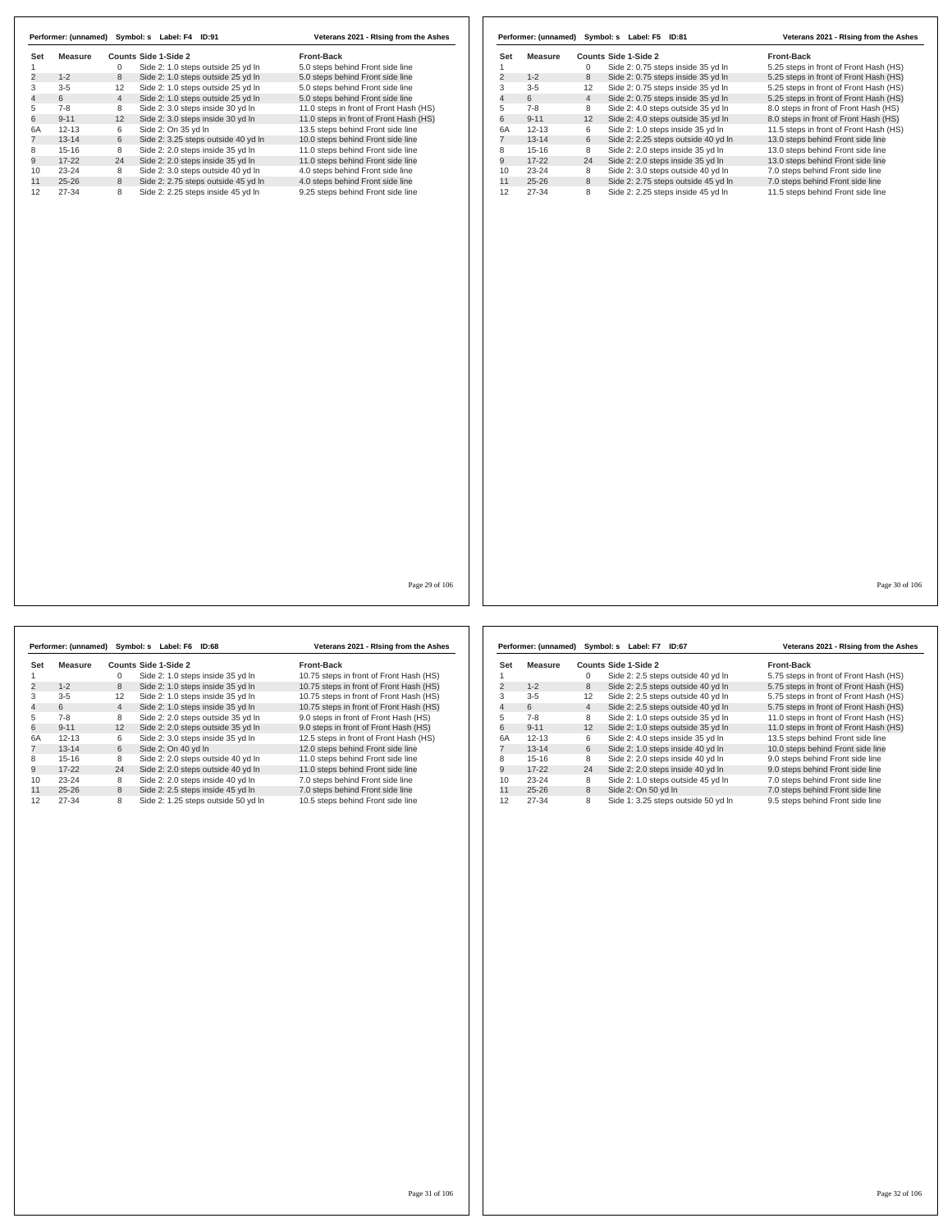|                | Performer: (unnamed) | Symbol: s      | Label: F4<br>ID:91                  | Veterans 2021 - Rising from the Ashes  |
|----------------|----------------------|----------------|-------------------------------------|----------------------------------------|
| Set            | Measure              |                | Counts Side 1-Side 2                | <b>Front-Back</b>                      |
|                |                      | 0              | Side 2: 1.0 steps outside 25 yd In  | 5.0 steps behind Front side line       |
| $\overline{2}$ | $1 - 2$              | 8              | Side 2: 1.0 steps outside 25 yd In  | 5.0 steps behind Front side line       |
| 3              | $3 - 5$              | 12             | Side 2: 1.0 steps outside 25 yd In  | 5.0 steps behind Front side line       |
| 4              | 6                    | $\overline{4}$ | Side 2: 1.0 steps outside 25 yd In  | 5.0 steps behind Front side line       |
| 5              | $7 - 8$              | 8              | Side 2: 3.0 steps inside 30 yd In   | 11.0 steps in front of Front Hash (HS) |
| 6              | $9 - 11$             | 12             | Side 2: 3.0 steps inside 30 yd In   | 11.0 steps in front of Front Hash (HS) |
| 6A             | $12 - 13$            | 6              | Side 2: On 35 yd In                 | 13.5 steps behind Front side line      |
|                | $13 - 14$            | 6              | Side 2: 3.25 steps outside 40 yd In | 10.0 steps behind Front side line      |
| 8              | $15 - 16$            | 8              | Side 2: 2.0 steps inside 35 yd In   | 11.0 steps behind Front side line      |
| 9              | $17-22$              | 24             | Side 2: 2.0 steps inside 35 yd In   | 11.0 steps behind Front side line      |
| 10             | $23 - 24$            | 8              | Side 2: 3.0 steps outside 40 yd In  | 4.0 steps behind Front side line       |
| 11             | $25 - 26$            | 8              | Side 2: 2.75 steps outside 45 yd In | 4.0 steps behind Front side line       |
| 12             | $27 - 34$            | 8              | Side 2: 2.25 steps inside 45 yd In  | 9.25 steps behind Front side line      |

|     | Performer: (unnamed) |                | Symbol: s Label: F5 ID:81           | Veterans 2021 - Rising from the Ashes  |
|-----|----------------------|----------------|-------------------------------------|----------------------------------------|
| Set | Measure              |                | Counts Side 1-Side 2                | <b>Front-Back</b>                      |
|     |                      | 0              | Side 2: 0.75 steps inside 35 yd In  | 5.25 steps in front of Front Hash (HS) |
| 2   | $1 - 2$              | 8              | Side 2: 0.75 steps inside 35 yd In  | 5.25 steps in front of Front Hash (HS) |
| 3   | $3 - 5$              | 12             | Side 2: 0.75 steps inside 35 yd In  | 5.25 steps in front of Front Hash (HS) |
| 4   | 6                    | $\overline{4}$ | Side 2: 0.75 steps inside 35 yd In  | 5.25 steps in front of Front Hash (HS) |
| 5   | $7 - 8$              | 8              | Side 2: 4.0 steps outside 35 yd In  | 8.0 steps in front of Front Hash (HS)  |
| 6   | $9 - 11$             | 12             | Side 2: 4.0 steps outside 35 yd In  | 8.0 steps in front of Front Hash (HS)  |
| 6A  | $12 - 13$            | 6              | Side 2: 1.0 steps inside 35 yd In   | 11.5 steps in front of Front Hash (HS) |
|     | $13 - 14$            | 6              | Side 2: 2.25 steps outside 40 yd In | 13.0 steps behind Front side line      |
| 8   | $15 - 16$            | 8              | Side 2: 2.0 steps inside 35 vd In   | 13.0 steps behind Front side line      |
| 9   | $17 - 22$            | 24             | Side 2: 2.0 steps inside 35 yd In   | 13.0 steps behind Front side line      |
| 10  | $23 - 24$            | 8              | Side 2: 3.0 steps outside 40 yd In  | 7.0 steps behind Front side line       |
| 11  | $25 - 26$            | 8              | Side 2: 2.75 steps outside 45 yd In | 7.0 steps behind Front side line       |
| 12  | 27-34                | 8              | Side 2: 2.25 steps inside 45 yd In  | 11.5 steps behind Front side line      |

Page 29 of 106

|                | Performer: (unnamed) |                | Symbol: s<br>Label: F6 ID:68        | Veterans 2021 - Rising from the Ashes   |                | Performer: (unnamed) | Symbol:         |   |
|----------------|----------------------|----------------|-------------------------------------|-----------------------------------------|----------------|----------------------|-----------------|---|
| Set            | <b>Measure</b>       |                | Counts Side 1-Side 2                | <b>Front-Back</b>                       | Set            | <b>Measure</b>       | <b>Counts S</b> |   |
|                |                      | 0              | Side 2: 1.0 steps inside 35 yd In   | 10.75 steps in front of Front Hash (HS) |                |                      |                 |   |
| $\overline{c}$ | $1 - 2$              | 8              | Side 2: 1.0 steps inside 35 yd In   | 10.75 steps in front of Front Hash (HS) | $\overline{2}$ | $1 - 2$              | 8               |   |
| 3              | $3 - 5$              | 12             | Side 2: 1.0 steps inside 35 yd In   | 10.75 steps in front of Front Hash (HS) | 3              | $3 - 5$              | 12              | S |
| $\overline{4}$ | 6                    | $\overline{4}$ | Side 2: 1.0 steps inside 35 yd In   | 10.75 steps in front of Front Hash (HS) | 4              | 6                    | 4               |   |
| 5              | $7 - 8$              | 8              | Side 2: 2.0 steps outside 35 yd In  | 9.0 steps in front of Front Hash (HS)   | 5              | $7 - 8$              | 8               |   |
| 6              | $9 - 11$             | 12             | Side 2: 2.0 steps outside 35 yd In  | 9.0 steps in front of Front Hash (HS)   | 6              | $9 - 11$             | 12              |   |
| 6A             | $12 - 13$            | 6              | Side 2: 3.0 steps inside 35 yd In   | 12.5 steps in front of Front Hash (HS)  | 6A             | $12 - 13$            | 6               |   |
| 7              | $13 - 14$            | 6              | Side 2: On 40 vd In                 | 12.0 steps behind Front side line       |                | $13 - 14$            | 6               |   |
| 8              | $15-16$              | 8              | Side 2: 2.0 steps outside 40 vd In  | 11.0 steps behind Front side line       | 8              | $15 - 16$            | 8               |   |
| 9              | $17 - 22$            | 24             | Side 2: 2.0 steps outside 40 yd In  | 11.0 steps behind Front side line       | 9              | $17 - 22$            | 24              |   |
| 10             | $23 - 24$            | 8              | Side 2: 2.0 steps inside 40 yd In   | 7.0 steps behind Front side line        | 10             | $23 - 24$            | 8               | S |
| 11             | $25 - 26$            | 8              | Side 2: 2.5 steps inside 45 vd ln   | 7.0 steps behind Front side line        | 11             | $25 - 26$            | 8               |   |
| 12             | 27-34                | 8              | Side 2: 1.25 steps outside 50 yd In | 10.5 steps behind Front side line       | 12             | $27 - 34$            | 8               |   |

|                | Performer: (unnamed) |                | Symbol: s Label: F7 ID:67           | Veterans 2021 - Rising from the Ashes  |
|----------------|----------------------|----------------|-------------------------------------|----------------------------------------|
| Set            | Measure              |                | Counts Side 1-Side 2                | <b>Front-Back</b>                      |
| 1              |                      | 0              | Side 2: 2.5 steps outside 40 yd In  | 5.75 steps in front of Front Hash (HS) |
| $\overline{2}$ | $1 - 2$              | 8              | Side 2: 2.5 steps outside 40 yd In  | 5.75 steps in front of Front Hash (HS) |
| 3              | $3 - 5$              | 12             | Side 2: 2.5 steps outside 40 yd In  | 5.75 steps in front of Front Hash (HS) |
| 4              | 6                    | $\overline{4}$ | Side 2: 2.5 steps outside 40 yd In  | 5.75 steps in front of Front Hash (HS) |
| 5              | $7-8$                | 8              | Side 2: 1.0 steps outside 35 yd In  | 11.0 steps in front of Front Hash (HS) |
| 6              | $9 - 11$             | 12             | Side 2: 1.0 steps outside 35 yd In  | 11.0 steps in front of Front Hash (HS) |
| 6A             | $12 - 13$            | 6              | Side 2: 4.0 steps inside 35 yd In   | 13.5 steps behind Front side line      |
| $\overline{7}$ | $13 - 14$            | 6              | Side 2: 1.0 steps inside 40 yd In   | 10.0 steps behind Front side line      |
| 8              | $15 - 16$            | 8              | Side 2: 2.0 steps inside 40 yd In   | 9.0 steps behind Front side line       |
| 9              | $17 - 22$            | 24             | Side 2: 2.0 steps inside 40 yd In   | 9.0 steps behind Front side line       |
| 10             | $23 - 24$            | 8              | Side 2: 1.0 steps outside 45 yd In  | 7.0 steps behind Front side line       |
| 11             | $25 - 26$            | 8              | Side 2: On 50 yd In                 | 7.0 steps behind Front side line       |
| 12             | $27 - 34$            | 8              | Side 1: 3.25 steps outside 50 yd In | 9.5 steps behind Front side line       |

Page 30 of 106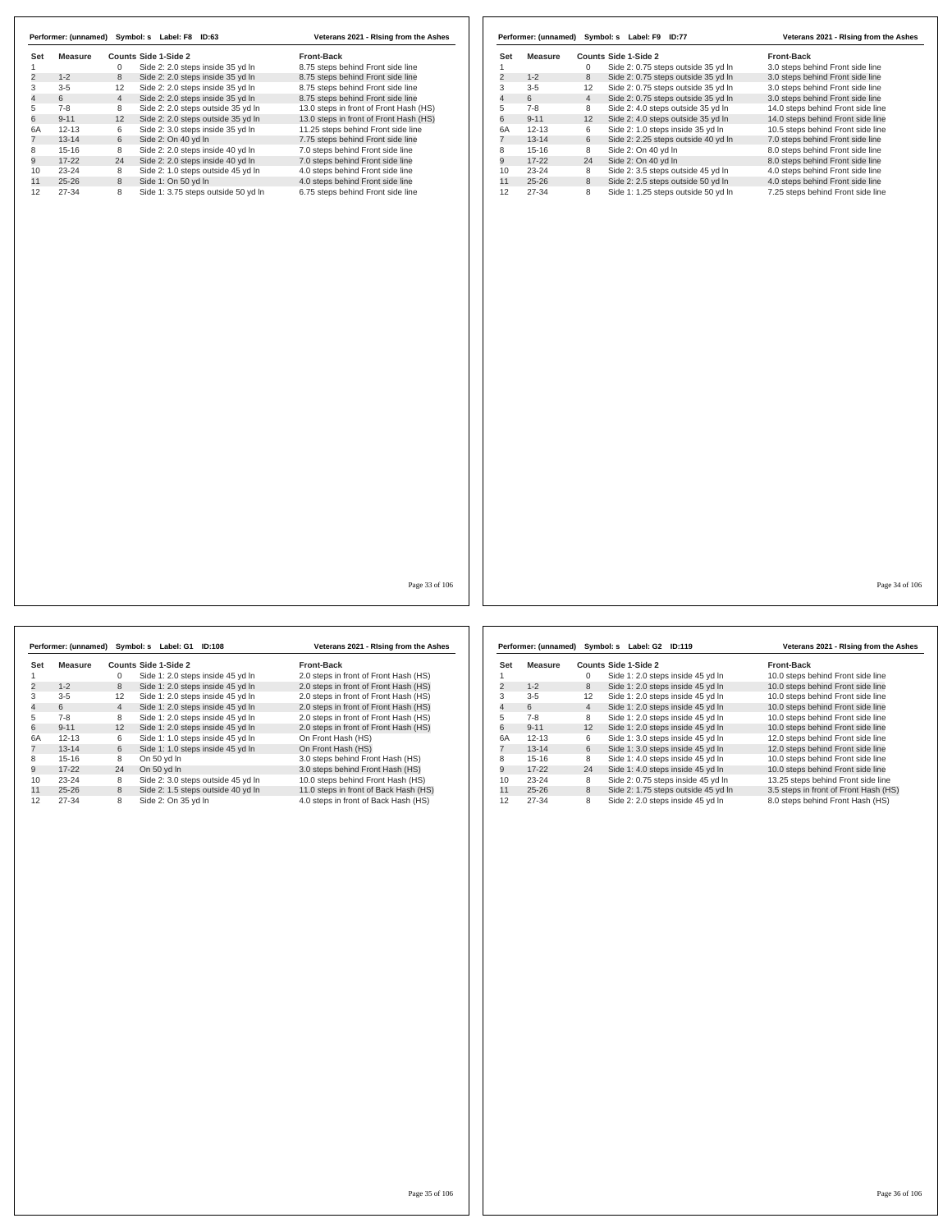| Side 2: 2.0 steps inside 35 yd In<br>8.75 steps behind Front side line<br>1<br>0<br>2<br>$1 - 2$<br>8<br>Side 2: 2.0 steps inside 35 yd In<br>8.75 steps behind Front side line<br>3<br>$3 - 5$<br>12<br>Side 2: 2.0 steps inside 35 yd In<br>8.75 steps behind Front side line<br>4<br>6<br>$\overline{4}$<br>Side 2: 2.0 steps inside 35 yd In<br>8.75 steps behind Front side line<br>5<br>$7 - 8$<br>8<br>Side 2: 2.0 steps outside 35 yd In<br>13.0 steps in front of Front Hash (HS)<br>6<br>$9 - 11$<br>12<br>Side 2: 2.0 steps outside 35 yd In<br>13.0 steps in front of Front Hash (HS)<br>6<br>6A<br>$12 - 13$<br>Side 2: 3.0 steps inside 35 yd In<br>11.25 steps behind Front side line<br>$\overline{7}$<br>$13 - 14$<br>6<br>Side 2: On 40 yd In<br>7.75 steps behind Front side line<br>Side 2: 2.0 steps inside 40 yd In<br>$15 - 16$<br>8<br>7.0 steps behind Front side line<br>8<br>9<br>$17 - 22$<br>24<br>Side 2: 2.0 steps inside 40 yd In<br>7.0 steps behind Front side line<br>$23 - 24$<br>8<br>Side 2: 1.0 steps outside 45 yd In<br>10<br>4.0 steps behind Front side line<br>11<br>$25 - 26$<br>8<br>Side 1: On 50 yd In<br>4.0 steps behind Front side line<br>$27 - 34$<br>12<br>8<br>Side 1: 3.75 steps outside 50 yd In<br>6.75 steps behind Front side line | Set | <b>Measure</b> | <b>Counts Side 1-Side 2</b> | Front-Back |
|------------------------------------------------------------------------------------------------------------------------------------------------------------------------------------------------------------------------------------------------------------------------------------------------------------------------------------------------------------------------------------------------------------------------------------------------------------------------------------------------------------------------------------------------------------------------------------------------------------------------------------------------------------------------------------------------------------------------------------------------------------------------------------------------------------------------------------------------------------------------------------------------------------------------------------------------------------------------------------------------------------------------------------------------------------------------------------------------------------------------------------------------------------------------------------------------------------------------------------------------------------------------------------------------|-----|----------------|-----------------------------|------------|
|                                                                                                                                                                                                                                                                                                                                                                                                                                                                                                                                                                                                                                                                                                                                                                                                                                                                                                                                                                                                                                                                                                                                                                                                                                                                                                |     |                |                             |            |
|                                                                                                                                                                                                                                                                                                                                                                                                                                                                                                                                                                                                                                                                                                                                                                                                                                                                                                                                                                                                                                                                                                                                                                                                                                                                                                |     |                |                             |            |
|                                                                                                                                                                                                                                                                                                                                                                                                                                                                                                                                                                                                                                                                                                                                                                                                                                                                                                                                                                                                                                                                                                                                                                                                                                                                                                |     |                |                             |            |
|                                                                                                                                                                                                                                                                                                                                                                                                                                                                                                                                                                                                                                                                                                                                                                                                                                                                                                                                                                                                                                                                                                                                                                                                                                                                                                |     |                |                             |            |
|                                                                                                                                                                                                                                                                                                                                                                                                                                                                                                                                                                                                                                                                                                                                                                                                                                                                                                                                                                                                                                                                                                                                                                                                                                                                                                |     |                |                             |            |
|                                                                                                                                                                                                                                                                                                                                                                                                                                                                                                                                                                                                                                                                                                                                                                                                                                                                                                                                                                                                                                                                                                                                                                                                                                                                                                |     |                |                             |            |
|                                                                                                                                                                                                                                                                                                                                                                                                                                                                                                                                                                                                                                                                                                                                                                                                                                                                                                                                                                                                                                                                                                                                                                                                                                                                                                |     |                |                             |            |
|                                                                                                                                                                                                                                                                                                                                                                                                                                                                                                                                                                                                                                                                                                                                                                                                                                                                                                                                                                                                                                                                                                                                                                                                                                                                                                |     |                |                             |            |
|                                                                                                                                                                                                                                                                                                                                                                                                                                                                                                                                                                                                                                                                                                                                                                                                                                                                                                                                                                                                                                                                                                                                                                                                                                                                                                |     |                |                             |            |
|                                                                                                                                                                                                                                                                                                                                                                                                                                                                                                                                                                                                                                                                                                                                                                                                                                                                                                                                                                                                                                                                                                                                                                                                                                                                                                |     |                |                             |            |
|                                                                                                                                                                                                                                                                                                                                                                                                                                                                                                                                                                                                                                                                                                                                                                                                                                                                                                                                                                                                                                                                                                                                                                                                                                                                                                |     |                |                             |            |
|                                                                                                                                                                                                                                                                                                                                                                                                                                                                                                                                                                                                                                                                                                                                                                                                                                                                                                                                                                                                                                                                                                                                                                                                                                                                                                |     |                |                             |            |
|                                                                                                                                                                                                                                                                                                                                                                                                                                                                                                                                                                                                                                                                                                                                                                                                                                                                                                                                                                                                                                                                                                                                                                                                                                                                                                |     |                |                             |            |
|                                                                                                                                                                                                                                                                                                                                                                                                                                                                                                                                                                                                                                                                                                                                                                                                                                                                                                                                                                                                                                                                                                                                                                                                                                                                                                |     |                |                             |            |
|                                                                                                                                                                                                                                                                                                                                                                                                                                                                                                                                                                                                                                                                                                                                                                                                                                                                                                                                                                                                                                                                                                                                                                                                                                                                                                |     |                |                             |            |
|                                                                                                                                                                                                                                                                                                                                                                                                                                                                                                                                                                                                                                                                                                                                                                                                                                                                                                                                                                                                                                                                                                                                                                                                                                                                                                |     |                |                             |            |
|                                                                                                                                                                                                                                                                                                                                                                                                                                                                                                                                                                                                                                                                                                                                                                                                                                                                                                                                                                                                                                                                                                                                                                                                                                                                                                |     |                |                             |            |
|                                                                                                                                                                                                                                                                                                                                                                                                                                                                                                                                                                                                                                                                                                                                                                                                                                                                                                                                                                                                                                                                                                                                                                                                                                                                                                |     |                |                             |            |

|                |           |                | Performer: (unnamed) Symbol: s Label: F9<br><b>ID:77</b> | Veterans 2021 - Rising from the Ashes |
|----------------|-----------|----------------|----------------------------------------------------------|---------------------------------------|
| Set            | Measure   |                | Counts Side 1-Side 2                                     | <b>Front-Back</b>                     |
| 1              |           | 0              | Side 2: 0.75 steps outside 35 yd In                      | 3.0 steps behind Front side line      |
| $\overline{2}$ | $1 - 2$   | 8              | Side 2: 0.75 steps outside 35 yd In                      | 3.0 steps behind Front side line      |
| 3              | $3 - 5$   | 12             | Side 2: 0.75 steps outside 35 yd In                      | 3.0 steps behind Front side line      |
| $\overline{4}$ | 6         | $\overline{4}$ | Side 2: 0.75 steps outside 35 yd In                      | 3.0 steps behind Front side line      |
| 5              | $7-8$     | 8              | Side 2: 4.0 steps outside 35 vd In                       | 14.0 steps behind Front side line     |
| 6              | $9 - 11$  | 12             | Side 2: 4.0 steps outside 35 vd In                       | 14.0 steps behind Front side line     |
| 6A             | $12 - 13$ | 6              | Side 2: 1.0 steps inside 35 yd In                        | 10.5 steps behind Front side line     |
| 7              | $13 - 14$ | 6              | Side 2: 2.25 steps outside 40 yd In                      | 7.0 steps behind Front side line      |
| 8              | $15 - 16$ | 8              | Side 2: On 40 yd In                                      | 8.0 steps behind Front side line      |
| 9              | $17 - 22$ | 24             | Side 2: On 40 yd In                                      | 8.0 steps behind Front side line      |
| 10             | $23 - 24$ | 8              | Side 2: 3.5 steps outside 45 yd In                       | 4.0 steps behind Front side line      |
| 11             | $25 - 26$ | 8              | Side 2: 2.5 steps outside 50 vd In                       | 4.0 steps behind Front side line      |
| 12             | $27 - 34$ | 8              | Side 1: 1.25 steps outside 50 yd In                      | 7.25 steps behind Front side line     |

Page 33 of 106

**Set Measure Counts Side 1-Side 2 Front-Back**<br>1 0 Side 1: 2.0 steps inside 45 yd ln 2.0 steps in 2<br>2 1-2 8 Side 1: 2.0 steps inside 45 yd ln 2.0 steps in 1 0 Side 1: 2.0 steps inside 45 yd ln 2.0 steps in front of Front Hash (HS)<br>2 1-2 8 Side 1: 2.0 steps inside 45 yd ln 2.0 steps in front of Front Hash (HS) 2 1-2 8 Side 1: 2.0 steps inside 45 yd ln<br>
2.0 steps in front of Front Hash (HS)<br>
3 3-5 12 Side 1: 2.0 steps inside 45 yd ln 2.0 steps in front of Front Hash (HS) 3 3-5 12 Side 1: 2.0 steps inside 45 yd ln 2.0 steps in front of Front Hash (HS)<br>4 6 4 Side 1: 2.0 steps inside 45 yd ln 2.0 steps in front of Front Hash (HS) 4 6 4 Side 1: 2.0 steps inside 45 yd ln 2.0 steps in front of Front Hash (HS)<br>5 7-8 8 Side 1: 2.0 steps inside 45 yd ln 2.0 steps in front of Front Hash (HS)<br>6 9-11 12 Side 1: 2.0 steps inside 45 yd ln 2.0 steps in front o 5 7-8 8 Side 1: 2.0 steps inside 45 yd ln 2.0 steps in front of Front Hash (HS) 6 9-11 12 Side 1: 2.0 steps inside 45 yd ln 2.0 steps in front of Front Hash (HS) 6A 12-13 6 Side 1: 1.0 steps inside 45 yd ln On Front Hash (HS) 7 13-14 6 Side 1: 1.0 steps inside 45 yd ln On Front Hash (HS) 8 15-16 8 On 50 yd ln 3.0 steps behind Front Hash (HS) 9 17-22 24 On 50 yd ln 3.0 steps behind Front Hash (HS) 10 23-24 8 Side 2: 3.0 steps outside 45 yd ln 10.0 steps behind Front Hash (HS) 11 25-26 8 Side 2: 1.5 steps outside 40 yd ln 11.0 steps in front of Back Hash (HS) 4.0 steps in front of Back Hash (HS) **Performer: (unnamed) Symbol: s Label: G1 ID:108 Veterans 2021 - RIsing from the Ashes**

**Set Measure Counts Side 1-Side 2 Front-Back**<br>1 0 Side 1: 2.0 steps inside 45 yd In 10.0 steps b<br>2 1-2 8 Side 1: 2.0 steps inside 45 yd In 10.0 steps b 1 0 Side 1: 2.0 steps inside 45 yd ln 10.0 steps behind Front side line 2 1-2 8 Side 1: 2.0 steps inside 45 yd ln 10.0 steps behind Front side line 3 3-5 12 Side 1: 2.0 steps inside 45 yd ln 10.0 steps behind Front side line 4 6 4 Side 1: 2.0 steps inside 45 yd In 10.0 steps behind Front side line<br>5 7-8 8 Side 1: 2.0 steps inside 45 yd In 10.0 steps behind Front side line<br>6 9-11 12 Side 1: 2.0 steps inside 45 yd In 10.0 steps behind Front side 5 7-8 8 Side 1: 2.0 steps inside 45 yd ln 10.0 steps behind Front side line 6 9-11 12 Side 1: 2.0 steps inside 45 yd ln 10.0 steps behind Front side line 6A 12-13 6 Side 1: 3.0 steps inside 45 yd ln 12.0 steps behind Front side line 7 13-14 6 Side 1: 3.0 steps inside 45 yd ln 12.0 steps behind Front side line 8 15-16 8 Side 1: 4.0 steps inside 45 yd ln 10.0 steps behind Front side line 9 17-22 24 Side 1: 4.0 steps inside 45 yd ln 10.0 steps behind Front side line 10 23-24 8 Side 2: 0.75 steps inside 45 yd ln 13.25 steps behind Front side line 11 25-26 8 Side 2: 1.75 steps outside 45 yd ln 3.5 steps in front of Front Hash (HS)<br>12 27-34 8 Side 2: 2.0 steps inside 45 yd ln 8.0 steps behind Front Hash (HS) 8.0 steps behind Front Hash (HS) **Performer: (unnamed) Symbol: s Label: G2 ID:119 Veterans 2021 - RIsing from the Ashes**

Page 34 of 106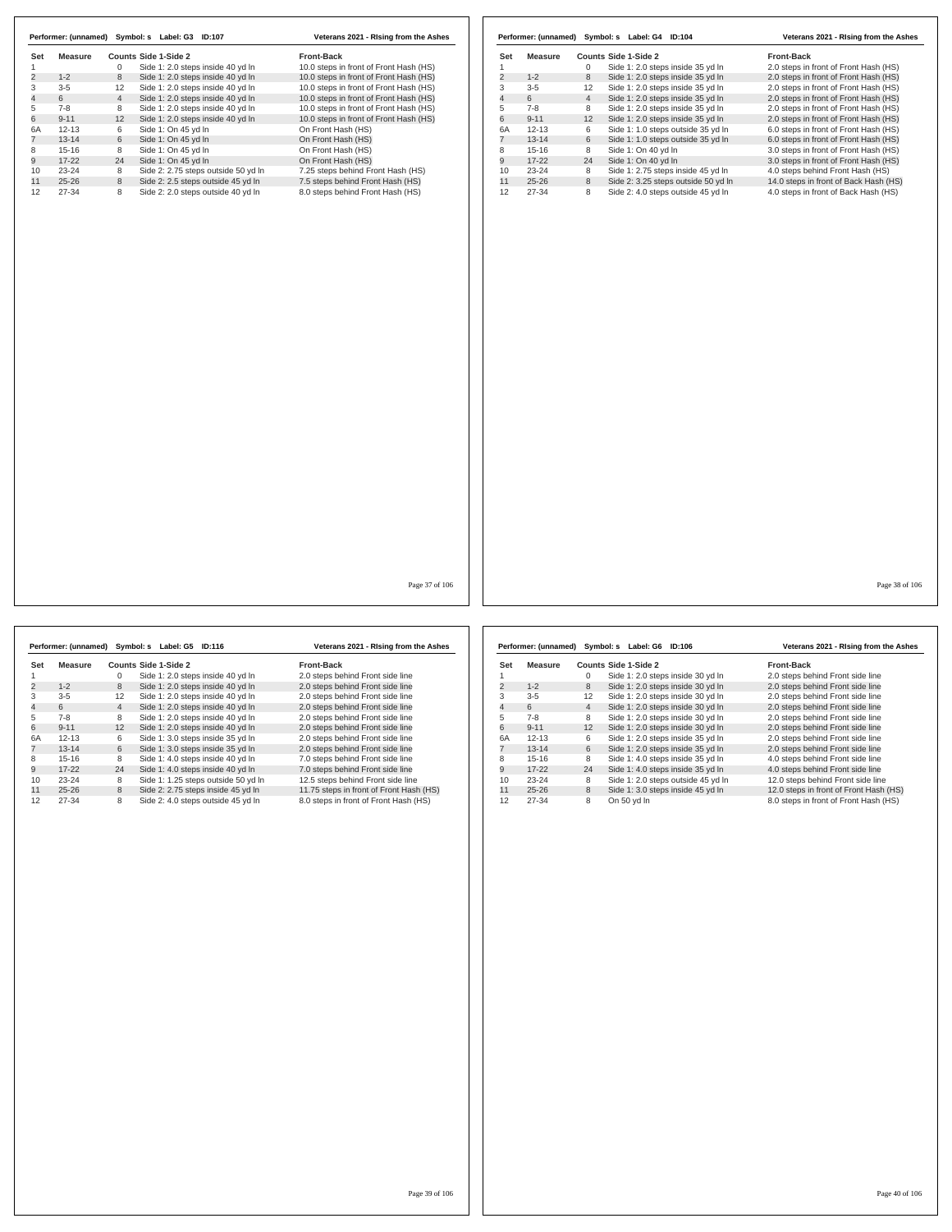|                     |                |                | Performer: (unnamed) Symbol: s Label: G3 ID:107 | Veterans 2021 - Rising from the Ashes  |                |                |                      | Performer: (unnamed) Symbol: s Label: G4 ID:104 | Veterans 2021 - Rising from the Ashes |
|---------------------|----------------|----------------|-------------------------------------------------|----------------------------------------|----------------|----------------|----------------------|-------------------------------------------------|---------------------------------------|
|                     |                |                |                                                 |                                        |                |                |                      |                                                 |                                       |
| Set                 | <b>Measure</b> |                | Counts Side 1-Side 2                            | Front-Back                             | Set            | <b>Measure</b> |                      | Counts Side 1-Side 2                            | Front-Back                            |
|                     |                | $\mathbf 0$    | Side 1: 2.0 steps inside 40 yd In               | 10.0 steps in front of Front Hash (HS) | $\mathbf{1}$   |                | $\mathbf 0$          | Side 1: 2.0 steps inside 35 yd In               | 2.0 steps in front of Front Hash (HS) |
| $\overline{2}$      | $1 - 2$        | 8              | Side 1: 2.0 steps inside 40 yd In               | 10.0 steps in front of Front Hash (HS) | $\overline{2}$ | $1 - 2$        | 8                    | Side 1: 2.0 steps inside 35 yd In               | 2.0 steps in front of Front Hash (HS) |
| 3<br>$\overline{4}$ | $3 - 5$<br>6   | 12             | Side 1: 2.0 steps inside 40 yd In               | 10.0 steps in front of Front Hash (HS) | 3              | $3 - 5$<br>6   | 12<br>$\overline{4}$ | Side 1: 2.0 steps inside 35 yd In               | 2.0 steps in front of Front Hash (HS) |
|                     |                | $\overline{4}$ | Side 1: 2.0 steps inside 40 yd In               | 10.0 steps in front of Front Hash (HS) | $\overline{4}$ |                |                      | Side 1: 2.0 steps inside 35 yd In               | 2.0 steps in front of Front Hash (HS) |
| 5                   | $7 - 8$        | 8              | Side 1: 2.0 steps inside 40 yd In               | 10.0 steps in front of Front Hash (HS) | 5              | $7 - 8$        | 8                    | Side 1: 2.0 steps inside 35 yd In               | 2.0 steps in front of Front Hash (HS) |
| 6                   | $9 - 11$       | 12             | Side 1: 2.0 steps inside 40 yd In               | 10.0 steps in front of Front Hash (HS) | 6              | $9 - 11$       | 12                   | Side 1: 2.0 steps inside 35 yd In               | 2.0 steps in front of Front Hash (HS) |
| 6A                  | $12 - 13$      | 6              | Side 1: On 45 yd In                             | On Front Hash (HS)                     | 6A             | $12 - 13$      | 6                    | Side 1: 1.0 steps outside 35 yd In              | 6.0 steps in front of Front Hash (HS) |
| $\overline{7}$      | $13 - 14$      | 6              | Side 1: On 45 yd In                             | On Front Hash (HS)                     | $\overline{7}$ | $13 - 14$      | 6                    | Side 1: 1.0 steps outside 35 yd In              | 6.0 steps in front of Front Hash (HS) |
| 8                   | $15 - 16$      | 8              | Side 1: On 45 yd In                             | On Front Hash (HS)                     | 8              | $15 - 16$      | 8                    | Side 1: On 40 yd In                             | 3.0 steps in front of Front Hash (HS) |
| 9                   | $17 - 22$      | 24             | Side 1: On 45 yd In                             | On Front Hash (HS)                     | 9              | $17 - 22$      | 24                   | Side 1: On 40 yd In                             | 3.0 steps in front of Front Hash (HS) |
| 10                  | $23 - 24$      | 8              | Side 2: 2.75 steps outside 50 yd In             | 7.25 steps behind Front Hash (HS)      | 10             | $23 - 24$      | 8                    | Side 1: 2.75 steps inside 45 yd In              | 4.0 steps behind Front Hash (HS)      |
| 11                  | $25 - 26$      | 8              | Side 2: 2.5 steps outside 45 yd In              | 7.5 steps behind Front Hash (HS)       | 11             | $25 - 26$      | 8                    | Side 2: 3.25 steps outside 50 yd In             | 14.0 steps in front of Back Hash (HS) |
| 12                  | $27 - 34$      | 8              | Side 2: 2.0 steps outside 40 yd In              | 8.0 steps behind Front Hash (HS)       | 12             | 27-34          | 8                    | Side 2: 4.0 steps outside 45 yd In              | 4.0 steps in front of Back Hash (HS)  |
|                     |                |                |                                                 |                                        |                |                |                      |                                                 |                                       |
|                     |                |                |                                                 | Page 37 of 106                         |                |                |                      |                                                 | Page 38 of 106                        |
|                     |                |                |                                                 |                                        |                |                |                      |                                                 |                                       |

|                | Performer: (unnamed) |                | Symbol: s Label: G5  | <b>ID:116</b>                       | Veterans 2021 - Rising from the Ashes   |
|----------------|----------------------|----------------|----------------------|-------------------------------------|-----------------------------------------|
| Set            | Measure              |                | Counts Side 1-Side 2 |                                     | Front-Back                              |
|                |                      | 0              |                      | Side 1: 2.0 steps inside 40 yd In   | 2.0 steps behind Front side line        |
| $\overline{2}$ | $1 - 2$              | 8              |                      | Side 1: 2.0 steps inside 40 yd In   | 2.0 steps behind Front side line        |
| 3              | $3 - 5$              | 12             |                      | Side 1: 2.0 steps inside 40 yd In   | 2.0 steps behind Front side line        |
| 4              | 6                    | $\overline{4}$ |                      | Side 1: 2.0 steps inside 40 yd In   | 2.0 steps behind Front side line        |
| 5              | $7 - 8$              | 8              |                      | Side 1: 2.0 steps inside 40 yd In   | 2.0 steps behind Front side line        |
| 6              | $9 - 11$             | 12             |                      | Side 1: 2.0 steps inside 40 yd In   | 2.0 steps behind Front side line        |
| 6A             | $12 - 13$            | 6              |                      | Side 1: 3.0 steps inside 35 yd In   | 2.0 steps behind Front side line        |
|                | $13 - 14$            | 6              |                      | Side 1: 3.0 steps inside 35 yd In   | 2.0 steps behind Front side line        |
| 8              | $15 - 16$            | 8              |                      | Side 1: 4.0 steps inside 40 yd In   | 7.0 steps behind Front side line        |
| 9              | $17 - 22$            | 24             |                      | Side 1: 4.0 steps inside 40 yd In   | 7.0 steps behind Front side line        |
| 10             | $23 - 24$            | 8              |                      | Side 1: 1.25 steps outside 50 yd In | 12.5 steps behind Front side line       |
| 11             | $25 - 26$            | 8              |                      | Side 2: 2.75 steps inside 45 yd In  | 11.75 steps in front of Front Hash (HS) |
| 12             | 27-34                | 8              |                      | Side 2: 4.0 steps outside 45 yd In  | 8.0 steps in front of Front Hash (HS)   |

|     | Performer: (unnamed) |                | Symbol: s<br>Label: G6 | ID:106                             | Veterans 2021 - Rising from the Ashes  |
|-----|----------------------|----------------|------------------------|------------------------------------|----------------------------------------|
| Set | Measure              |                | Counts Side 1-Side 2   |                                    | Front-Back                             |
|     |                      | 0              |                        | Side 1: 2.0 steps inside 30 yd In  | 2.0 steps behind Front side line       |
| 2   | $1 - 2$              | 8              |                        | Side 1: 2.0 steps inside 30 yd In  | 2.0 steps behind Front side line       |
| 3   | $3 - 5$              | 12             |                        | Side 1: 2.0 steps inside 30 yd In  | 2.0 steps behind Front side line       |
| 4   | 6                    | $\overline{4}$ |                        | Side 1: 2.0 steps inside 30 yd In  | 2.0 steps behind Front side line       |
| 5   | $7 - 8$              | 8              |                        | Side 1: 2.0 steps inside 30 yd In  | 2.0 steps behind Front side line       |
| 6   | $9 - 11$             | 12             |                        | Side 1: 2.0 steps inside 30 yd In  | 2.0 steps behind Front side line       |
| 6A  | $12 - 13$            | 6              |                        | Side 1: 2.0 steps inside 35 yd In  | 2.0 steps behind Front side line       |
|     | $13 - 14$            | 6              |                        | Side 1: 2.0 steps inside 35 yd In  | 2.0 steps behind Front side line       |
| 8   | $15-16$              | 8              |                        | Side 1: 4.0 steps inside 35 yd In  | 4.0 steps behind Front side line       |
| 9   | $17 - 22$            | 24             |                        | Side 1: 4.0 steps inside 35 yd In  | 4.0 steps behind Front side line       |
| 10  | $23 - 24$            | 8              |                        | Side 1: 2.0 steps outside 45 yd In | 12.0 steps behind Front side line      |
| 11  | $25 - 26$            | 8              |                        | Side 1: 3.0 steps inside 45 yd In  | 12.0 steps in front of Front Hash (HS) |
| 12  | 27-34                | 8              | On 50 yd In            |                                    | 8.0 steps in front of Front Hash (HS)  |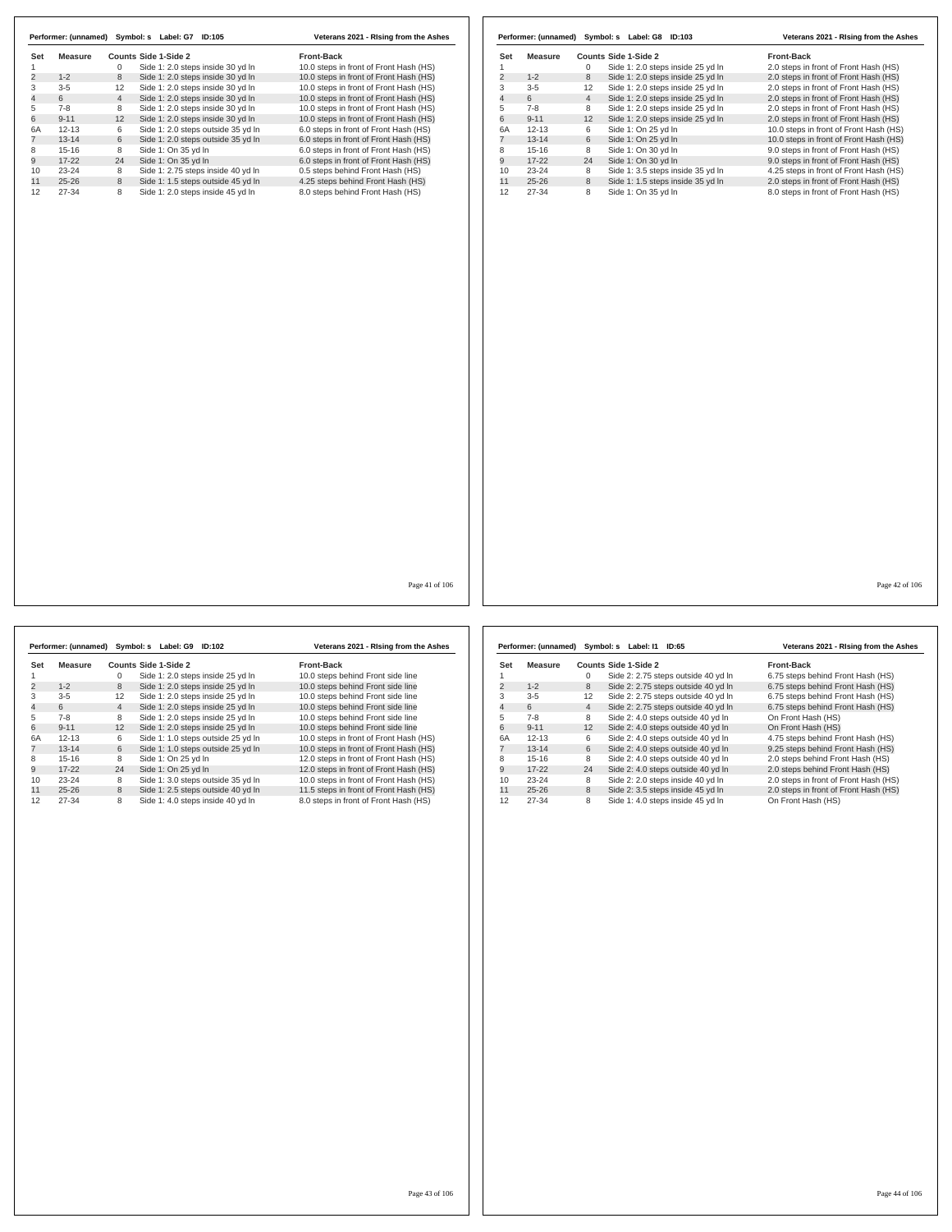|                |                | Performer: (unnamed) Symbol: s Label: G7 ID:105 |                                    | Veterans 2021 - Rising from the Ashes  |                |                |                 |                | Performer: (unnamed) Symbol: s Label: G8 ID:103 | Veterans 2021 - Rising from the Ashes  |
|----------------|----------------|-------------------------------------------------|------------------------------------|----------------------------------------|----------------|----------------|-----------------|----------------|-------------------------------------------------|----------------------------------------|
| Set            | <b>Measure</b> | Counts Side 1-Side 2                            |                                    | Front-Back                             |                | Set            | <b>Measure</b>  |                | Counts Side 1-Side 2                            | Front-Back                             |
| 1              |                | $\mathbf 0$                                     | Side 1: 2.0 steps inside 30 yd In  | 10.0 steps in front of Front Hash (HS) |                | 1              |                 | $\mathbf{0}$   | Side 1: 2.0 steps inside 25 yd In               | 2.0 steps in front of Front Hash (HS)  |
| $\overline{2}$ | $1 - 2$        | 8                                               | Side 1: 2.0 steps inside 30 yd In  | 10.0 steps in front of Front Hash (HS) |                | $\overline{2}$ | $1 - 2$         | 8              | Side 1: 2.0 steps inside 25 yd In               | 2.0 steps in front of Front Hash (HS)  |
| 3              | $3 - 5$        | 12                                              | Side 1: 2.0 steps inside 30 yd In  | 10.0 steps in front of Front Hash (HS) |                | 3              | $3 - 5$         | 12             | Side 1: 2.0 steps inside 25 yd In               | 2.0 steps in front of Front Hash (HS)  |
| $\overline{4}$ | 6              | $\overline{4}$                                  | Side 1: 2.0 steps inside 30 yd In  | 10.0 steps in front of Front Hash (HS) |                | $\overline{4}$ | $6\overline{6}$ | $\overline{4}$ | Side 1: 2.0 steps inside 25 yd In               | 2.0 steps in front of Front Hash (HS)  |
| 5              | $7 - 8$        | 8                                               | Side 1: 2.0 steps inside 30 yd In  | 10.0 steps in front of Front Hash (HS) |                | 5              | $7 - 8$         | 8              | Side 1: 2.0 steps inside 25 yd In               | 2.0 steps in front of Front Hash (HS)  |
| 6              | $9 - 11$       | 12                                              | Side 1: 2.0 steps inside 30 yd In  | 10.0 steps in front of Front Hash (HS) |                | 6              | $9 - 11$        | 12             | Side 1: 2.0 steps inside 25 yd In               | 2.0 steps in front of Front Hash (HS)  |
| 6A             | $12 - 13$      | 6                                               | Side 1: 2.0 steps outside 35 yd In | 6.0 steps in front of Front Hash (HS)  |                | 6A             | $12 - 13$       | 6              | Side 1: On 25 yd In                             | 10.0 steps in front of Front Hash (HS) |
| 7              | $13 - 14$      | 6                                               | Side 1: 2.0 steps outside 35 yd In | 6.0 steps in front of Front Hash (HS)  |                | $\overline{7}$ | $13 - 14$       | 6              | Side 1: On 25 yd In                             | 10.0 steps in front of Front Hash (HS) |
| 8              | $15 - 16$      | 8                                               | Side 1: On 35 yd In                | 6.0 steps in front of Front Hash (HS)  |                | 8              | $15 - 16$       | 8              | Side 1: On 30 yd In                             | 9.0 steps in front of Front Hash (HS)  |
| 9              | $17 - 22$      | 24                                              | Side 1: On 35 yd In                | 6.0 steps in front of Front Hash (HS)  |                | 9              | $17 - 22$       | 24             | Side 1: On 30 yd In                             | 9.0 steps in front of Front Hash (HS)  |
| 10             | 23-24          | 8                                               | Side 1: 2.75 steps inside 40 yd In | 0.5 steps behind Front Hash (HS)       |                | 10             | 23-24           | 8              | Side 1: 3.5 steps inside 35 yd In               | 4.25 steps in front of Front Hash (HS) |
| 11             | $25 - 26$      | 8                                               | Side 1: 1.5 steps outside 45 yd In | 4.25 steps behind Front Hash (HS)      |                | 11             | $25 - 26$       | 8              | Side 1: 1.5 steps inside 35 yd In               | 2.0 steps in front of Front Hash (HS)  |
|                |                | 8                                               |                                    |                                        |                |                |                 | 8              |                                                 |                                        |
| 12             | 27-34          |                                                 | Side 1: 2.0 steps inside 45 yd In  | 8.0 steps behind Front Hash (HS)       |                | 12             | 27-34           |                | Side 1: On 35 yd In                             | 8.0 steps in front of Front Hash (HS)  |
|                |                |                                                 |                                    |                                        |                |                |                 |                |                                                 |                                        |
|                |                |                                                 |                                    |                                        | Page 41 of 106 |                |                 |                |                                                 | Page 42 of 106                         |
|                |                |                                                 |                                    |                                        |                |                |                 |                |                                                 |                                        |

|     | Performer: (unnamed) |                | Symbol: s Label: G9  | <b>ID:102</b>                      | Veterans 2021 - Rising from the Ashes  |
|-----|----------------------|----------------|----------------------|------------------------------------|----------------------------------------|
| Set | Measure              |                | Counts Side 1-Side 2 |                                    | <b>Front-Back</b>                      |
|     |                      | $\Omega$       |                      | Side 1: 2.0 steps inside 25 yd In  | 10.0 steps behind Front side line      |
| 2   | $1 - 2$              | 8              |                      | Side 1: 2.0 steps inside 25 vd In  | 10.0 steps behind Front side line      |
| 3   | $3 - 5$              | 12             |                      | Side 1: 2.0 steps inside 25 yd In  | 10.0 steps behind Front side line      |
| 4   | 6                    | $\overline{4}$ |                      | Side 1: 2.0 steps inside 25 yd In  | 10.0 steps behind Front side line      |
| 5   | $7 - 8$              | 8              |                      | Side 1: 2.0 steps inside 25 yd In  | 10.0 steps behind Front side line      |
| 6   | $9 - 11$             | 12             |                      | Side 1: 2.0 steps inside 25 yd In  | 10.0 steps behind Front side line      |
| 6A  | $12 - 13$            | 6              |                      | Side 1: 1.0 steps outside 25 yd In | 10.0 steps in front of Front Hash (HS) |
|     | $13 - 14$            | 6              |                      | Side 1: 1.0 steps outside 25 yd In | 10.0 steps in front of Front Hash (HS) |
| 8   | $15 - 16$            | 8              | Side 1: On 25 yd In  |                                    | 12.0 steps in front of Front Hash (HS) |
| 9   | $17 - 22$            | 24             | Side 1: On 25 yd In  |                                    | 12.0 steps in front of Front Hash (HS) |
| 10  | $23 - 24$            | 8              |                      | Side 1: 3.0 steps outside 35 yd In | 10.0 steps in front of Front Hash (HS) |
| 11  | $25 - 26$            | 8              |                      | Side 1: 2.5 steps outside 40 yd In | 11.5 steps in front of Front Hash (HS) |
| 12  | $27 - 34$            | 8              |                      | Side 1: 4.0 steps inside 40 yd In  | 8.0 steps in front of Front Hash (HS)  |

|     | Performer: (unnamed) |                | Symbol: s Label: I1<br>ID:65        | Veterans 2021 - Rising from the Ashes |
|-----|----------------------|----------------|-------------------------------------|---------------------------------------|
| Set | Measure              |                | Counts Side 1-Side 2                | <b>Front-Back</b>                     |
|     |                      | 0              | Side 2: 2.75 steps outside 40 yd In | 6.75 steps behind Front Hash (HS)     |
| 2   | $1 - 2$              | 8              | Side 2: 2.75 steps outside 40 yd In | 6.75 steps behind Front Hash (HS)     |
| 3   | $3 - 5$              | 12             | Side 2: 2.75 steps outside 40 yd In | 6.75 steps behind Front Hash (HS)     |
| 4   | 6                    | $\overline{4}$ | Side 2: 2.75 steps outside 40 yd In | 6.75 steps behind Front Hash (HS)     |
| 5   | $7 - 8$              | 8              | Side 2: 4.0 steps outside 40 yd In  | On Front Hash (HS)                    |
| 6   | $9 - 11$             | 12             | Side 2: 4.0 steps outside 40 yd In  | On Front Hash (HS)                    |
| 6A  | $12 - 13$            | 6              | Side 2: 4.0 steps outside 40 yd In  | 4.75 steps behind Front Hash (HS)     |
|     | $13 - 14$            | 6              | Side 2: 4.0 steps outside 40 yd In  | 9.25 steps behind Front Hash (HS)     |
| 8   | $15 - 16$            | 8              | Side 2: 4.0 steps outside 40 vd In  | 2.0 steps behind Front Hash (HS)      |
| 9   | $17-22$              | 24             | Side 2: 4.0 steps outside 40 yd In  | 2.0 steps behind Front Hash (HS)      |
| 10  | $23 - 24$            | 8              | Side 2: 2.0 steps inside 40 yd In   | 2.0 steps in front of Front Hash (HS) |
| 11  | $25 - 26$            | 8              | Side 2: 3.5 steps inside 45 yd In   | 2.0 steps in front of Front Hash (HS) |
| 12  | 27-34                | 8              | Side 1: 4.0 steps inside 45 vd ln   | On Front Hash (HS)                    |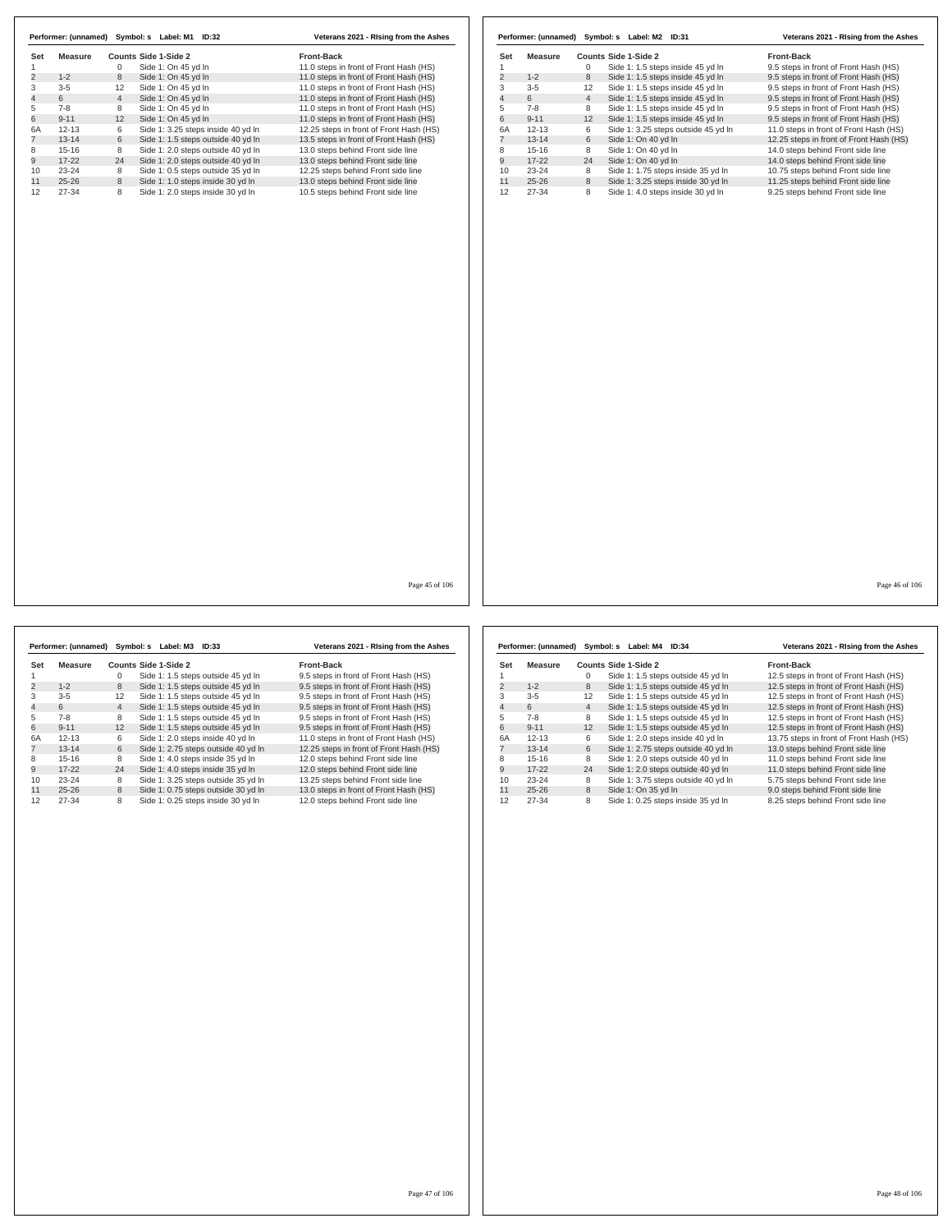|     | Performer: (unnamed) | Symbol: s      | Label: M1<br>ID:32                 | Veterans 2021 - Rising from the Ashes   |
|-----|----------------------|----------------|------------------------------------|-----------------------------------------|
| Set | Measure              |                | Counts Side 1-Side 2               | <b>Front-Back</b>                       |
|     |                      | 0              | Side 1: On 45 yd In                | 11.0 steps in front of Front Hash (HS)  |
| 2   | $1 - 2$              | 8              | Side 1: On 45 yd In                | 11.0 steps in front of Front Hash (HS)  |
| 3   | $3 - 5$              | 12             | Side 1: On 45 yd In                | 11.0 steps in front of Front Hash (HS)  |
| 4   | 6                    | $\overline{4}$ | Side 1: On 45 yd In                | 11.0 steps in front of Front Hash (HS)  |
| 5   | $7 - 8$              | 8              | Side 1: On 45 yd In                | 11.0 steps in front of Front Hash (HS)  |
| 6   | $9 - 11$             | 12             | Side 1: On 45 vd In                | 11.0 steps in front of Front Hash (HS)  |
| 6A  | $12 - 13$            | 6              | Side 1: 3.25 steps inside 40 yd In | 12.25 steps in front of Front Hash (HS) |
|     | $13 - 14$            | 6              | Side 1: 1.5 steps outside 40 yd In | 13.5 steps in front of Front Hash (HS)  |
| 8   | $15 - 16$            | 8              | Side 1: 2.0 steps outside 40 vd In | 13.0 steps behind Front side line       |
| 9   | $17 - 22$            | 24             | Side 1: 2.0 steps outside 40 yd In | 13.0 steps behind Front side line       |
| 10  | $23 - 24$            | 8              | Side 1: 0.5 steps outside 35 yd In | 12.25 steps behind Front side line      |
| 11  | $25 - 26$            | 8              | Side 1: 1.0 steps inside 30 yd In  | 13.0 steps behind Front side line       |
| 12  | 27-34                | 8              | Side 1: 2.0 steps inside 30 yd In  | 10.5 steps behind Front side line       |

|                | Performer: (unnamed) |                | Symbol: s Label: M2 ID:31           | Veterans 2021 - Rising from the Ashes   |
|----------------|----------------------|----------------|-------------------------------------|-----------------------------------------|
| Set            | Measure              |                | Counts Side 1-Side 2                | <b>Front-Back</b>                       |
|                |                      | 0              | Side 1: 1.5 steps inside 45 yd In   | 9.5 steps in front of Front Hash (HS)   |
| $\overline{2}$ | $1 - 2$              | 8              | Side 1: 1.5 steps inside 45 yd In   | 9.5 steps in front of Front Hash (HS)   |
| 3              | $3 - 5$              | 12             | Side 1: 1.5 steps inside 45 yd In   | 9.5 steps in front of Front Hash (HS)   |
| 4              | 6                    | $\overline{4}$ | Side 1: 1.5 steps inside 45 yd In   | 9.5 steps in front of Front Hash (HS)   |
| 5              | $7-8$                | 8              | Side 1: 1.5 steps inside 45 yd In   | 9.5 steps in front of Front Hash (HS)   |
| 6              | $9 - 11$             | 12             | Side 1: 1.5 steps inside 45 yd In   | 9.5 steps in front of Front Hash (HS)   |
| 6A             | $12 - 13$            | 6              | Side 1: 3.25 steps outside 45 yd In | 11.0 steps in front of Front Hash (HS)  |
|                | $13 - 14$            | 6              | Side 1: On 40 yd In                 | 12.25 steps in front of Front Hash (HS) |
| 8              | $15-16$              | 8              | Side 1: On 40 yd In                 | 14.0 steps behind Front side line       |
| 9              | $17-22$              | 24             | Side 1: On 40 yd In                 | 14.0 steps behind Front side line       |
| 10             | $23 - 24$            | 8              | Side 1: 1.75 steps inside 35 yd In  | 10.75 steps behind Front side line      |
| 11             | $25 - 26$            | 8              | Side 1: 3.25 steps inside 30 yd In  | 11.25 steps behind Front side line      |
| 12             | 27-34                | 8              | Side 1: 4.0 steps inside 30 yd In   | 9.25 steps behind Front side line       |

Page 45 of 106

|     | Performer: (unnamed) Symbol: s |                | Label: M3            | ID:33                               | Veterans 2021 - Rising from the Ashes   |
|-----|--------------------------------|----------------|----------------------|-------------------------------------|-----------------------------------------|
| Set | Measure                        |                | Counts Side 1-Side 2 |                                     | <b>Front-Back</b>                       |
|     |                                | 0              |                      | Side 1: 1.5 steps outside 45 yd In  | 9.5 steps in front of Front Hash (HS)   |
| 2   | $1 - 2$                        | 8              |                      | Side 1: 1.5 steps outside 45 yd In  | 9.5 steps in front of Front Hash (HS)   |
| 3   | $3 - 5$                        | 12             |                      | Side 1: 1.5 steps outside 45 yd In  | 9.5 steps in front of Front Hash (HS)   |
| 4   | 6                              | $\overline{4}$ |                      | Side 1: 1.5 steps outside 45 yd In  | 9.5 steps in front of Front Hash (HS)   |
| 5   | $7 - 8$                        | 8              |                      | Side 1: 1.5 steps outside 45 yd In  | 9.5 steps in front of Front Hash (HS)   |
| 6   | $9 - 11$                       | 12             |                      | Side 1: 1.5 steps outside 45 yd In  | 9.5 steps in front of Front Hash (HS)   |
| 6A  | $12 - 13$                      | 6              |                      | Side 1: 2.0 steps inside 40 yd In   | 11.0 steps in front of Front Hash (HS)  |
|     | $13 - 14$                      | 6              |                      | Side 1: 2.75 steps outside 40 yd In | 12.25 steps in front of Front Hash (HS) |
| 8   | $15 - 16$                      | 8              |                      | Side 1: 4.0 steps inside 35 yd In   | 12.0 steps behind Front side line       |
| 9   | $17 - 22$                      | 24             |                      | Side 1: 4.0 steps inside 35 yd In   | 12.0 steps behind Front side line       |
| 10  | $23 - 24$                      | 8              |                      | Side 1: 3.25 steps outside 35 yd In | 13.25 steps behind Front side line      |
| 11  | $25 - 26$                      | 8              |                      | Side 1: 0.75 steps outside 30 yd In | 13.0 steps in front of Front Hash (HS)  |
| 12  | 27-34                          | 8              |                      | Side 1: 0.25 steps inside 30 yd In  | 12.0 steps behind Front side line       |

|     | Performer: (unnamed) | Symbol: s      | Label: M4            | ID:34                               | Veterans 2021 - Rising from the Ashes   |
|-----|----------------------|----------------|----------------------|-------------------------------------|-----------------------------------------|
| Set | Measure              |                | Counts Side 1-Side 2 |                                     | <b>Front-Back</b>                       |
|     |                      | 0              |                      | Side 1: 1.5 steps outside 45 yd In  | 12.5 steps in front of Front Hash (HS)  |
| 2   | $1 - 2$              | 8              |                      | Side 1: 1.5 steps outside 45 yd In  | 12.5 steps in front of Front Hash (HS)  |
| 3   | $3 - 5$              | 12             |                      | Side 1: 1.5 steps outside 45 yd In  | 12.5 steps in front of Front Hash (HS)  |
| 4   | 6                    | $\overline{4}$ |                      | Side 1: 1.5 steps outside 45 yd In  | 12.5 steps in front of Front Hash (HS)  |
| 5   | $7 - 8$              | 8              |                      | Side 1: 1.5 steps outside 45 yd In  | 12.5 steps in front of Front Hash (HS)  |
| 6   | $9 - 11$             | 12             |                      | Side 1: 1.5 steps outside 45 yd In  | 12.5 steps in front of Front Hash (HS)  |
| 6A  | $12 - 13$            | 6              |                      | Side 1: 2.0 steps inside 40 yd In   | 13.75 steps in front of Front Hash (HS) |
|     | $13 - 14$            | 6              |                      | Side 1: 2.75 steps outside 40 yd In | 13.0 steps behind Front side line       |
| 8   | $15 - 16$            | 8              |                      | Side 1: 2.0 steps outside 40 yd In  | 11.0 steps behind Front side line       |
| 9   | $17 - 22$            | 24             |                      | Side 1: 2.0 steps outside 40 yd In  | 11.0 steps behind Front side line       |
| 10  | $23 - 24$            | 8              |                      | Side 1: 3.75 steps outside 40 yd In | 5.75 steps behind Front side line       |
| 11  | $25 - 26$            | 8              | Side 1: On 35 yd In  |                                     | 9.0 steps behind Front side line        |
| 12  | 27-34                | 8              |                      | Side 1: 0.25 steps inside 35 yd In  | 8.25 steps behind Front side line       |

Page 46 of 106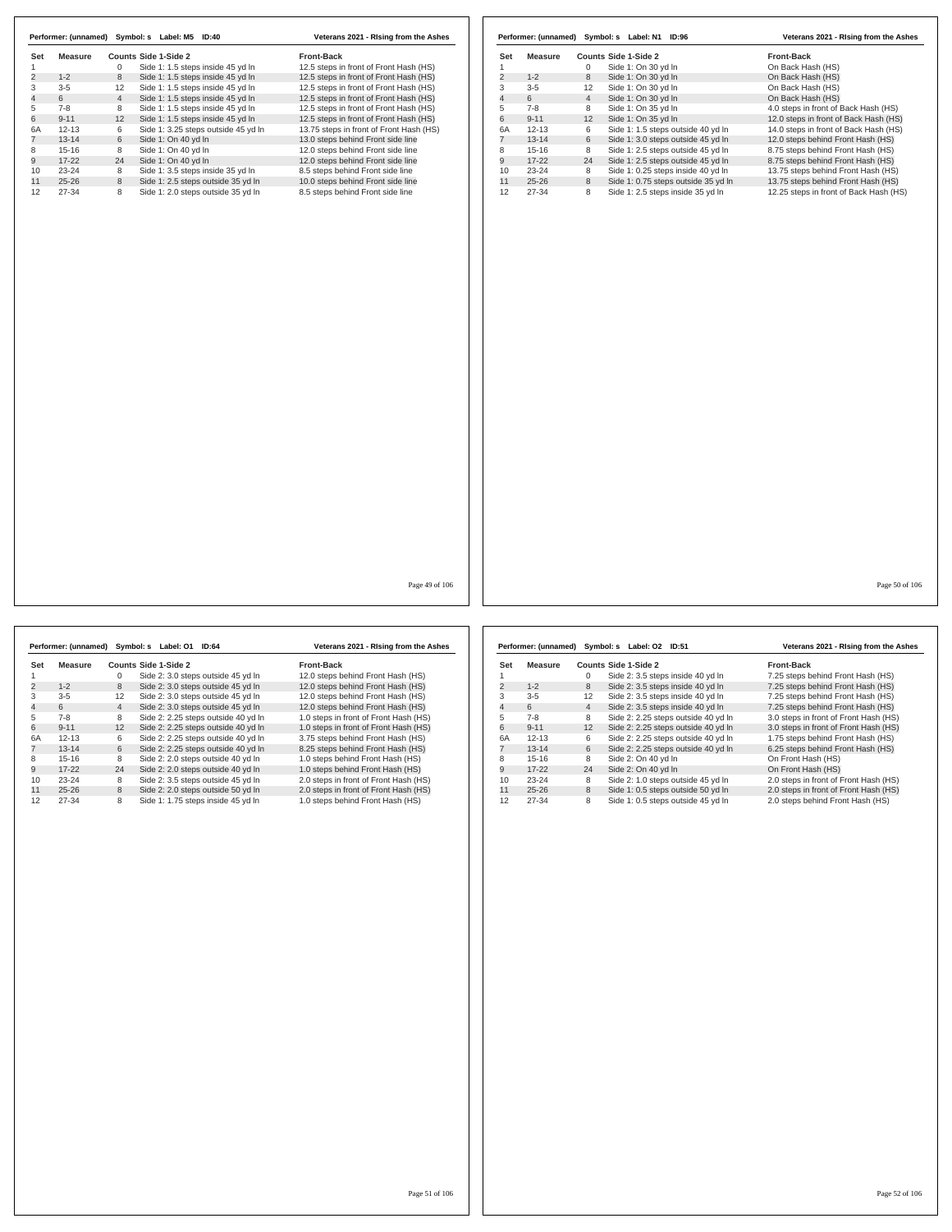|                | Performer: (unnamed) | Symbol: s      |                      | Label: M5 | ID:40                               | Veterans 2021 - Rising from the Ashes   |
|----------------|----------------------|----------------|----------------------|-----------|-------------------------------------|-----------------------------------------|
| Set            | Measure              |                | Counts Side 1-Side 2 |           |                                     | <b>Front-Back</b>                       |
|                |                      | 0              |                      |           | Side 1: 1.5 steps inside 45 yd In   | 12.5 steps in front of Front Hash (HS)  |
| $\overline{2}$ | $1 - 2$              | 8              |                      |           | Side 1: 1.5 steps inside 45 yd In   | 12.5 steps in front of Front Hash (HS)  |
| 3              | $3 - 5$              | 12             |                      |           | Side 1: 1.5 steps inside 45 yd In   | 12.5 steps in front of Front Hash (HS)  |
| $\overline{4}$ | 6                    | $\overline{4}$ |                      |           | Side 1: 1.5 steps inside 45 yd In   | 12.5 steps in front of Front Hash (HS)  |
| 5              | $7 - 8$              | 8              |                      |           | Side 1: 1.5 steps inside 45 yd In   | 12.5 steps in front of Front Hash (HS)  |
| 6              | $9 - 11$             | 12             |                      |           | Side 1: 1.5 steps inside 45 yd In   | 12.5 steps in front of Front Hash (HS)  |
| 6A             | $12 - 13$            | 6              |                      |           | Side 1: 3.25 steps outside 45 yd In | 13.75 steps in front of Front Hash (HS) |
|                | $13 - 14$            | 6              | Side 1: On 40 yd In  |           |                                     | 13.0 steps behind Front side line       |
| 8              | $15 - 16$            | 8              | Side 1: On 40 vd In  |           |                                     | 12.0 steps behind Front side line       |
| 9              | $17 - 22$            | 24             | Side 1: On 40 yd In  |           |                                     | 12.0 steps behind Front side line       |
| 10             | $23 - 24$            | 8              |                      |           | Side 1: 3.5 steps inside 35 yd In   | 8.5 steps behind Front side line        |
| 11             | $25 - 26$            | 8              |                      |           | Side 1: 2.5 steps outside 35 yd In  | 10.0 steps behind Front side line       |
| 12             | 27-34                | 8              |                      |           | Side 1: 2.0 steps outside 35 yd In  | 8.5 steps behind Front side line        |

|                |           |                   | Performer: (unnamed) Symbol: s Label: N1 | <b>ID:96</b>                        | Veterans 2021 - Rising from the Ashes  |
|----------------|-----------|-------------------|------------------------------------------|-------------------------------------|----------------------------------------|
| Set            | Measure   |                   | Counts Side 1-Side 2                     |                                     | <b>Front-Back</b>                      |
|                |           | $\Omega$          | Side 1: On 30 yd In                      |                                     | On Back Hash (HS)                      |
| $\overline{2}$ | $1 - 2$   | 8                 | Side 1: On 30 yd In                      |                                     | On Back Hash (HS)                      |
| 3              | $3 - 5$   | $12 \overline{ }$ | Side 1: On 30 yd In                      |                                     | On Back Hash (HS)                      |
| 4              | 6         | $\overline{4}$    | Side 1: On 30 yd In                      |                                     | On Back Hash (HS)                      |
| 5              | $7-8$     | 8                 | Side 1: On 35 yd In                      |                                     | 4.0 steps in front of Back Hash (HS)   |
| 6              | $9 - 11$  | 12                | Side 1: On 35 yd In                      |                                     | 12.0 steps in front of Back Hash (HS)  |
| 6A             | $12 - 13$ | 6                 |                                          | Side 1: 1.5 steps outside 40 yd In  | 14.0 steps in front of Back Hash (HS)  |
|                | $13 - 14$ | 6                 |                                          | Side 1: 3.0 steps outside 45 yd In  | 12.0 steps behind Front Hash (HS)      |
| 8              | $15 - 16$ | 8                 |                                          | Side 1: 2.5 steps outside 45 yd In  | 8.75 steps behind Front Hash (HS)      |
| 9              | $17-22$   | 24                |                                          | Side 1: 2.5 steps outside 45 yd In  | 8.75 steps behind Front Hash (HS)      |
| 10             | $23 - 24$ | 8                 |                                          | Side 1: 0.25 steps inside 40 yd In  | 13.75 steps behind Front Hash (HS)     |
| 11             | $25 - 26$ | 8                 |                                          | Side 1: 0.75 steps outside 35 yd In | 13.75 steps behind Front Hash (HS)     |
| 12             | 27-34     | 8                 |                                          | Side 1: 2.5 steps inside 35 yd In   | 12.25 steps in front of Back Hash (HS) |

Page 49 of 106

|                         | Performer: (unnamed) |                | Symbol: s Label: 01  | <b>ID:64</b>                        | Veterans 2021 - Rising from the Ashes |
|-------------------------|----------------------|----------------|----------------------|-------------------------------------|---------------------------------------|
| Set                     | Measure              |                | Counts Side 1-Side 2 |                                     | <b>Front-Back</b>                     |
|                         |                      | 0              |                      | Side 2: 3.0 steps outside 45 yd In  | 12.0 steps behind Front Hash (HS)     |
| $\overline{\mathbf{c}}$ | $1 - 2$              | 8              |                      | Side 2: 3.0 steps outside 45 vd In  | 12.0 steps behind Front Hash (HS)     |
| 3                       | $3 - 5$              | 12             |                      | Side 2: 3.0 steps outside 45 yd In  | 12.0 steps behind Front Hash (HS)     |
| $\overline{4}$          | 6                    | $\overline{4}$ |                      | Side 2: 3.0 steps outside 45 vd In  | 12.0 steps behind Front Hash (HS)     |
| 5                       | $7 - 8$              | 8              |                      | Side 2: 2.25 steps outside 40 yd In | 1.0 steps in front of Front Hash (HS) |
| 6                       | $9 - 11$             | 12             |                      | Side 2: 2.25 steps outside 40 yd In | 1.0 steps in front of Front Hash (HS) |
| 6A                      | $12 - 13$            | 6              |                      | Side 2: 2.25 steps outside 40 vd In | 3.75 steps behind Front Hash (HS)     |
| $\overline{7}$          | $13 - 14$            | 6              |                      | Side 2: 2.25 steps outside 40 vd In | 8.25 steps behind Front Hash (HS)     |
| 8                       | $15 - 16$            | 8              |                      | Side 2: 2.0 steps outside 40 vd In  | 1.0 steps behind Front Hash (HS)      |
| 9                       | $17 - 22$            | 24             |                      | Side 2: 2.0 steps outside 40 yd In  | 1.0 steps behind Front Hash (HS)      |
| 10                      | $23 - 24$            | 8              |                      | Side 2: 3.5 steps outside 45 yd In  | 2.0 steps in front of Front Hash (HS) |
| 11                      | $25 - 26$            | 8              |                      | Side 2: 2.0 steps outside 50 yd In  | 2.0 steps in front of Front Hash (HS) |
| 12                      | 27-34                | 8              |                      | Side 1: 1.75 steps inside 45 yd In  | 1.0 steps behind Front Hash (HS)      |

|                | Performer: (unnamed) |                | Symbol: s<br>Label: 02 ID:51        | Veterans 2021 - Rising from the Ashes |
|----------------|----------------------|----------------|-------------------------------------|---------------------------------------|
| Set            | Measure              |                | Counts Side 1-Side 2                | <b>Front-Back</b>                     |
|                |                      | 0              | Side 2: 3.5 steps inside 40 yd In   | 7.25 steps behind Front Hash (HS)     |
| $\overline{2}$ | $1 - 2$              | 8              | Side 2: 3.5 steps inside 40 yd In   | 7.25 steps behind Front Hash (HS)     |
| 3              | $3 - 5$              | 12             | Side 2: 3.5 steps inside 40 yd In   | 7.25 steps behind Front Hash (HS)     |
| 4              | 6                    | $\overline{4}$ | Side 2: 3.5 steps inside 40 yd In   | 7.25 steps behind Front Hash (HS)     |
| 5              | $7 - 8$              | 8              | Side 2: 2.25 steps outside 40 yd In | 3.0 steps in front of Front Hash (HS) |
| 6              | $9 - 11$             | 12             | Side 2: 2.25 steps outside 40 yd In | 3.0 steps in front of Front Hash (HS) |
| 6A             | $12 - 13$            | 6              | Side 2: 2.25 steps outside 40 yd In | 1.75 steps behind Front Hash (HS)     |
|                | $13 - 14$            | 6              | Side 2: 2.25 steps outside 40 yd In | 6.25 steps behind Front Hash (HS)     |
| 8              | $15-16$              | 8              | Side 2: On 40 vd In                 | On Front Hash (HS)                    |
| 9              | $17-22$              | 24             | Side 2: On 40 yd In                 | On Front Hash (HS)                    |
| 10             | $23 - 24$            | 8              | Side 2: 1.0 steps outside 45 yd In  | 2.0 steps in front of Front Hash (HS) |
| 11             | $25 - 26$            | 8              | Side 1: 0.5 steps outside 50 yd In  | 2.0 steps in front of Front Hash (HS) |
| 12             | 27-34                | 8              | Side 1: 0.5 steps outside 45 yd In  | 2.0 steps behind Front Hash (HS)      |

Page 50 of 106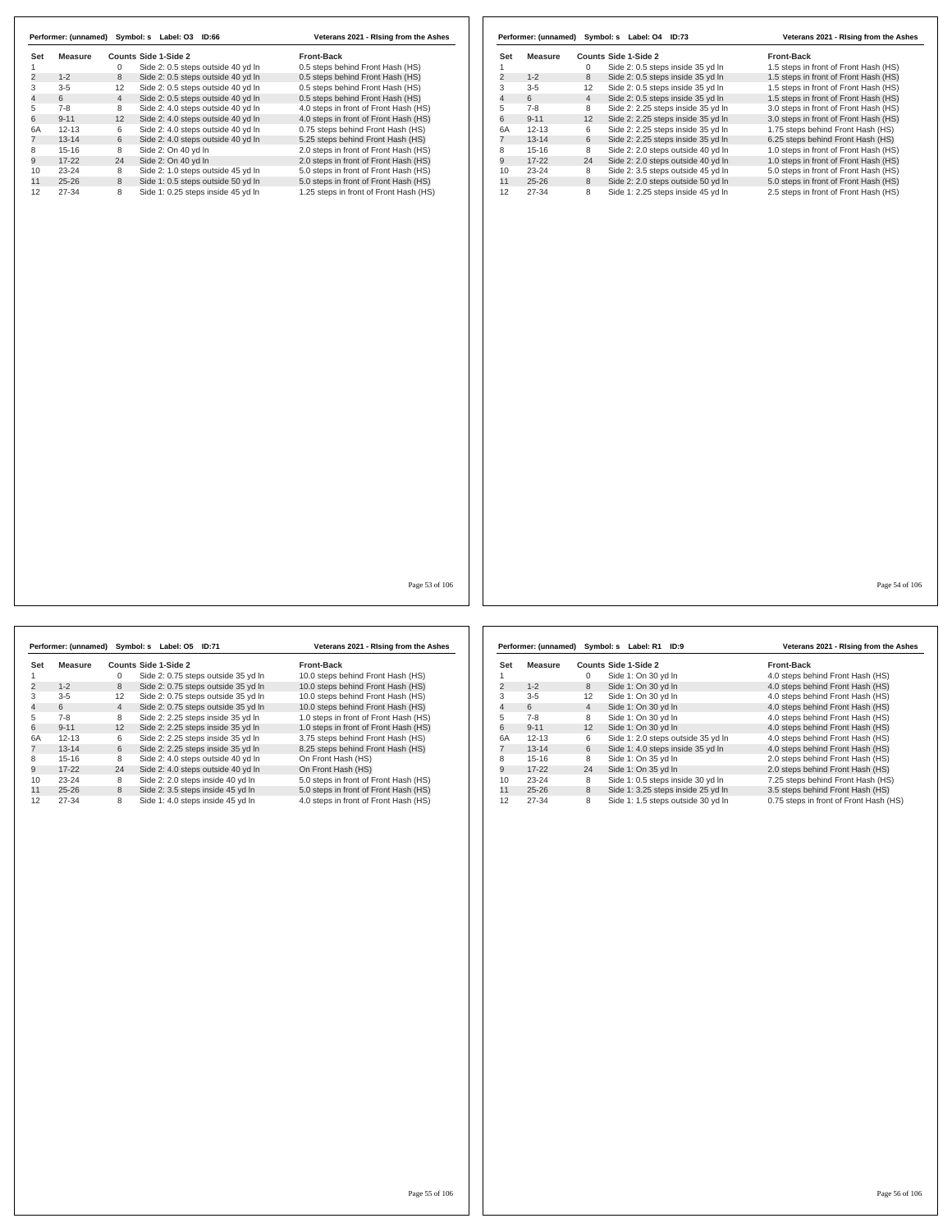|                |           |                | Performer: (unnamed) Symbol: s Label: 03 | ID:66                              | Veterans 2021 - Rising from the Ashes  |
|----------------|-----------|----------------|------------------------------------------|------------------------------------|----------------------------------------|
| Set            | Measure   |                | Counts Side 1-Side 2                     |                                    | <b>Front-Back</b>                      |
|                |           | $\Omega$       |                                          | Side 2: 0.5 steps outside 40 yd In | 0.5 steps behind Front Hash (HS)       |
| $\overline{2}$ | $1 - 2$   | 8              |                                          | Side 2: 0.5 steps outside 40 vd In | 0.5 steps behind Front Hash (HS)       |
| 3              | $3 - 5$   | 12             |                                          | Side 2: 0.5 steps outside 40 yd In | 0.5 steps behind Front Hash (HS)       |
| 4              | 6         | $\overline{4}$ |                                          | Side 2: 0.5 steps outside 40 yd In | 0.5 steps behind Front Hash (HS)       |
| 5              | $7-8$     | 8              |                                          | Side 2: 4.0 steps outside 40 yd In | 4.0 steps in front of Front Hash (HS)  |
| 6              | $9 - 11$  | 12             |                                          | Side 2: 4.0 steps outside 40 yd In | 4.0 steps in front of Front Hash (HS)  |
| 6A             | $12 - 13$ | 6              |                                          | Side 2: 4.0 steps outside 40 yd In | 0.75 steps behind Front Hash (HS)      |
|                | $13 - 14$ | 6              |                                          | Side 2: 4.0 steps outside 40 yd In | 5.25 steps behind Front Hash (HS)      |
| 8              | $15 - 16$ | 8              | Side 2: On 40 vd In                      |                                    | 2.0 steps in front of Front Hash (HS)  |
| 9              | $17-22$   | 24             | Side 2: On 40 yd In                      |                                    | 2.0 steps in front of Front Hash (HS)  |
| 10             | $23 - 24$ | 8              |                                          | Side 2: 1.0 steps outside 45 yd In | 5.0 steps in front of Front Hash (HS)  |
| 11             | $25 - 26$ | 8              |                                          | Side 1: 0.5 steps outside 50 yd In | 5.0 steps in front of Front Hash (HS)  |
| 12             | 27-34     | 8              |                                          | Side 1: 0.25 steps inside 45 yd In | 1.25 steps in front of Front Hash (HS) |

|                | Performer: (unnamed) |                | Symbol: s<br>Label: 04<br>ID:73    | Veterans 2021 - Rising from the Ashes |
|----------------|----------------------|----------------|------------------------------------|---------------------------------------|
| Set            | Measure              |                | Counts Side 1-Side 2               | <b>Front-Back</b>                     |
|                |                      | 0              | Side 2: 0.5 steps inside 35 yd In  | 1.5 steps in front of Front Hash (HS) |
| $\overline{2}$ | $1 - 2$              | 8              | Side 2: 0.5 steps inside 35 yd In  | 1.5 steps in front of Front Hash (HS) |
| 3              | $3 - 5$              | 12             | Side 2: 0.5 steps inside 35 yd In  | 1.5 steps in front of Front Hash (HS) |
| 4              | 6                    | $\overline{4}$ | Side 2: 0.5 steps inside 35 yd In  | 1.5 steps in front of Front Hash (HS) |
| 5              | $7 - 8$              | 8              | Side 2: 2.25 steps inside 35 yd In | 3.0 steps in front of Front Hash (HS) |
| 6              | $9 - 11$             | 12             | Side 2: 2.25 steps inside 35 yd In | 3.0 steps in front of Front Hash (HS) |
| 6A             | $12 - 13$            | 6              | Side 2: 2.25 steps inside 35 yd In | 1.75 steps behind Front Hash (HS)     |
|                | $13 - 14$            | 6              | Side 2: 2.25 steps inside 35 yd In | 6.25 steps behind Front Hash (HS)     |
| 8              | $15 - 16$            | 8              | Side 2: 2.0 steps outside 40 vd In | 1.0 steps in front of Front Hash (HS) |
| 9              | $17 - 22$            | 24             | Side 2: 2.0 steps outside 40 yd In | 1.0 steps in front of Front Hash (HS) |
| 10             | $23 - 24$            | 8              | Side 2: 3.5 steps outside 45 yd In | 5.0 steps in front of Front Hash (HS) |
| 11             | $25 - 26$            | 8              | Side 2: 2.0 steps outside 50 yd In | 5.0 steps in front of Front Hash (HS) |
| 12             | 27-34                | 8              | Side 1: 2.25 steps inside 45 vd In | 2.5 steps in front of Front Hash (HS) |

Page 53 of 106

**Set Measure Counts Side 1-Side 2**<br>1 0 Side 2: 0.75 steps outside 35 yd ln 10.0 steps behind Front Hash (HS)<br>2 1-2 8 Side 2: 0.75 steps outside 35 yd ln 10.0 steps behind Front Hash (HS) 1 0 Side 2: 0.75 steps outside 35 yd ln 10.0 steps behind Front Hash (HS) 2 1-2 8 Side 2: 0.75 steps outside 35 yd ln 10.0 steps behind Front Hash (HS) 3-5 12 Side 2: 0.75 steps outside 35 yd ln 10.0 steps behind Front Hash (HS) 4 6 4 Side 2: 0.75 steps outside 35 yd ln 10.0 steps behind Front Hash (HS) 7-8 8 Side 2: 2.25 steps inside 35 yd ln 1.0 steps in front of Front Hash (HS) 6 9-11 12 Side 2: 2.25 steps inside 35 yd ln 1.0 steps in front of Front Hash (HS) 6A 12-13 6 Side 2: 2.25 steps inside 35 yd ln 3.75 steps behind Front Hash (HS) 7 13-14 6 Side 2: 2.25 steps inside 35 yd ln 8.25 steps behind Front Hash (HS) 15-16 8 Side 2: 4.0 steps outside 40 yd ln On Front Hash (HS) 9 17-22 24 Side 2: 4.0 steps outside 40 yd ln On Front Hash (HS) 10 23-24 8 Side 2: 2.0 steps inside 40 yd In 5.0 steps in front of Front Hash (HS)<br>11 25-26 8 Side 2: 3.5 steps inside 45 yd In 5.0 steps in front of Front Hash (HS)<br>12 27-34 8 Side 1: 4.0 steps inside 45 yd In 4.0 steps i **Performer: (unnamed) Symbol: s Label: O5 ID:71 Veterans 2021 - RIsing from the Ashes**

|     | Performer: (unnamed) | Symbol: s      | Label: R1<br>ID:9                  | Veterans 2021 - Rising from the Ashes  |
|-----|----------------------|----------------|------------------------------------|----------------------------------------|
| Set | Measure              |                | Counts Side 1-Side 2               | <b>Front-Back</b>                      |
|     |                      | 0              | Side 1: On 30 yd In                | 4.0 steps behind Front Hash (HS)       |
| 2   | $1 - 2$              | 8              | Side 1: On 30 yd In                | 4.0 steps behind Front Hash (HS)       |
| 3   | $3 - 5$              | 12             | Side 1: On 30 yd In                | 4.0 steps behind Front Hash (HS)       |
| 4   | 6                    | $\overline{4}$ | Side 1: On 30 yd In                | 4.0 steps behind Front Hash (HS)       |
| 5   | $7-8$                | 8              | Side 1: On 30 yd In                | 4.0 steps behind Front Hash (HS)       |
| 6   | $9 - 11$             | 12             | Side 1: On 30 yd In                | 4.0 steps behind Front Hash (HS)       |
| 6A  | $12 - 13$            | 6              | Side 1: 2.0 steps outside 35 yd In | 4.0 steps behind Front Hash (HS)       |
|     | $13 - 14$            | 6              | Side 1: 4.0 steps inside 35 yd In  | 4.0 steps behind Front Hash (HS)       |
| 8   | $15-16$              | 8              | Side 1: On 35 yd In                | 2.0 steps behind Front Hash (HS)       |
| 9   | $17-22$              | 24             | Side 1: On 35 yd In                | 2.0 steps behind Front Hash (HS)       |
| 10  | $23 - 24$            | 8              | Side 1: 0.5 steps inside 30 yd In  | 7.25 steps behind Front Hash (HS)      |
| 11  | $25 - 26$            | 8              | Side 1: 3.25 steps inside 25 yd In | 3.5 steps behind Front Hash (HS)       |
| 12  | 27-34                | 8              | Side 1: 1.5 steps outside 30 yd In | 0.75 steps in front of Front Hash (HS) |

Page 54 of 106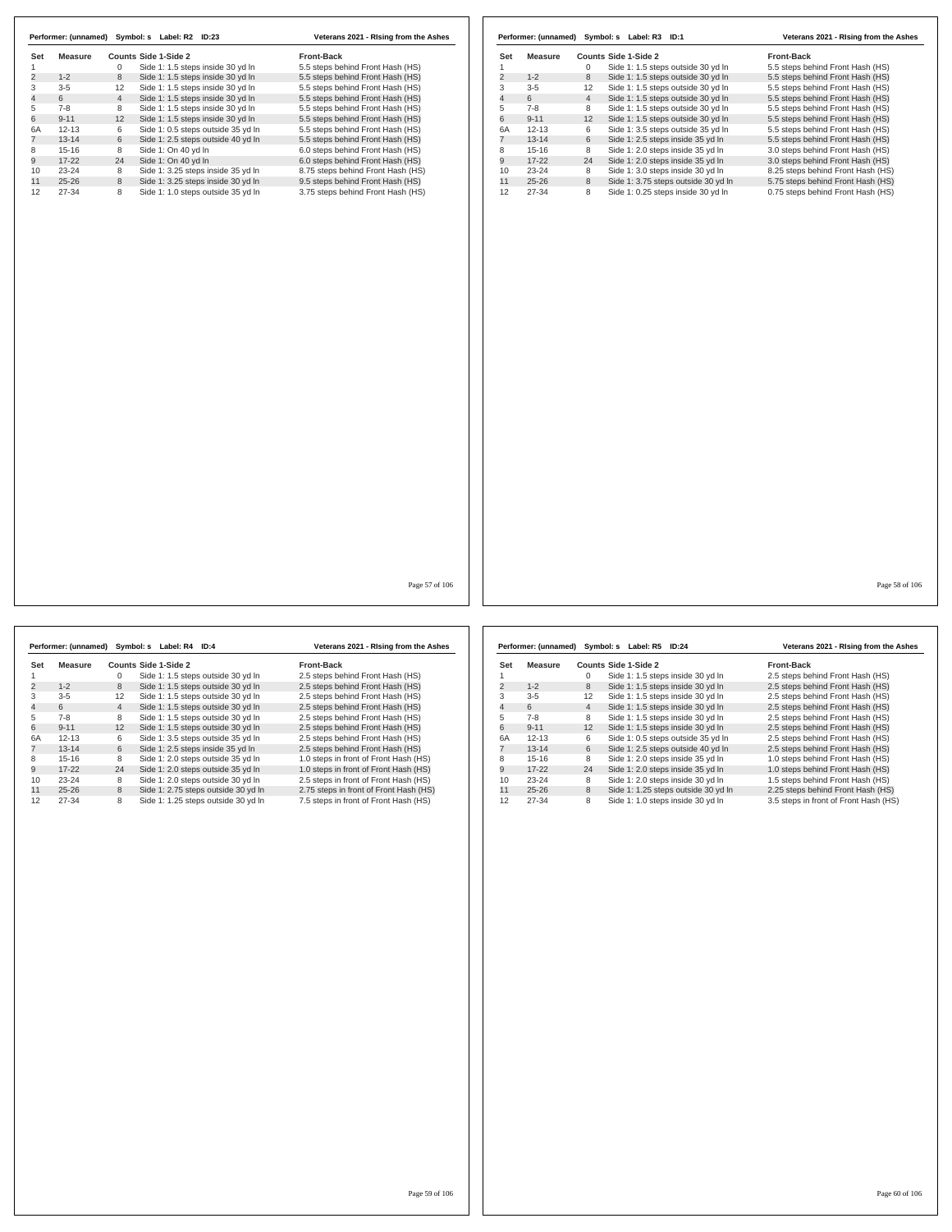|     |           |                 | Performer: (unnamed) Symbol: s Label: R2 ID:23 | Veterans 2021 - Rising from the Ashes |
|-----|-----------|-----------------|------------------------------------------------|---------------------------------------|
| Set | Measure   |                 | Counts Side 1-Side 2                           | <b>Front-Back</b>                     |
|     |           | 0               | Side 1: 1.5 steps inside 30 yd In              | 5.5 steps behind Front Hash (HS)      |
| 2   | $1 - 2$   | 8               | Side 1: 1.5 steps inside 30 yd In              | 5.5 steps behind Front Hash (HS)      |
| 3   | $3 - 5$   | 12              | Side 1: 1.5 steps inside 30 yd In              | 5.5 steps behind Front Hash (HS)      |
| 4   | 6         | $\overline{4}$  | Side 1: 1.5 steps inside 30 yd In              | 5.5 steps behind Front Hash (HS)      |
| 5   | $7-8$     | 8               | Side 1: 1.5 steps inside 30 yd In              | 5.5 steps behind Front Hash (HS)      |
| 6   | $9 - 11$  | 12 <sup>2</sup> | Side 1: 1.5 steps inside 30 yd In              | 5.5 steps behind Front Hash (HS)      |
| 6A  | $12 - 13$ | 6               | Side 1: 0.5 steps outside 35 yd In             | 5.5 steps behind Front Hash (HS)      |
|     | $13 - 14$ | 6               | Side 1: 2.5 steps outside 40 yd In             | 5.5 steps behind Front Hash (HS)      |
| 8   | $15 - 16$ | 8               | Side 1: On 40 yd In                            | 6.0 steps behind Front Hash (HS)      |
| 9   | $17-22$   | 24              | Side 1: On 40 yd In                            | 6.0 steps behind Front Hash (HS)      |
| 10  | $23 - 24$ | 8               | Side 1: 3.25 steps inside 35 yd In             | 8.75 steps behind Front Hash (HS)     |
| 11  | $25 - 26$ | 8               | Side 1: 3.25 steps inside 30 yd In             | 9.5 steps behind Front Hash (HS)      |
| 12  | 27-34     | 8               | Side 1: 1.0 steps outside 35 vd In             | 3.75 steps behind Front Hash (HS)     |

|     | Performer: (unnamed) |                | Symbol: s<br>Label: R3 ID:1         | Veterans 2021 - Rising from the Ashes |
|-----|----------------------|----------------|-------------------------------------|---------------------------------------|
| Set | Measure              |                | Counts Side 1-Side 2                | <b>Front-Back</b>                     |
|     |                      | $\Omega$       | Side 1: 1.5 steps outside 30 yd In  | 5.5 steps behind Front Hash (HS)      |
| 2   | $1 - 2$              | 8              | Side 1: 1.5 steps outside 30 yd In  | 5.5 steps behind Front Hash (HS)      |
| 3   | $3 - 5$              | 12             | Side 1: 1.5 steps outside 30 yd In  | 5.5 steps behind Front Hash (HS)      |
| 4   | 6                    | $\overline{4}$ | Side 1: 1.5 steps outside 30 yd In  | 5.5 steps behind Front Hash (HS)      |
| 5   | $7 - 8$              | 8              | Side 1: 1.5 steps outside 30 yd In  | 5.5 steps behind Front Hash (HS)      |
| 6   | $9 - 11$             | 12             | Side 1: 1.5 steps outside 30 yd In  | 5.5 steps behind Front Hash (HS)      |
| 6A  | $12 - 13$            | 6              | Side 1: 3.5 steps outside 35 yd In  | 5.5 steps behind Front Hash (HS)      |
|     | $13 - 14$            | 6              | Side 1: 2.5 steps inside 35 yd In   | 5.5 steps behind Front Hash (HS)      |
| 8   | $15 - 16$            | 8              | Side 1: 2.0 steps inside 35 yd In   | 3.0 steps behind Front Hash (HS)      |
| 9   | $17 - 22$            | 24             | Side 1: 2.0 steps inside 35 yd In   | 3.0 steps behind Front Hash (HS)      |
| 10  | $23 - 24$            | 8              | Side 1: 3.0 steps inside 30 yd In   | 8.25 steps behind Front Hash (HS)     |
| 11  | $25 - 26$            | 8              | Side 1: 3.75 steps outside 30 yd In | 5.75 steps behind Front Hash (HS)     |
| 12  | 27-34                | 8              | Side 1: 0.25 steps inside 30 yd In  | 0.75 steps behind Front Hash (HS)     |

Page 57 of 106

|     | Performer: (unnamed) Symbol: s Label: R4 |                |                      | ID:4                                | Veterans 2021 - Rising from the Ashes  |
|-----|------------------------------------------|----------------|----------------------|-------------------------------------|----------------------------------------|
| Set | Measure                                  |                | Counts Side 1-Side 2 |                                     | <b>Front-Back</b>                      |
|     |                                          | 0              |                      | Side 1: 1.5 steps outside 30 vd In  | 2.5 steps behind Front Hash (HS)       |
| 2   | $1 - 2$                                  | 8              |                      | Side 1: 1.5 steps outside 30 yd In  | 2.5 steps behind Front Hash (HS)       |
| 3   | $3 - 5$                                  | 12             |                      | Side 1: 1.5 steps outside 30 yd In  | 2.5 steps behind Front Hash (HS)       |
| 4   | 6                                        | $\overline{4}$ |                      | Side 1: 1.5 steps outside 30 yd In  | 2.5 steps behind Front Hash (HS)       |
| 5   | $7 - 8$                                  | 8              |                      | Side 1: 1.5 steps outside 30 vd In  | 2.5 steps behind Front Hash (HS)       |
| 6   | $9 - 11$                                 | 12             |                      | Side 1: 1.5 steps outside 30 yd In  | 2.5 steps behind Front Hash (HS)       |
| 6A  | $12 - 13$                                | 6              |                      | Side 1: 3.5 steps outside 35 yd In  | 2.5 steps behind Front Hash (HS)       |
|     | $13 - 14$                                | 6              |                      | Side 1: 2.5 steps inside 35 yd In   | 2.5 steps behind Front Hash (HS)       |
| 8   | $15 - 16$                                | 8              |                      | Side 1: 2.0 steps outside 35 vd In  | 1.0 steps in front of Front Hash (HS)  |
| 9   | $17 - 22$                                | 24             |                      | Side 1: 2.0 steps outside 35 yd In  | 1.0 steps in front of Front Hash (HS)  |
| 10  | $23 - 24$                                | 8              |                      | Side 1: 2.0 steps outside 30 yd In  | 2.5 steps in front of Front Hash (HS)  |
| 11  | $25 - 26$                                | 8              |                      | Side 1: 2.75 steps outside 30 yd In | 2.75 steps in front of Front Hash (HS) |
| 12  | 27-34                                    | 8              |                      | Side 1: 1.25 steps outside 30 vd In | 7.5 steps in front of Front Hash (HS)  |

|     | Performer: (unnamed) | Symbol: s      | Label: R5<br>ID:24                  | Veterans 2021 - Rising from the Ashes |
|-----|----------------------|----------------|-------------------------------------|---------------------------------------|
| Set | Measure              |                | Counts Side 1-Side 2                | <b>Front-Back</b>                     |
|     |                      | 0              | Side 1: 1.5 steps inside 30 yd In   | 2.5 steps behind Front Hash (HS)      |
| 2   | $1 - 2$              | 8              | Side 1: 1.5 steps inside 30 yd In   | 2.5 steps behind Front Hash (HS)      |
| 3   | $3 - 5$              | 12             | Side 1: 1.5 steps inside 30 yd In   | 2.5 steps behind Front Hash (HS)      |
| 4   | 6                    | $\overline{4}$ | Side 1: 1.5 steps inside 30 yd In   | 2.5 steps behind Front Hash (HS)      |
| 5   | $7-8$                | 8              | Side 1: 1.5 steps inside 30 yd In   | 2.5 steps behind Front Hash (HS)      |
| 6   | $9 - 11$             | 12             | Side 1: 1.5 steps inside 30 yd In   | 2.5 steps behind Front Hash (HS)      |
| 6A  | $12 - 13$            | 6              | Side 1: 0.5 steps outside 35 yd In  | 2.5 steps behind Front Hash (HS)      |
|     | $13 - 14$            | 6              | Side 1: 2.5 steps outside 40 yd In  | 2.5 steps behind Front Hash (HS)      |
| 8   | $15-16$              | 8              | Side 1: 2.0 steps inside 35 yd In   | 1.0 steps behind Front Hash (HS)      |
| 9   | $17-22$              | 24             | Side 1: 2.0 steps inside 35 yd In   | 1.0 steps behind Front Hash (HS)      |
| 10  | $23 - 24$            | 8              | Side 1: 2.0 steps inside 30 yd In   | 1.5 steps behind Front Hash (HS)      |
| 11  | $25 - 26$            | 8              | Side 1: 1.25 steps outside 30 yd In | 2.25 steps behind Front Hash (HS)     |
| 12  | $27 - 34$            | 8              | Side 1: 1.0 steps inside 30 yd In   | 3.5 steps in front of Front Hash (HS) |

Page 58 of 106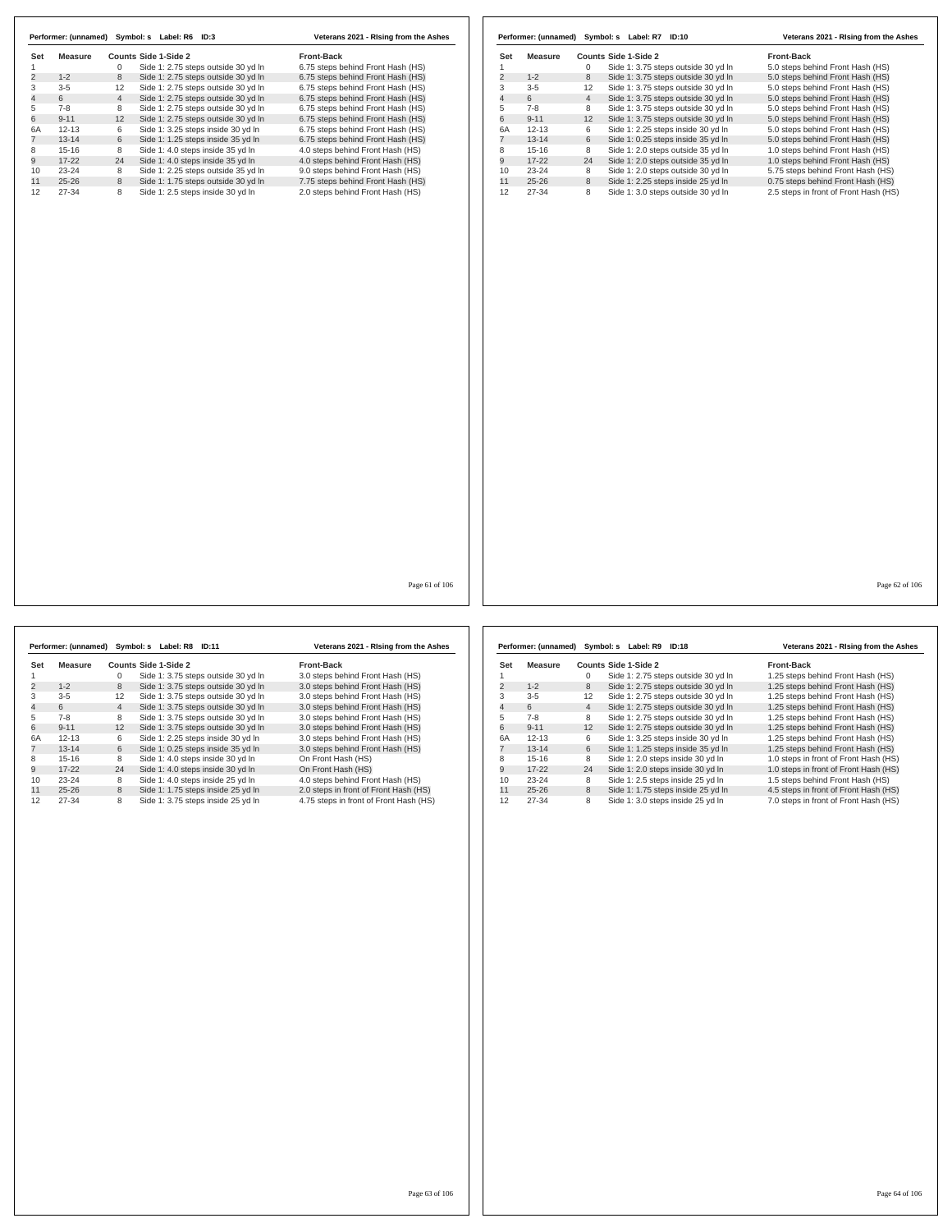|     | Performer: (unnamed) | Symbol: s      | Label: R6<br>ID:3                   | Veterans 2021 - Rising from the Ashes |
|-----|----------------------|----------------|-------------------------------------|---------------------------------------|
| Set | Measure              |                | Counts Side 1-Side 2                | <b>Front-Back</b>                     |
|     |                      | 0              | Side 1: 2.75 steps outside 30 yd In | 6.75 steps behind Front Hash (HS)     |
| 2   | $1 - 2$              | 8              | Side 1: 2.75 steps outside 30 yd In | 6.75 steps behind Front Hash (HS)     |
| 3   | $3-5$                | 12             | Side 1: 2.75 steps outside 30 yd In | 6.75 steps behind Front Hash (HS)     |
| 4   | 6                    | $\overline{4}$ | Side 1: 2.75 steps outside 30 yd In | 6.75 steps behind Front Hash (HS)     |
| 5   | $7-8$                | 8              | Side 1: 2.75 steps outside 30 yd In | 6.75 steps behind Front Hash (HS)     |
| 6   | $9 - 11$             | 12             | Side 1: 2.75 steps outside 30 yd In | 6.75 steps behind Front Hash (HS)     |
| 6A  | $12 - 13$            | 6              | Side 1: 3.25 steps inside 30 yd In  | 6.75 steps behind Front Hash (HS)     |
|     | $13 - 14$            | 6              | Side 1: 1.25 steps inside 35 yd In  | 6.75 steps behind Front Hash (HS)     |
| 8   | $15 - 16$            | 8              | Side 1: 4.0 steps inside 35 yd In   | 4.0 steps behind Front Hash (HS)      |
| 9   | $17-22$              | 24             | Side 1: 4.0 steps inside 35 yd In   | 4.0 steps behind Front Hash (HS)      |
| 10  | $23 - 24$            | 8              | Side 1: 2.25 steps outside 35 yd In | 9.0 steps behind Front Hash (HS)      |
| 11  | $25 - 26$            | 8              | Side 1: 1.75 steps outside 30 yd In | 7.75 steps behind Front Hash (HS)     |
| 12  | 27-34                | 8              | Side 1: 2.5 steps inside 30 yd In   | 2.0 steps behind Front Hash (HS)      |

|     | Performer: (unnamed) |                | Symbol: s Label: R7<br><b>ID:10</b> | Veterans 2021 - Rising from the Ashes |
|-----|----------------------|----------------|-------------------------------------|---------------------------------------|
| Set | Measure              |                | Counts Side 1-Side 2                | <b>Front-Back</b>                     |
|     |                      | 0              | Side 1: 3.75 steps outside 30 yd In | 5.0 steps behind Front Hash (HS)      |
| 2   | $1 - 2$              | 8              | Side 1: 3.75 steps outside 30 yd In | 5.0 steps behind Front Hash (HS)      |
| 3   | $3 - 5$              | 12             | Side 1: 3.75 steps outside 30 yd In | 5.0 steps behind Front Hash (HS)      |
| 4   | 6                    | $\overline{4}$ | Side 1: 3.75 steps outside 30 yd In | 5.0 steps behind Front Hash (HS)      |
| 5   | $7 - 8$              | 8              | Side 1: 3.75 steps outside 30 yd In | 5.0 steps behind Front Hash (HS)      |
| 6   | $9 - 11$             | 12             | Side 1: 3.75 steps outside 30 yd In | 5.0 steps behind Front Hash (HS)      |
| 6A  | $12 - 13$            | 6              | Side 1: 2.25 steps inside 30 yd In  | 5.0 steps behind Front Hash (HS)      |
|     | $13 - 14$            | 6              | Side 1: 0.25 steps inside 35 yd In  | 5.0 steps behind Front Hash (HS)      |
| 8   | $15 - 16$            | 8              | Side 1: 2.0 steps outside 35 vd In  | 1.0 steps behind Front Hash (HS)      |
| 9   | $17 - 22$            | 24             | Side 1: 2.0 steps outside 35 yd In  | 1.0 steps behind Front Hash (HS)      |
| 10  | $23 - 24$            | 8              | Side 1: 2.0 steps outside 30 yd In  | 5.75 steps behind Front Hash (HS)     |
| 11  | $25 - 26$            | 8              | Side 1: 2.25 steps inside 25 yd In  | 0.75 steps behind Front Hash (HS)     |
| 12  | 27-34                | 8              | Side 1: 3.0 steps outside 30 yd In  | 2.5 steps in front of Front Hash (HS) |

Page 61 of 106

**Set Measure Counts Side 1-Side 2 Front-Back** 1 0 Side 1: 3.75 steps outside 30 yd ln 3.0 steps behind Front Hash (HS) 2 1-2 8 Side 1: 3.75 steps outside 30 yd ln 3.0 steps behind Front Hash (HS) 3-5 12 Side 1: 3.75 steps outside 30 yd ln 3.0 steps behind Front Hash (HS) 4 6 4 Side 1: 3.75 steps outside 30 yd ln 3.0 steps behind Front Hash (HS) 7-8 8 Side 1: 3.75 steps outside 30 yd ln 3.0 steps behind Front Hash (HS) 6 9-11 12 Side 1: 3.75 steps outside 30 yd ln 3.0 steps behind Front Hash (HS) 6<br>
6 4 Side 1: 3.75 steps outside 30 yd ln<br>
6 1: 3.75 steps outside 30 yd ln<br>
6 9-11 2 Side 1: 3.75 steps instide 30 yd ln<br>
6 4 12-13 6 Side 1: 2.25 steps inside 30 yd ln<br>
7 13-14 6 Side 1: 0.25 steps inside 30 yd ln<br>
7 1 12-13 6 Side 1: 0.25 steps inside 30 yd in 3.0 steps behind Front Hash (HS)<br>13-14 6 Side 1: 0.25 steps inside 35 yd ln 3.0 steps behind Front Hash (HS)<br>17-22 24 Side 1: 4.0 steps inside 30 yd ln On Front Hash (HS)<br>17-22 24 15-16 8 Side 1: 4.0 steps inside 30 yd ln On Front Hash (HS) 9 17-22 24 Side 1: 4.0 steps inside 30 yd ln On Front Hash (HS) 10 23-24 8 Side 1: 4.0 steps inside 25 yd In 4.0 steps behind Front Hash (HS)<br>11 25-26 8 Iside 1: 1.75 steps inside 25 yd In 2.0 steps in front of Front Hash (HS)<br>12 27-34 8 Side 1: 3.75 st **Performer: (unnamed) Symbol: s Label: R8 ID:11 Veterans 2021 - RIsing from the Ashes**

|     | Performer: (unnamed) |                 | Symbol: s Label: R9<br><b>ID:18</b> | Veterans 2021 - Rising from the Ashes |
|-----|----------------------|-----------------|-------------------------------------|---------------------------------------|
| Set | Measure              |                 | Counts Side 1-Side 2                | <b>Front-Back</b>                     |
|     |                      | 0               | Side 1: 2.75 steps outside 30 yd In | 1.25 steps behind Front Hash (HS)     |
| 2   | $1 - 2$              | 8               | Side 1: 2.75 steps outside 30 yd In | 1.25 steps behind Front Hash (HS)     |
| 3   | $3 - 5$              | 12              | Side 1: 2.75 steps outside 30 yd In | 1.25 steps behind Front Hash (HS)     |
| 4   | 6                    | $\overline{4}$  | Side 1: 2.75 steps outside 30 yd In | 1.25 steps behind Front Hash (HS)     |
| 5   | $7-8$                | 8               | Side 1: 2.75 steps outside 30 yd In | 1.25 steps behind Front Hash (HS)     |
| 6   | $9 - 11$             | 12 <sup>2</sup> | Side 1: 2.75 steps outside 30 yd In | 1.25 steps behind Front Hash (HS)     |
| 6A  | $12 - 13$            | 6               | Side 1: 3.25 steps inside 30 yd In  | 1.25 steps behind Front Hash (HS)     |
|     | $13 - 14$            | 6               | Side 1: 1.25 steps inside 35 yd In  | 1.25 steps behind Front Hash (HS)     |
| 8   | $15-16$              | 8               | Side 1: 2.0 steps inside 30 yd In   | 1.0 steps in front of Front Hash (HS) |
| 9   | $17-22$              | 24              | Side 1: 2.0 steps inside 30 yd In   | 1.0 steps in front of Front Hash (HS) |
| 10  | $23 - 24$            | 8               | Side 1: 2.5 steps inside 25 yd In   | 1.5 steps behind Front Hash (HS)      |
| 11  | $25 - 26$            | 8               | Side 1: 1.75 steps inside 25 yd In  | 4.5 steps in front of Front Hash (HS) |
| 12  | 27-34                | 8               | Side 1: 3.0 steps inside 25 yd In   | 7.0 steps in front of Front Hash (HS) |

Page 62 of 106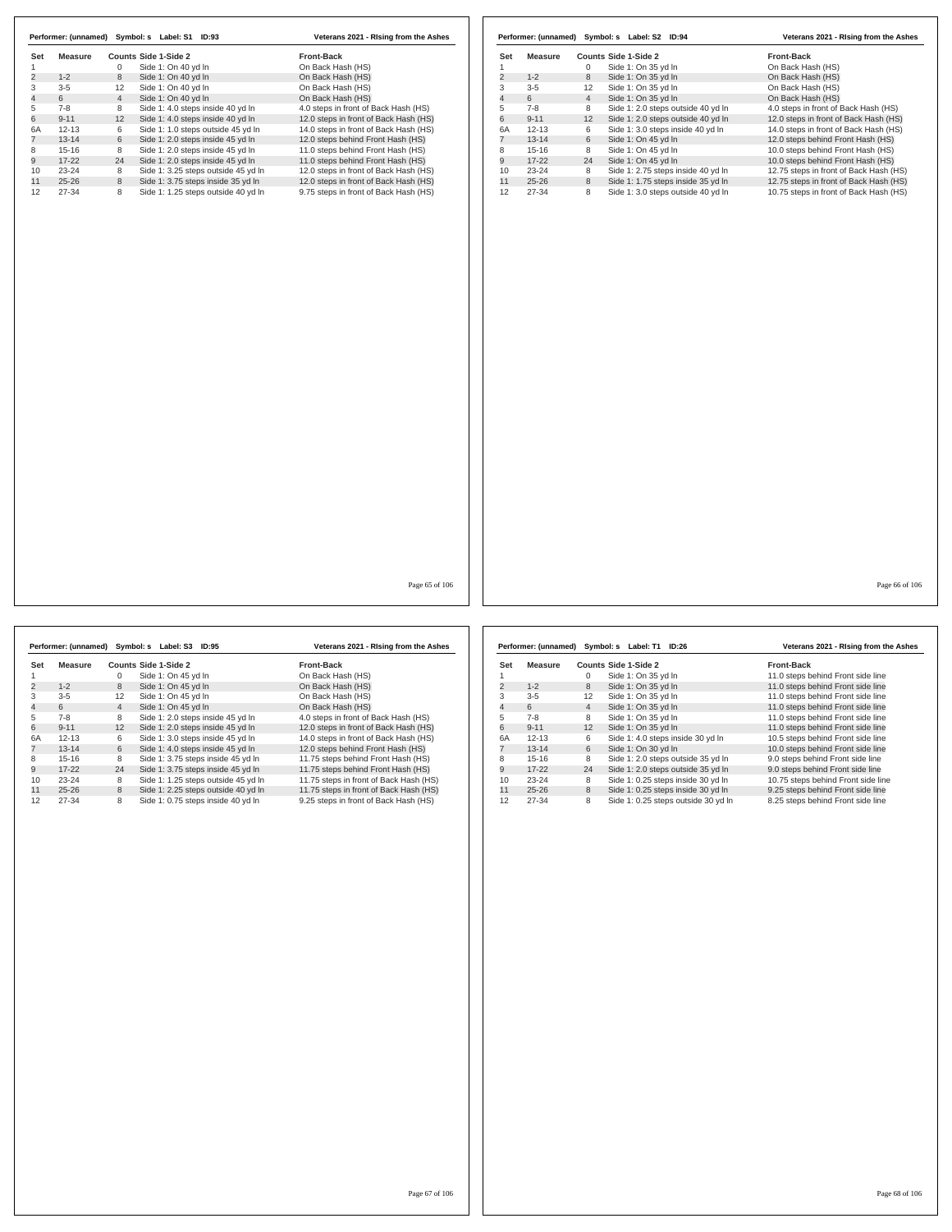|                |                |                | Performer: (unnamed) Symbol: s Label: S1 ID:93 | Veterans 2021 - Rising from the Ashes |                |                |                | Performer: (unnamed) Symbol: s Label: S2 ID:94 | Veterans 2021 - Rising from the Ashes  |
|----------------|----------------|----------------|------------------------------------------------|---------------------------------------|----------------|----------------|----------------|------------------------------------------------|----------------------------------------|
| Set            | <b>Measure</b> |                | Counts Side 1-Side 2                           | Front-Back                            | Set            | <b>Measure</b> |                | Counts Side 1-Side 2                           | Front-Back                             |
| $\overline{2}$ |                | $\mathbf 0$    | Side 1: On 40 yd In                            | On Back Hash (HS)                     | $\mathbf{1}$   |                | $\mathbf{0}$   | Side 1: On 35 yd In                            | On Back Hash (HS)                      |
|                | $1 - 2$        | 8              | Side 1: On 40 yd In                            | On Back Hash (HS)                     | $\overline{c}$ | $1 - 2$        | 8              | Side 1: On 35 yd In                            | On Back Hash (HS)                      |
|                | $3-5$          | 12             | Side 1: On 40 yd In                            | On Back Hash (HS)                     | 3              | $3 - 5$        | 12             | Side 1: On 35 yd In                            | On Back Hash (HS)                      |
|                | 6              | $\overline{4}$ | Side 1: On 40 yd In                            | On Back Hash (HS)                     | $\overline{4}$ | 6              | $\overline{4}$ | Side 1: On 35 yd In                            | On Back Hash (HS)                      |
|                | $7 - 8$        | 8              | Side 1: 4.0 steps inside 40 yd In              | 4.0 steps in front of Back Hash (HS)  | 5              | $7-8$          | 8              | Side 1: 2.0 steps outside 40 yd In             | 4.0 steps in front of Back Hash (HS)   |
|                | $9 - 11$       | 12             | Side 1: 4.0 steps inside 40 yd In              | 12.0 steps in front of Back Hash (HS) | 6              | $9 - 11$       | 12             | Side 1: 2.0 steps outside 40 yd In             | 12.0 steps in front of Back Hash (HS)  |
|                | $12 - 13$      | 6              | Side 1: 1.0 steps outside 45 yd In             | 14.0 steps in front of Back Hash (HS) | 6A             | $12 - 13$      | 6              | Side 1: 3.0 steps inside 40 yd In              | 14.0 steps in front of Back Hash (HS)  |
|                | $13 - 14$      | 6              | Side 1: 2.0 steps inside 45 yd In              | 12.0 steps behind Front Hash (HS)     | $\overline{7}$ | $13 - 14$      | 6              | Side 1: On 45 yd In                            | 12.0 steps behind Front Hash (HS)      |
|                | $15 - 16$      | 8              | Side 1: 2.0 steps inside 45 yd In              | 11.0 steps behind Front Hash (HS)     | 8              | $15 - 16$      | 8              | Side 1: On 45 yd In                            | 10.0 steps behind Front Hash (HS)      |
|                | $17 - 22$      | 24             | Side 1: 2.0 steps inside 45 yd In              | 11.0 steps behind Front Hash (HS)     | 9              | $17 - 22$      | 24             | Side 1: On 45 yd In                            | 10.0 steps behind Front Hash (HS)      |
|                | 23-24          | 8              | Side 1: 3.25 steps outside 45 yd In            | 12.0 steps in front of Back Hash (HS) | 10             | 23-24          | 8              | Side 1: 2.75 steps inside 40 yd In             | 12.75 steps in front of Back Hash (HS) |
|                | $25 - 26$      | 8              | Side 1: 3.75 steps inside 35 yd In             | 12.0 steps in front of Back Hash (HS) | 11             | $25 - 26$      | 8              | Side 1: 1.75 steps inside 35 yd In             | 12.75 steps in front of Back Hash (HS) |
| 27-34          |                | 8              | Side 1: 1.25 steps outside 40 yd In            | 9.75 steps in front of Back Hash (HS) | 12             | 27-34          | 8              | Side 1: 3.0 steps outside 40 yd In             | 10.75 steps in front of Back Hash (HS) |
|                |                |                |                                                |                                       |                |                |                |                                                |                                        |
|                |                |                |                                                |                                       |                |                |                |                                                |                                        |

|     | Performer: (unnamed) |                | Symbol: s Label: S3 ID:95           | Veterans 2021 - Rising from the Ashes  |
|-----|----------------------|----------------|-------------------------------------|----------------------------------------|
| Set | Measure              |                | Counts Side 1-Side 2                | <b>Front-Back</b>                      |
|     |                      | 0              | Side 1: On 45 vd In                 | On Back Hash (HS)                      |
| 2   | $1 - 2$              | 8              | Side 1: On 45 yd In                 | On Back Hash (HS)                      |
| 3   | $3 - 5$              | 12             | Side 1: On 45 yd In                 | On Back Hash (HS)                      |
| 4   | 6                    | $\overline{4}$ | Side 1: On 45 vd In                 | On Back Hash (HS)                      |
| 5   | $7-8$                | 8              | Side 1: 2.0 steps inside 45 yd In   | 4.0 steps in front of Back Hash (HS)   |
| 6   | $9 - 11$             | 12             | Side 1: 2.0 steps inside 45 yd In   | 12.0 steps in front of Back Hash (HS)  |
| 6A  | $12 - 13$            | 6              | Side 1: 3.0 steps inside 45 yd In   | 14.0 steps in front of Back Hash (HS)  |
|     | $13 - 14$            | 6              | Side 1: 4.0 steps inside 45 yd In   | 12.0 steps behind Front Hash (HS)      |
| 8   | $15 - 16$            | 8              | Side 1: 3.75 steps inside 45 yd In  | 11.75 steps behind Front Hash (HS)     |
| 9   | $17 - 22$            | 24             | Side 1: 3.75 steps inside 45 yd In  | 11.75 steps behind Front Hash (HS)     |
| 10  | $23 - 24$            | 8              | Side 1: 1.25 steps outside 45 yd In | 11.75 steps in front of Back Hash (HS) |
| 11  | $25 - 26$            | 8              | Side 1: 2.25 steps outside 40 yd In | 11.75 steps in front of Back Hash (HS) |
| 12  | 27-34                | 8              | Side 1: 0.75 steps inside 40 yd In  | 9.25 steps in front of Back Hash (HS)  |

|     | Performer: (unnamed) |                | Symbol: s Label: T1 ID:26 |                                     | Veterans 2021 - Rising from the Ashes |
|-----|----------------------|----------------|---------------------------|-------------------------------------|---------------------------------------|
| Set | Measure              |                | Counts Side 1-Side 2      |                                     | <b>Front-Back</b>                     |
|     |                      | 0              | Side 1: On 35 yd In       |                                     | 11.0 steps behind Front side line     |
| 2   | $1 - 2$              | 8              | Side 1: On 35 yd In       |                                     | 11.0 steps behind Front side line     |
| 3   | $3 - 5$              | 12             | Side 1: On 35 yd In       |                                     | 11.0 steps behind Front side line     |
| 4   | 6                    | $\overline{4}$ | Side 1: On 35 yd In       |                                     | 11.0 steps behind Front side line     |
| 5   | $7 - 8$              | 8              | Side 1: On 35 yd In       |                                     | 11.0 steps behind Front side line     |
| 6   | $9 - 11$             | 12             | Side 1: On 35 vd In       |                                     | 11.0 steps behind Front side line     |
| 6A  | $12 - 13$            | 6              |                           | Side 1: 4.0 steps inside 30 yd In   | 10.5 steps behind Front side line     |
|     | $13 - 14$            | 6              | Side 1: On 30 yd In       |                                     | 10.0 steps behind Front side line     |
| 8   | $15 - 16$            | 8              |                           | Side 1: 2.0 steps outside 35 yd In  | 9.0 steps behind Front side line      |
| 9   | $17 - 22$            | 24             |                           | Side 1: 2.0 steps outside 35 yd In  | 9.0 steps behind Front side line      |
| 10  | $23 - 24$            | 8              |                           | Side 1: 0.25 steps inside 30 yd In  | 10.75 steps behind Front side line    |
| 11  | $25 - 26$            | 8              |                           | Side 1: 0.25 steps inside 30 yd In  | 9.25 steps behind Front side line     |
| 12  | 27-34                | 8              |                           | Side 1: 0.25 steps outside 30 yd In | 8.25 steps behind Front side line     |

Page 66 of 106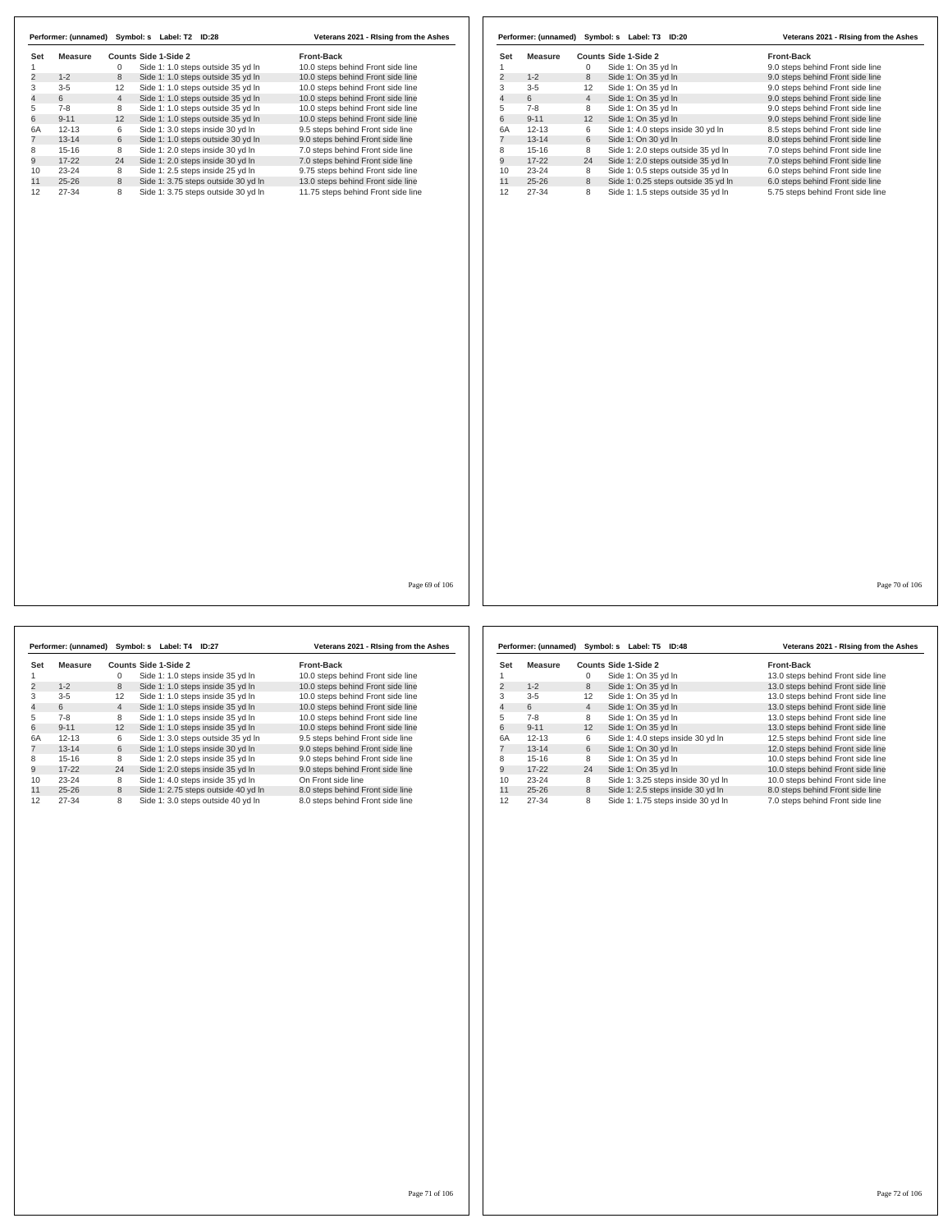|                |           |                 | Performer: (unnamed) Symbol: s Label: T2<br><b>ID:28</b> | Veterans 2021 - Rising from the Ashes |
|----------------|-----------|-----------------|----------------------------------------------------------|---------------------------------------|
| Set            | Measure   |                 | Counts Side 1-Side 2                                     | <b>Front-Back</b>                     |
|                |           | 0               | Side 1: 1.0 steps outside 35 yd In                       | 10.0 steps behind Front side line     |
| $\overline{2}$ | $1 - 2$   | 8               | Side 1: 1.0 steps outside 35 yd In                       | 10.0 steps behind Front side line     |
| 3              | $3 - 5$   | 12              | Side 1: 1.0 steps outside 35 yd In                       | 10.0 steps behind Front side line     |
| 4              | 6         | $\overline{4}$  | Side 1: 1.0 steps outside 35 yd In                       | 10.0 steps behind Front side line     |
| 5              | $7-8$     | 8               | Side 1: 1.0 steps outside 35 yd In                       | 10.0 steps behind Front side line     |
| 6              | $9 - 11$  | 12 <sup>2</sup> | Side 1: 1.0 steps outside 35 yd In                       | 10.0 steps behind Front side line     |
| 6A             | $12 - 13$ | 6               | Side 1: 3.0 steps inside 30 yd In                        | 9.5 steps behind Front side line      |
|                | $13 - 14$ | 6               | Side 1: 1.0 steps outside 30 yd In                       | 9.0 steps behind Front side line      |
| 8              | $15 - 16$ | 8               | Side 1: 2.0 steps inside 30 yd In                        | 7.0 steps behind Front side line      |
| 9              | $17-22$   | 24              | Side 1: 2.0 steps inside 30 yd In                        | 7.0 steps behind Front side line      |
| 10             | $23 - 24$ | 8               | Side 1: 2.5 steps inside 25 yd In                        | 9.75 steps behind Front side line     |
| 11             | $25 - 26$ | 8               | Side 1: 3.75 steps outside 30 yd In                      | 13.0 steps behind Front side line     |
| 12             | 27-34     | 8               | Side 1: 3.75 steps outside 30 yd In                      | 11.75 steps behind Front side line    |

|     | Performer: (unnamed) |                | Symbol: s Label: T3 ID:20           | Veterans 2021 - Rising from the Ashes |
|-----|----------------------|----------------|-------------------------------------|---------------------------------------|
| Set | Measure              |                | Counts Side 1-Side 2                | <b>Front-Back</b>                     |
|     |                      | 0              | Side 1: On 35 yd In                 | 9.0 steps behind Front side line      |
| 2   | $1 - 2$              | 8              | Side 1: On 35 vd In                 | 9.0 steps behind Front side line      |
| 3   | $3-5$                | 12             | Side 1: On 35 yd In                 | 9.0 steps behind Front side line      |
| 4   | 6                    | $\overline{4}$ | Side 1: On 35 yd In                 | 9.0 steps behind Front side line      |
| 5   | $7 - 8$              | 8              | Side 1: On 35 yd In                 | 9.0 steps behind Front side line      |
| 6   | $9 - 11$             | 12             | Side 1: On 35 yd In                 | 9.0 steps behind Front side line      |
| 6A  | $12 - 13$            | 6              | Side 1: 4.0 steps inside 30 yd In   | 8.5 steps behind Front side line      |
|     | $13 - 14$            | 6              | Side 1: On 30 yd In                 | 8.0 steps behind Front side line      |
| 8   | $15 - 16$            | 8              | Side 1: 2.0 steps outside 35 vd In  | 7.0 steps behind Front side line      |
| 9   | $17 - 22$            | 24             | Side 1: 2.0 steps outside 35 yd In  | 7.0 steps behind Front side line      |
| 10  | $23 - 24$            | 8              | Side 1: 0.5 steps outside 35 yd In  | 6.0 steps behind Front side line      |
| 11  | $25 - 26$            | 8              | Side 1: 0.25 steps outside 35 yd In | 6.0 steps behind Front side line      |
| 12  | 27-34                | 8              | Side 1: 1.5 steps outside 35 yd In  | 5.75 steps behind Front side line     |

Page 69 of 106

|     |           |                | Performer: (unnamed) Symbol: s Label: T4 ID:27 |                                     | Veterans 2021 - Rising from the Ashes |
|-----|-----------|----------------|------------------------------------------------|-------------------------------------|---------------------------------------|
| Set | Measure   |                | Counts Side 1-Side 2                           |                                     | <b>Front-Back</b>                     |
|     |           | $\Omega$       |                                                | Side 1: 1.0 steps inside 35 yd In   | 10.0 steps behind Front side line     |
| 2   | $1 - 2$   | 8              |                                                | Side 1: 1.0 steps inside 35 yd In   | 10.0 steps behind Front side line     |
| 3   | $3 - 5$   | 12             |                                                | Side 1: 1.0 steps inside 35 yd In   | 10.0 steps behind Front side line     |
| 4   | 6         | $\overline{4}$ |                                                | Side 1: 1.0 steps inside 35 yd In   | 10.0 steps behind Front side line     |
| 5   | $7-8$     | 8              |                                                | Side 1: 1.0 steps inside 35 yd In   | 10.0 steps behind Front side line     |
| 6   | $9 - 11$  | 12             |                                                | Side 1: 1.0 steps inside 35 yd In   | 10.0 steps behind Front side line     |
| 6A  | $12 - 13$ | 6              |                                                | Side 1: 3.0 steps outside 35 yd In  | 9.5 steps behind Front side line      |
|     | $13 - 14$ | 6              |                                                | Side 1: 1.0 steps inside 30 yd In   | 9.0 steps behind Front side line      |
| 8   | $15-16$   | 8              |                                                | Side 1: 2.0 steps inside 35 yd In   | 9.0 steps behind Front side line      |
| 9   | $17-22$   | 24             |                                                | Side 1: 2.0 steps inside 35 yd In   | 9.0 steps behind Front side line      |
| 10  | $23 - 24$ | 8              |                                                | Side 1: 4.0 steps inside 35 yd In   | On Front side line                    |
| 11  | $25 - 26$ | 8              |                                                | Side 1: 2.75 steps outside 40 yd In | 8.0 steps behind Front side line      |
| 12  | 27-34     | 8              |                                                | Side 1: 3.0 steps outside 40 yd In  | 8.0 steps behind Front side line      |

|     | Performer: (unnamed) |                | Symbol: s Label: T5 ID:48          | Veterans 2021 - Rising from the Ashes |  |
|-----|----------------------|----------------|------------------------------------|---------------------------------------|--|
| Set | Measure              |                | Counts Side 1-Side 2               | <b>Front-Back</b>                     |  |
|     |                      | 0              | Side 1: On 35 yd In                | 13.0 steps behind Front side line     |  |
| 2   | $1 - 2$              | 8              | Side 1: On 35 yd In                | 13.0 steps behind Front side line     |  |
| 3   | $3 - 5$              | 12             | Side 1: On 35 yd In                | 13.0 steps behind Front side line     |  |
| 4   | 6                    | $\overline{4}$ | Side 1: On 35 yd In                | 13.0 steps behind Front side line     |  |
| 5   | $7-8$                | 8              | Side 1: On 35 yd In                | 13.0 steps behind Front side line     |  |
| 6   | $9 - 11$             | 12             | Side 1: On 35 yd In                | 13.0 steps behind Front side line     |  |
| 6A  | $12 - 13$            | 6              | Side 1: 4.0 steps inside 30 yd In  | 12.5 steps behind Front side line     |  |
|     | $13 - 14$            | 6              | Side 1: On 30 yd In                | 12.0 steps behind Front side line     |  |
| 8   | $15 - 16$            | 8              | Side 1: On 35 vd In                | 10.0 steps behind Front side line     |  |
| 9   | $17 - 22$            | 24             | Side 1: On 35 yd In                | 10.0 steps behind Front side line     |  |
| 10  | $23 - 24$            | 8              | Side 1: 3.25 steps inside 30 yd In | 10.0 steps behind Front side line     |  |
| 11  | $25 - 26$            | 8              | Side 1: 2.5 steps inside 30 yd In  | 8.0 steps behind Front side line      |  |
| 12  | 27-34                | 8              | Side 1: 1.75 steps inside 30 yd In | 7.0 steps behind Front side line      |  |

Page 71 of 106

Page 70 of 106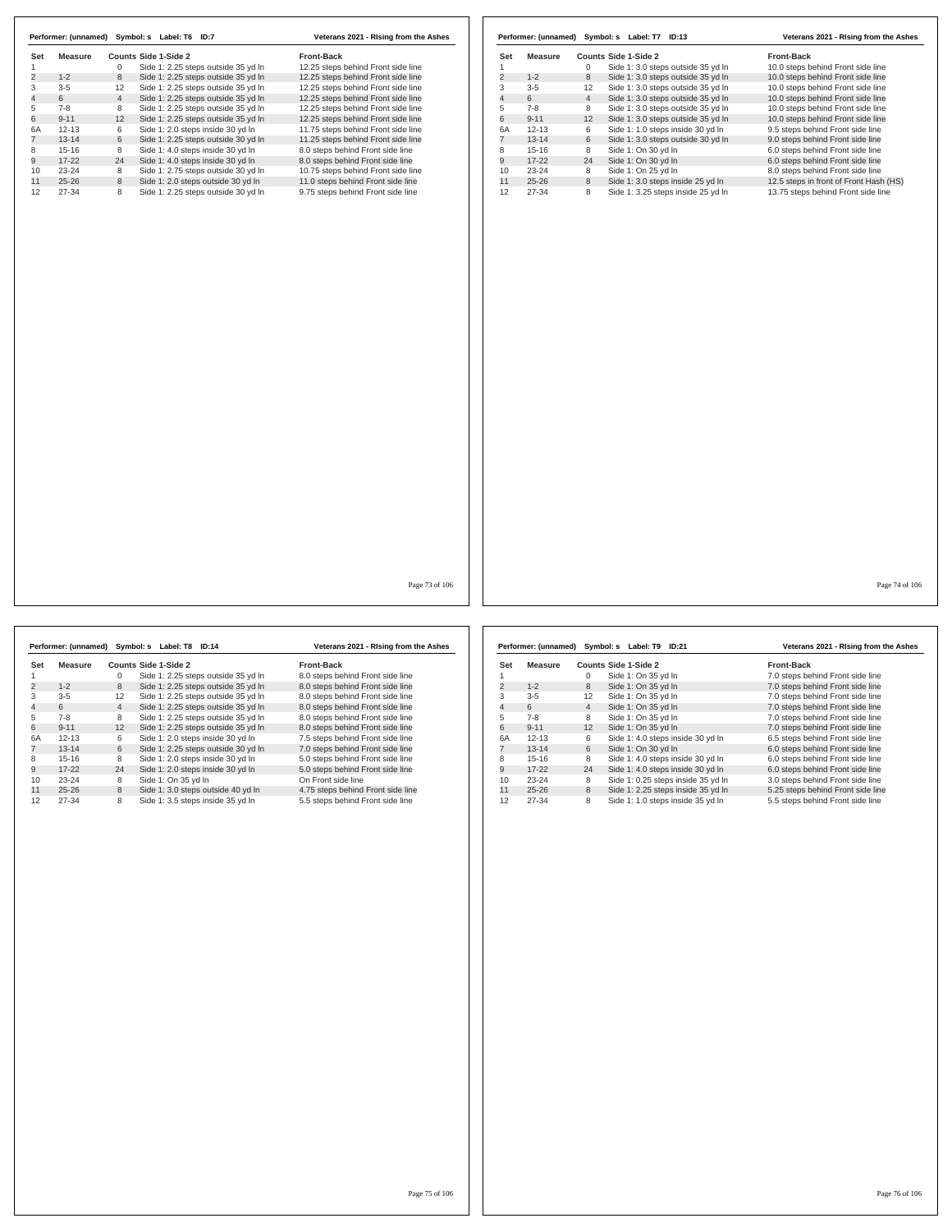|                | Performer: (unnamed) | Symbol: s      | Label: T6<br>ID:7                   | Veterans 2021 - Rising from the Ashes |
|----------------|----------------------|----------------|-------------------------------------|---------------------------------------|
| Set            | Measure              |                | Counts Side 1-Side 2                | <b>Front-Back</b>                     |
|                |                      | 0              | Side 1: 2.25 steps outside 35 yd In | 12.25 steps behind Front side line    |
| $\overline{2}$ | $1 - 2$              | 8              | Side 1: 2.25 steps outside 35 yd In | 12.25 steps behind Front side line    |
| 3              | $3 - 5$              | 12             | Side 1: 2.25 steps outside 35 yd In | 12.25 steps behind Front side line    |
| $\overline{4}$ | 6                    | $\overline{4}$ | Side 1: 2.25 steps outside 35 yd In | 12.25 steps behind Front side line    |
| 5              | $7 - 8$              | 8              | Side 1: 2.25 steps outside 35 yd In | 12.25 steps behind Front side line    |
| 6              | $9 - 11$             | 12             | Side 1: 2.25 steps outside 35 yd In | 12.25 steps behind Front side line    |
| 6A             | $12 - 13$            | 6              | Side 1: 2.0 steps inside 30 yd In   | 11.75 steps behind Front side line    |
|                | $13 - 14$            | 6              | Side 1: 2.25 steps outside 30 yd In | 11.25 steps behind Front side line    |
| 8              | $15 - 16$            | 8              | Side 1: 4.0 steps inside 30 yd In   | 8.0 steps behind Front side line      |
| 9              | $17-22$              | 24             | Side 1: 4.0 steps inside 30 yd In   | 8.0 steps behind Front side line      |
| 10             | $23 - 24$            | 8              | Side 1: 2.75 steps outside 30 yd In | 10.75 steps behind Front side line    |
| 11             | $25 - 26$            | 8              | Side 1: 2.0 steps outside 30 yd In  | 11.0 steps behind Front side line     |
| 12             | 27-34                | 8              | Side 1: 2.25 steps outside 30 yd In | 9.75 steps behind Front side line     |

|     | Performer: (unnamed) |                | Symbol: s Label: T7 ID:13          | Veterans 2021 - Rising from the Ashes  |
|-----|----------------------|----------------|------------------------------------|----------------------------------------|
| Set | Measure              |                | Counts Side 1-Side 2               | Front-Back                             |
|     |                      | 0              | Side 1: 3.0 steps outside 35 yd In | 10.0 steps behind Front side line      |
| 2   | $1 - 2$              | 8              | Side 1: 3.0 steps outside 35 yd In | 10.0 steps behind Front side line      |
| 3   | $3-5$                | 12             | Side 1: 3.0 steps outside 35 yd In | 10.0 steps behind Front side line      |
| 4   | 6                    | $\overline{4}$ | Side 1: 3.0 steps outside 35 yd In | 10.0 steps behind Front side line      |
| 5   | $7-8$                | 8              | Side 1: 3.0 steps outside 35 yd In | 10.0 steps behind Front side line      |
| 6   | $9 - 11$             | 12             | Side 1: 3.0 steps outside 35 yd In | 10.0 steps behind Front side line      |
| 6A  | $12 - 13$            | 6              | Side 1: 1.0 steps inside 30 yd In  | 9.5 steps behind Front side line       |
|     | $13 - 14$            | 6              | Side 1: 3.0 steps outside 30 yd In | 9.0 steps behind Front side line       |
| 8   | $15-16$              | 8              | Side 1: On 30 yd In                | 6.0 steps behind Front side line       |
| 9   | $17-22$              | 24             | Side 1: On 30 yd In                | 6.0 steps behind Front side line       |
| 10  | $23 - 24$            | 8              | Side 1: On 25 yd In                | 8.0 steps behind Front side line       |
| 11  | $25 - 26$            | 8              | Side 1: 3.0 steps inside 25 yd In  | 12.5 steps in front of Front Hash (HS) |
| 12  | 27-34                | 8              | Side 1: 3.25 steps inside 25 yd In | 13.75 steps behind Front side line     |

Page 73 of 106

|     | Performer: (unnamed) |                | Symbol: s Label: T8 ID:14           | Veterans 2021 - Rising from the Ashes |
|-----|----------------------|----------------|-------------------------------------|---------------------------------------|
| Set | Measure              |                | Counts Side 1-Side 2                | <b>Front-Back</b>                     |
|     |                      | 0              | Side 1: 2.25 steps outside 35 yd In | 8.0 steps behind Front side line      |
| 2   | $1 - 2$              | 8              | Side 1: 2.25 steps outside 35 yd In | 8.0 steps behind Front side line      |
| 3   | $3 - 5$              | 12             | Side 1: 2.25 steps outside 35 yd In | 8.0 steps behind Front side line      |
| 4   | 6                    | $\overline{4}$ | Side 1: 2.25 steps outside 35 yd In | 8.0 steps behind Front side line      |
| 5   | $7-8$                | 8              | Side 1: 2.25 steps outside 35 yd In | 8.0 steps behind Front side line      |
| 6   | $9 - 11$             | 12             | Side 1: 2.25 steps outside 35 yd In | 8.0 steps behind Front side line      |
| 6A  | $12 - 13$            | 6              | Side 1: 2.0 steps inside 30 yd In   | 7.5 steps behind Front side line      |
|     | $13 - 14$            | 6              | Side 1: 2.25 steps outside 30 yd In | 7.0 steps behind Front side line      |
| 8   | $15 - 16$            | 8              | Side 1: 2.0 steps inside 30 yd In   | 5.0 steps behind Front side line      |
| 9   | $17-22$              | 24             | Side 1: 2.0 steps inside 30 yd In   | 5.0 steps behind Front side line      |
| 10  | $23 - 24$            | 8              | Side 1: On 35 vd In                 | On Front side line                    |
| 11  | $25 - 26$            | 8              | Side 1: 3.0 steps outside 40 yd In  | 4.75 steps behind Front side line     |
| 12  | 27-34                | 8              | Side 1: 3.5 steps inside 35 yd In   | 5.5 steps behind Front side line      |

|                | Performer: (unnamed) |                | Symbol: s Label: T9 ID:21          |  | Veterans 2021 - Rising from the Ashes |
|----------------|----------------------|----------------|------------------------------------|--|---------------------------------------|
| Set            | Measure              |                | Counts Side 1-Side 2               |  | <b>Front-Back</b>                     |
|                |                      | 0              | Side 1: On 35 vd In                |  | 7.0 steps behind Front side line      |
| 2              | $1 - 2$              | 8              | Side 1: On 35 yd In                |  | 7.0 steps behind Front side line      |
| 3              | $3 - 5$              | 12             | Side 1: On 35 yd In                |  | 7.0 steps behind Front side line      |
| $\overline{4}$ | 6                    | $\overline{4}$ | Side 1: On 35 yd In                |  | 7.0 steps behind Front side line      |
| 5              | $7 - 8$              | 8              | Side 1: On 35 yd In                |  | 7.0 steps behind Front side line      |
| 6              | $9 - 11$             | 12             | Side 1: On 35 yd In                |  | 7.0 steps behind Front side line      |
| 6A             | $12 - 13$            | 6              | Side 1: 4.0 steps inside 30 yd In  |  | 6.5 steps behind Front side line      |
|                | $13 - 14$            | 6              | Side 1: On 30 yd In                |  | 6.0 steps behind Front side line      |
| 8              | $15 - 16$            | 8              | Side 1: 4.0 steps inside 30 yd In  |  | 6.0 steps behind Front side line      |
| 9              | $17-22$              | 24             | Side 1: 4.0 steps inside 30 yd In  |  | 6.0 steps behind Front side line      |
| 10             | $23 - 24$            | 8              | Side 1: 0.25 steps inside 35 yd In |  | 3.0 steps behind Front side line      |
| 11             | $25 - 26$            | 8              | Side 1: 2.25 steps inside 35 yd In |  | 5.25 steps behind Front side line     |
| 12             | 27-34                | 8              | Side 1: 1.0 steps inside 35 yd In  |  | 5.5 steps behind Front side line      |

Page 75 of 106

Page 74 of 106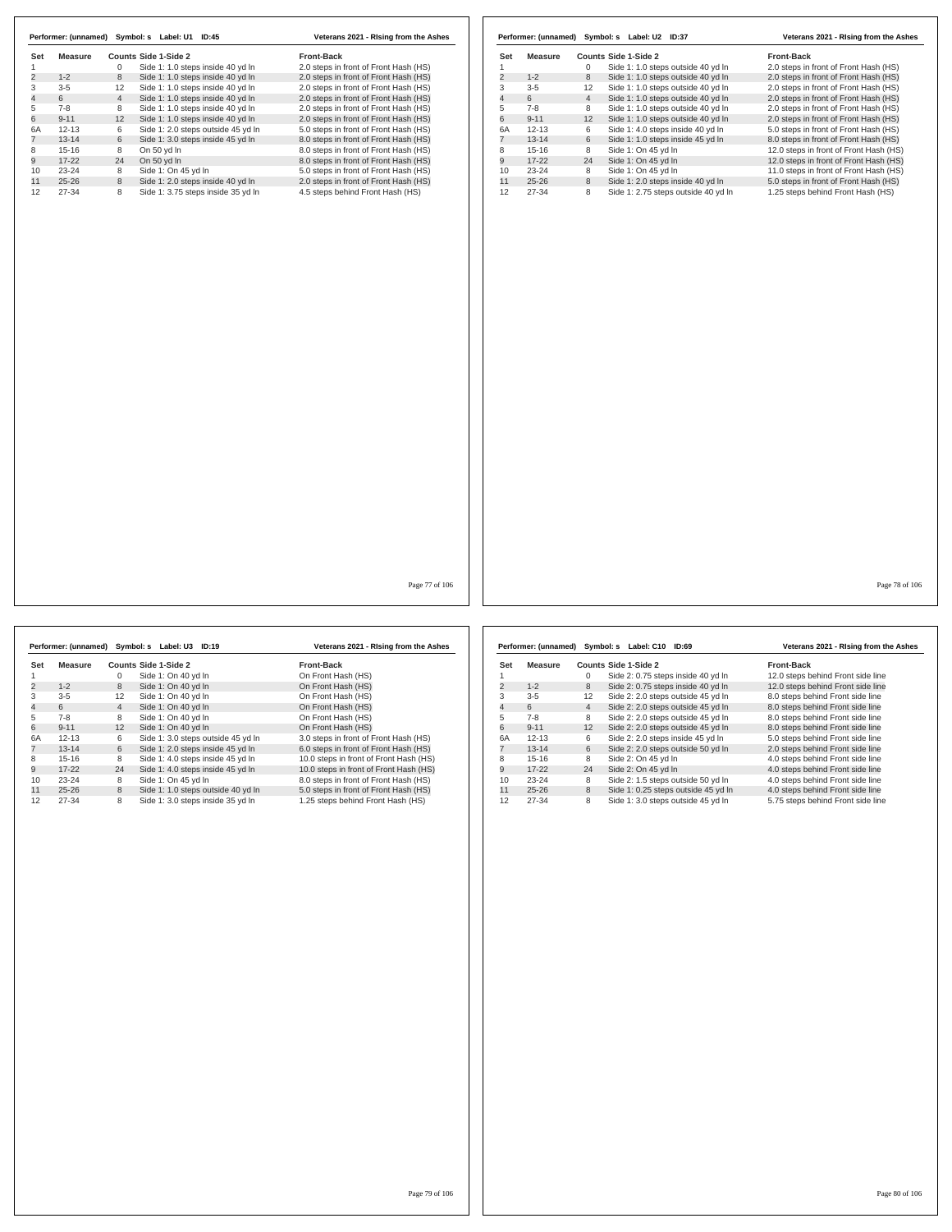| <b>Measure</b><br>Set<br>$\mathbf{1}$<br>$\overline{2}$<br>$1 - 2$<br>$3 - 5$<br>3<br>$\overline{4}$<br>6<br>5<br>$7 - 8$<br>6<br>$9 - 11$<br><b>6A</b><br>$12 - 13$<br>$\overline{7}$<br>$13 - 14$<br>8<br>$15 - 16$<br>9<br>$17 - 22$<br>10<br>$23 - 24$<br>11<br>$25 - 26$<br>12<br>27-34 | Counts Side 1-Side 2<br>$\mathbf{0}$<br>Side 1: 1.0 steps inside 40 yd In<br>8<br>Side 1: 1.0 steps inside 40 yd In<br>Side 1: 1.0 steps inside 40 yd In<br>12<br>$\overline{4}$<br>Side 1: 1.0 steps inside 40 yd In<br>8<br>Side 1: 1.0 steps inside 40 yd In<br>12<br>Side 1: 1.0 steps inside 40 yd In<br>Side 1: 2.0 steps outside 45 yd In<br>6<br>Side 1: 3.0 steps inside 45 yd In<br>6<br>8<br>On 50 yd In<br>24<br>On 50 yd In<br>Side 1: On 45 yd In<br>8<br>8<br>Side 1: 2.0 steps inside 40 yd In<br>Side 1: 3.75 steps inside 35 yd In<br>8 | Front-Back<br>2.0 steps in front of Front Hash (HS)<br>2.0 steps in front of Front Hash (HS)<br>2.0 steps in front of Front Hash (HS)<br>2.0 steps in front of Front Hash (HS)<br>2.0 steps in front of Front Hash (HS)<br>2.0 steps in front of Front Hash (HS)<br>5.0 steps in front of Front Hash (HS)<br>8.0 steps in front of Front Hash (HS)<br>8.0 steps in front of Front Hash (HS)<br>8.0 steps in front of Front Hash (HS)<br>5.0 steps in front of Front Hash (HS)<br>2.0 steps in front of Front Hash (HS)<br>4.5 steps behind Front Hash (HS) | Set<br>$\overline{1}$<br>$\overline{2}$<br>$\mathbf{3}$<br>$\overline{4}$<br>5<br>6<br>6A<br>$\overline{7}$<br>8<br>9<br>10<br>11<br>12 | <b>Measure</b><br>$1 - 2$<br>$3-5$<br>6<br>$7 - 8$<br>$9 - 11$<br>$12 - 13$<br>$13 - 14$<br>$15 - 16$<br>$17 - 22$<br>23-24<br>$25 - 26$<br>$27 - 34$ | $\mathbf{0}$<br>8<br>12<br>$\overline{4}$<br>8<br>12<br>6<br>6<br>8<br>24<br>8<br>8<br>8 | Counts Side 1-Side 2<br>Side 1: 1.0 steps outside 40 yd In<br>Side 1: 1.0 steps outside 40 yd In<br>Side 1: 1.0 steps outside 40 yd In<br>Side 1: 1.0 steps outside 40 yd In<br>Side 1: 1.0 steps outside 40 yd In<br>Side 1: 1.0 steps outside 40 yd In<br>Side 1: 4.0 steps inside 40 yd In<br>Side 1: 1.0 steps inside 45 yd In<br>Side 1: On 45 yd In<br>Side 1: On 45 yd In<br>Side 1: On 45 yd In<br>Side 1: 2.0 steps inside 40 yd In<br>Side 1: 2.75 steps outside 40 yd In | Front-Back<br>2.0 steps in front of Front Hash (HS)<br>2.0 steps in front of Front Hash (HS)<br>2.0 steps in front of Front Hash (HS)<br>2.0 steps in front of Front Hash (HS)<br>2.0 steps in front of Front Hash (HS)<br>2.0 steps in front of Front Hash (HS)<br>5.0 steps in front of Front Hash (HS)<br>8.0 steps in front of Front Hash (HS)<br>12.0 steps in front of Front Hash (HS)<br>12.0 steps in front of Front Hash (HS)<br>11.0 steps in front of Front Hash (HS)<br>5.0 steps in front of Front Hash (HS)<br>1.25 steps behind Front Hash (HS) |
|----------------------------------------------------------------------------------------------------------------------------------------------------------------------------------------------------------------------------------------------------------------------------------------------|-----------------------------------------------------------------------------------------------------------------------------------------------------------------------------------------------------------------------------------------------------------------------------------------------------------------------------------------------------------------------------------------------------------------------------------------------------------------------------------------------------------------------------------------------------------|------------------------------------------------------------------------------------------------------------------------------------------------------------------------------------------------------------------------------------------------------------------------------------------------------------------------------------------------------------------------------------------------------------------------------------------------------------------------------------------------------------------------------------------------------------|-----------------------------------------------------------------------------------------------------------------------------------------|-------------------------------------------------------------------------------------------------------------------------------------------------------|------------------------------------------------------------------------------------------|-------------------------------------------------------------------------------------------------------------------------------------------------------------------------------------------------------------------------------------------------------------------------------------------------------------------------------------------------------------------------------------------------------------------------------------------------------------------------------------|----------------------------------------------------------------------------------------------------------------------------------------------------------------------------------------------------------------------------------------------------------------------------------------------------------------------------------------------------------------------------------------------------------------------------------------------------------------------------------------------------------------------------------------------------------------|
|                                                                                                                                                                                                                                                                                              |                                                                                                                                                                                                                                                                                                                                                                                                                                                                                                                                                           |                                                                                                                                                                                                                                                                                                                                                                                                                                                                                                                                                            |                                                                                                                                         |                                                                                                                                                       |                                                                                          |                                                                                                                                                                                                                                                                                                                                                                                                                                                                                     |                                                                                                                                                                                                                                                                                                                                                                                                                                                                                                                                                                |
|                                                                                                                                                                                                                                                                                              |                                                                                                                                                                                                                                                                                                                                                                                                                                                                                                                                                           |                                                                                                                                                                                                                                                                                                                                                                                                                                                                                                                                                            |                                                                                                                                         |                                                                                                                                                       |                                                                                          |                                                                                                                                                                                                                                                                                                                                                                                                                                                                                     |                                                                                                                                                                                                                                                                                                                                                                                                                                                                                                                                                                |
|                                                                                                                                                                                                                                                                                              |                                                                                                                                                                                                                                                                                                                                                                                                                                                                                                                                                           |                                                                                                                                                                                                                                                                                                                                                                                                                                                                                                                                                            |                                                                                                                                         |                                                                                                                                                       |                                                                                          |                                                                                                                                                                                                                                                                                                                                                                                                                                                                                     |                                                                                                                                                                                                                                                                                                                                                                                                                                                                                                                                                                |
|                                                                                                                                                                                                                                                                                              |                                                                                                                                                                                                                                                                                                                                                                                                                                                                                                                                                           |                                                                                                                                                                                                                                                                                                                                                                                                                                                                                                                                                            |                                                                                                                                         |                                                                                                                                                       |                                                                                          |                                                                                                                                                                                                                                                                                                                                                                                                                                                                                     |                                                                                                                                                                                                                                                                                                                                                                                                                                                                                                                                                                |
|                                                                                                                                                                                                                                                                                              |                                                                                                                                                                                                                                                                                                                                                                                                                                                                                                                                                           |                                                                                                                                                                                                                                                                                                                                                                                                                                                                                                                                                            |                                                                                                                                         |                                                                                                                                                       |                                                                                          |                                                                                                                                                                                                                                                                                                                                                                                                                                                                                     |                                                                                                                                                                                                                                                                                                                                                                                                                                                                                                                                                                |
|                                                                                                                                                                                                                                                                                              |                                                                                                                                                                                                                                                                                                                                                                                                                                                                                                                                                           |                                                                                                                                                                                                                                                                                                                                                                                                                                                                                                                                                            |                                                                                                                                         |                                                                                                                                                       |                                                                                          |                                                                                                                                                                                                                                                                                                                                                                                                                                                                                     |                                                                                                                                                                                                                                                                                                                                                                                                                                                                                                                                                                |
|                                                                                                                                                                                                                                                                                              |                                                                                                                                                                                                                                                                                                                                                                                                                                                                                                                                                           |                                                                                                                                                                                                                                                                                                                                                                                                                                                                                                                                                            |                                                                                                                                         |                                                                                                                                                       |                                                                                          |                                                                                                                                                                                                                                                                                                                                                                                                                                                                                     |                                                                                                                                                                                                                                                                                                                                                                                                                                                                                                                                                                |
|                                                                                                                                                                                                                                                                                              |                                                                                                                                                                                                                                                                                                                                                                                                                                                                                                                                                           |                                                                                                                                                                                                                                                                                                                                                                                                                                                                                                                                                            |                                                                                                                                         |                                                                                                                                                       |                                                                                          |                                                                                                                                                                                                                                                                                                                                                                                                                                                                                     |                                                                                                                                                                                                                                                                                                                                                                                                                                                                                                                                                                |
|                                                                                                                                                                                                                                                                                              |                                                                                                                                                                                                                                                                                                                                                                                                                                                                                                                                                           |                                                                                                                                                                                                                                                                                                                                                                                                                                                                                                                                                            |                                                                                                                                         |                                                                                                                                                       |                                                                                          |                                                                                                                                                                                                                                                                                                                                                                                                                                                                                     |                                                                                                                                                                                                                                                                                                                                                                                                                                                                                                                                                                |
|                                                                                                                                                                                                                                                                                              |                                                                                                                                                                                                                                                                                                                                                                                                                                                                                                                                                           |                                                                                                                                                                                                                                                                                                                                                                                                                                                                                                                                                            |                                                                                                                                         |                                                                                                                                                       |                                                                                          |                                                                                                                                                                                                                                                                                                                                                                                                                                                                                     |                                                                                                                                                                                                                                                                                                                                                                                                                                                                                                                                                                |
|                                                                                                                                                                                                                                                                                              |                                                                                                                                                                                                                                                                                                                                                                                                                                                                                                                                                           |                                                                                                                                                                                                                                                                                                                                                                                                                                                                                                                                                            |                                                                                                                                         |                                                                                                                                                       |                                                                                          |                                                                                                                                                                                                                                                                                                                                                                                                                                                                                     |                                                                                                                                                                                                                                                                                                                                                                                                                                                                                                                                                                |
|                                                                                                                                                                                                                                                                                              |                                                                                                                                                                                                                                                                                                                                                                                                                                                                                                                                                           |                                                                                                                                                                                                                                                                                                                                                                                                                                                                                                                                                            |                                                                                                                                         |                                                                                                                                                       |                                                                                          |                                                                                                                                                                                                                                                                                                                                                                                                                                                                                     |                                                                                                                                                                                                                                                                                                                                                                                                                                                                                                                                                                |
|                                                                                                                                                                                                                                                                                              |                                                                                                                                                                                                                                                                                                                                                                                                                                                                                                                                                           |                                                                                                                                                                                                                                                                                                                                                                                                                                                                                                                                                            |                                                                                                                                         |                                                                                                                                                       |                                                                                          |                                                                                                                                                                                                                                                                                                                                                                                                                                                                                     |                                                                                                                                                                                                                                                                                                                                                                                                                                                                                                                                                                |
|                                                                                                                                                                                                                                                                                              |                                                                                                                                                                                                                                                                                                                                                                                                                                                                                                                                                           |                                                                                                                                                                                                                                                                                                                                                                                                                                                                                                                                                            |                                                                                                                                         |                                                                                                                                                       |                                                                                          |                                                                                                                                                                                                                                                                                                                                                                                                                                                                                     |                                                                                                                                                                                                                                                                                                                                                                                                                                                                                                                                                                |
|                                                                                                                                                                                                                                                                                              |                                                                                                                                                                                                                                                                                                                                                                                                                                                                                                                                                           |                                                                                                                                                                                                                                                                                                                                                                                                                                                                                                                                                            |                                                                                                                                         |                                                                                                                                                       |                                                                                          |                                                                                                                                                                                                                                                                                                                                                                                                                                                                                     |                                                                                                                                                                                                                                                                                                                                                                                                                                                                                                                                                                |
|                                                                                                                                                                                                                                                                                              |                                                                                                                                                                                                                                                                                                                                                                                                                                                                                                                                                           |                                                                                                                                                                                                                                                                                                                                                                                                                                                                                                                                                            |                                                                                                                                         |                                                                                                                                                       |                                                                                          |                                                                                                                                                                                                                                                                                                                                                                                                                                                                                     |                                                                                                                                                                                                                                                                                                                                                                                                                                                                                                                                                                |
|                                                                                                                                                                                                                                                                                              |                                                                                                                                                                                                                                                                                                                                                                                                                                                                                                                                                           | Page 77 of 106                                                                                                                                                                                                                                                                                                                                                                                                                                                                                                                                             |                                                                                                                                         |                                                                                                                                                       |                                                                                          |                                                                                                                                                                                                                                                                                                                                                                                                                                                                                     | Page 78 of 106                                                                                                                                                                                                                                                                                                                                                                                                                                                                                                                                                 |

|     |           |                | Performer: (unnamed) Symbol: s Label: U3 ID:19 |                                    | Veterans 2021 - Rising from the Ashes  |  |
|-----|-----------|----------------|------------------------------------------------|------------------------------------|----------------------------------------|--|
| Set | Measure   |                | Counts Side 1-Side 2                           |                                    | <b>Front-Back</b>                      |  |
|     |           | 0              | Side 1: On 40 vd In                            |                                    | On Front Hash (HS)                     |  |
| 2   | $1 - 2$   | 8              | Side 1: On 40 yd In                            |                                    | On Front Hash (HS)                     |  |
| 3   | $3 - 5$   | 12             | Side 1: On 40 yd In                            |                                    | On Front Hash (HS)                     |  |
| 4   | 6         | $\overline{4}$ | Side 1: On 40 vd In                            |                                    | On Front Hash (HS)                     |  |
| 5   | $7 - 8$   | 8              | Side 1: On 40 yd In                            |                                    | On Front Hash (HS)                     |  |
| 6   | $9 - 11$  | 12             | Side 1: On 40 vd In                            |                                    | On Front Hash (HS)                     |  |
| 6A  | $12 - 13$ | 6              |                                                | Side 1: 3.0 steps outside 45 yd In | 3.0 steps in front of Front Hash (HS)  |  |
|     | $13 - 14$ | 6              |                                                | Side 1: 2.0 steps inside 45 yd In  | 6.0 steps in front of Front Hash (HS)  |  |
| 8   | $15 - 16$ | 8              |                                                | Side 1: 4.0 steps inside 45 yd In  | 10.0 steps in front of Front Hash (HS) |  |
| 9   | $17 - 22$ | 24             |                                                | Side 1: 4.0 steps inside 45 yd In  | 10.0 steps in front of Front Hash (HS) |  |
| 10  | $23 - 24$ | 8              | Side 1: On 45 yd In                            |                                    | 8.0 steps in front of Front Hash (HS)  |  |
| 11  | $25 - 26$ | 8              |                                                | Side 1: 1.0 steps outside 40 yd In | 5.0 steps in front of Front Hash (HS)  |  |
| 12  | 27-34     | 8              |                                                | Side 1: 3.0 steps inside 35 yd In  | 1.25 steps behind Front Hash (HS)      |  |

|     | Performer: (unnamed) |                | Symbol: s<br>Label: C10<br><b>ID:69</b> | Veterans 2021 - Rising from the Ashes |
|-----|----------------------|----------------|-----------------------------------------|---------------------------------------|
| Set | Measure              |                | Counts Side 1-Side 2                    | <b>Front-Back</b>                     |
|     |                      | $\Omega$       | Side 2: 0.75 steps inside 40 yd In      | 12.0 steps behind Front side line     |
| 2   | $1 - 2$              | 8              | Side 2: 0.75 steps inside 40 yd In      | 12.0 steps behind Front side line     |
| 3   | $3 - 5$              | 12             | Side 2: 2.0 steps outside 45 yd In      | 8.0 steps behind Front side line      |
| 4   | 6                    | $\overline{4}$ | Side 2: 2.0 steps outside 45 yd In      | 8.0 steps behind Front side line      |
| 5   | $7 - 8$              | 8              | Side 2: 2.0 steps outside 45 vd In      | 8.0 steps behind Front side line      |
| 6   | $9 - 11$             | 12             | Side 2: 2.0 steps outside 45 yd In      | 8.0 steps behind Front side line      |
| 6A  | $12 - 13$            | 6              | Side 2: 2.0 steps inside 45 yd In       | 5.0 steps behind Front side line      |
|     | $13 - 14$            | 6              | Side 2: 2.0 steps outside 50 yd In      | 2.0 steps behind Front side line      |
| 8   | $15-16$              | 8              | Side 2: On 45 yd In                     | 4.0 steps behind Front side line      |
| 9   | $17 - 22$            | 24             | Side 2: On 45 yd In                     | 4.0 steps behind Front side line      |
| 10  | $23 - 24$            | 8              | Side 2: 1.5 steps outside 50 yd In      | 4.0 steps behind Front side line      |
| 11  | $25 - 26$            | 8              | Side 1: 0.25 steps outside 45 yd In     | 4.0 steps behind Front side line      |
| 12  | 27-34                | 8              | Side 1: 3.0 steps outside 45 yd In      | 5.75 steps behind Front side line     |

Page 79 of 106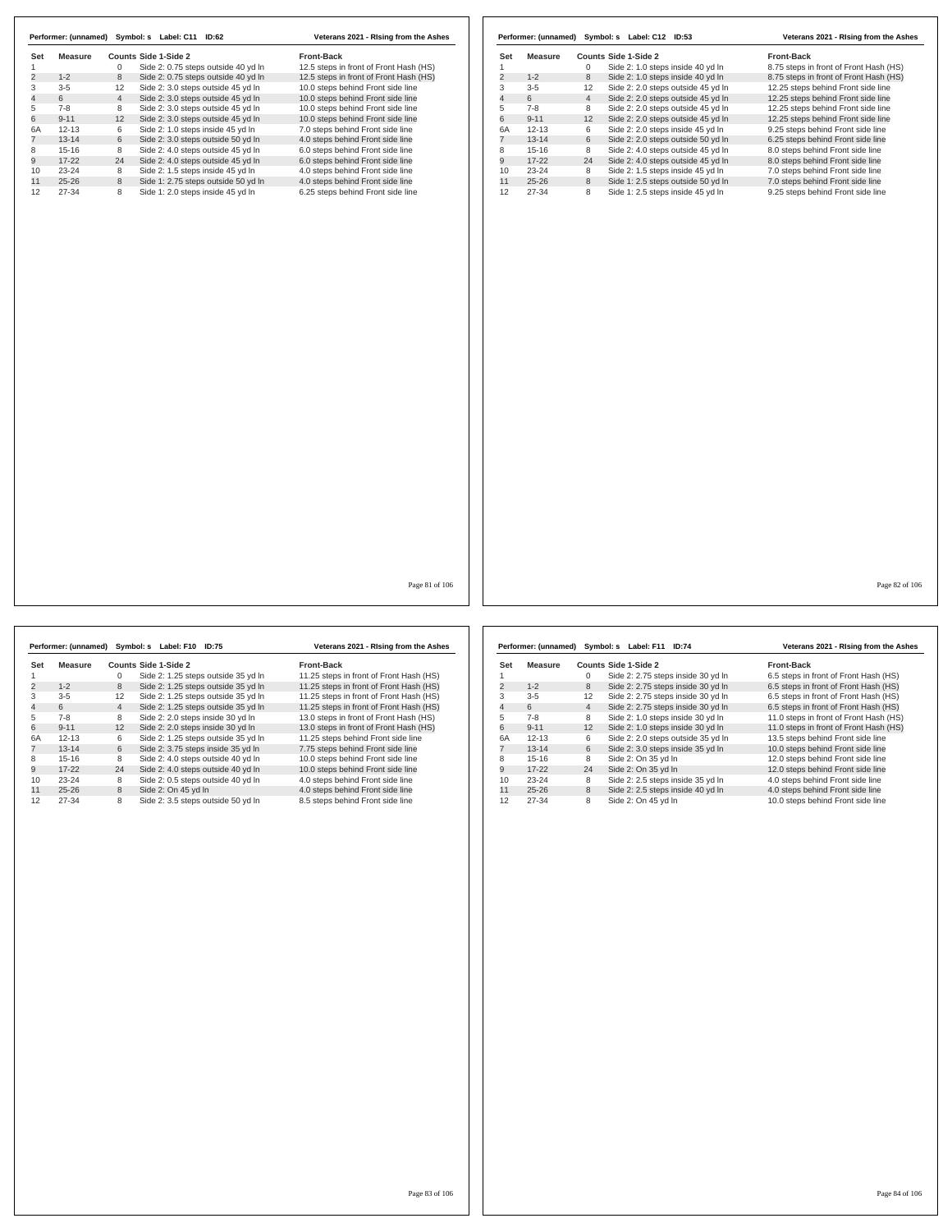| Set | Measure   |                | Counts Side 1-Side 2                | <b>Front-Back</b>                      |
|-----|-----------|----------------|-------------------------------------|----------------------------------------|
|     |           | 0              | Side 2: 0.75 steps outside 40 yd In | 12.5 steps in front of Front Hash (HS) |
| 2   | $1 - 2$   | 8              | Side 2: 0.75 steps outside 40 yd In | 12.5 steps in front of Front Hash (HS) |
| 3   | $3 - 5$   | 12             | Side 2: 3.0 steps outside 45 yd In  | 10.0 steps behind Front side line      |
| 4   | 6         | $\overline{4}$ | Side 2: 3.0 steps outside 45 yd In  | 10.0 steps behind Front side line      |
| 5   | $7-8$     | 8              | Side 2: 3.0 steps outside 45 yd In  | 10.0 steps behind Front side line      |
| 6   | $9 - 11$  | 12             | Side 2: 3.0 steps outside 45 yd In  | 10.0 steps behind Front side line      |
| 6A  | $12 - 13$ | 6              | Side 2: 1.0 steps inside 45 yd In   | 7.0 steps behind Front side line       |
| 7   | $13 - 14$ | 6              | Side 2: 3.0 steps outside 50 yd In  | 4.0 steps behind Front side line       |
| 8   | $15 - 16$ | 8              | Side 2: 4.0 steps outside 45 vd In  | 6.0 steps behind Front side line       |
| 9   | $17 - 22$ | 24             | Side 2: 4.0 steps outside 45 yd In  | 6.0 steps behind Front side line       |
| 10  | $23 - 24$ | 8              | Side 2: 1.5 steps inside 45 yd In   | 4.0 steps behind Front side line       |
| 11  | $25 - 26$ | 8              | Side 1: 2.75 steps outside 50 yd In | 4.0 steps behind Front side line       |
| 12  | 27-34     | 8              | Side 1: 2.0 steps inside 45 yd In   | 6.25 steps behind Front side line      |

|     | Performer: (unnamed) | Symbol: s      | Label: C12 ID:53                   | Veterans 2021 - Rising from the Ashes  |
|-----|----------------------|----------------|------------------------------------|----------------------------------------|
| Set | Measure              |                | Counts Side 1-Side 2               | <b>Front-Back</b>                      |
|     |                      | 0              | Side 2: 1.0 steps inside 40 yd In  | 8.75 steps in front of Front Hash (HS) |
| 2   | $1 - 2$              | 8              | Side 2: 1.0 steps inside 40 yd In  | 8.75 steps in front of Front Hash (HS) |
| 3   | $3 - 5$              | 12             | Side 2: 2.0 steps outside 45 yd In | 12.25 steps behind Front side line     |
| 4   | 6                    | $\overline{4}$ | Side 2: 2.0 steps outside 45 yd In | 12.25 steps behind Front side line     |
| 5   | $7 - 8$              | 8              | Side 2: 2.0 steps outside 45 yd In | 12.25 steps behind Front side line     |
| 6   | $9 - 11$             | 12             | Side 2: 2.0 steps outside 45 yd In | 12.25 steps behind Front side line     |
| 6A  | $12 - 13$            | 6              | Side 2: 2.0 steps inside 45 yd In  | 9.25 steps behind Front side line      |
|     | $13 - 14$            | 6              | Side 2: 2.0 steps outside 50 yd In | 6.25 steps behind Front side line      |
| 8   | $15-16$              | 8              | Side 2: 4.0 steps outside 45 yd In | 8.0 steps behind Front side line       |
| 9   | $17-22$              | 24             | Side 2: 4.0 steps outside 45 yd In | 8.0 steps behind Front side line       |
| 10  | $23 - 24$            | 8              | Side 2: 1.5 steps inside 45 yd In  | 7.0 steps behind Front side line       |
| 11  | $25 - 26$            | 8              | Side 1: 2.5 steps outside 50 yd In | 7.0 steps behind Front side line       |
| 12  | 27-34                | 8              | Side 1: 2.5 steps inside 45 yd In  | 9.25 steps behind Front side line      |

Page 81 of 106

|                | Performer: (unnamed) | Symbol: s      | Label: F10                         | <b>ID:75</b>                        | Veterans 2021 - Rising from the Ashes   |
|----------------|----------------------|----------------|------------------------------------|-------------------------------------|-----------------------------------------|
|                |                      |                |                                    |                                     |                                         |
| Set            | Measure              |                | Counts Side 1-Side 2               |                                     | <b>Front-Back</b>                       |
|                |                      | 0              |                                    | Side 2: 1.25 steps outside 35 yd In | 11.25 steps in front of Front Hash (HS) |
| $\overline{c}$ | $1 - 2$              | 8              |                                    | Side 2: 1.25 steps outside 35 yd In | 11.25 steps in front of Front Hash (HS) |
| 3              | $3 - 5$              | 12             |                                    | Side 2: 1.25 steps outside 35 yd In | 11.25 steps in front of Front Hash (HS) |
| $\overline{4}$ | 6                    | $\overline{4}$ |                                    | Side 2: 1.25 steps outside 35 yd In | 11.25 steps in front of Front Hash (HS) |
| 5              | $7 - 8$              | 8              | Side 2: 2.0 steps inside 30 yd In  |                                     | 13.0 steps in front of Front Hash (HS)  |
| 6              | $9 - 11$             | 12             | Side 2: 2.0 steps inside 30 yd In  |                                     | 13.0 steps in front of Front Hash (HS)  |
| 6A             | $12 - 13$            | 6              |                                    | Side 2: 1.25 steps outside 35 yd In | 11.25 steps behind Front side line      |
| $\overline{7}$ | $13 - 14$            | 6              | Side 2: 3.75 steps inside 35 yd In |                                     | 7.75 steps behind Front side line       |
| 8              | $15 - 16$            | 8              | Side 2: 4.0 steps outside 40 vd In |                                     | 10.0 steps behind Front side line       |
| 9              | $17 - 22$            | 24             | Side 2: 4.0 steps outside 40 yd In |                                     | 10.0 steps behind Front side line       |
| 10             | $23 - 24$            | 8              | Side 2: 0.5 steps outside 40 yd In |                                     | 4.0 steps behind Front side line        |
| 11             | $25 - 26$            | 8              | Side 2: On 45 vd In                |                                     | 4.0 steps behind Front side line        |
| 12             | 27-34                | 8              | Side 2: 3.5 steps outside 50 yd In |                                     | 8.5 steps behind Front side line        |

|                | Performer: (unnamed) |                | Symbol: s Label: F11<br><b>ID:74</b> | Veterans 2021 - Rising from the Ashes  |
|----------------|----------------------|----------------|--------------------------------------|----------------------------------------|
| Set            | Measure              |                | <b>Counts Side 1-Side 2</b>          | <b>Front-Back</b>                      |
|                |                      | 0              | Side 2: 2.75 steps inside 30 yd In   | 6.5 steps in front of Front Hash (HS)  |
| 2              | $1 - 2$              | 8              | Side 2: 2.75 steps inside 30 yd In   | 6.5 steps in front of Front Hash (HS)  |
| 3              | $3-5$                | 12             | Side 2: 2.75 steps inside 30 yd In   | 6.5 steps in front of Front Hash (HS)  |
| $\overline{4}$ | 6                    | $\overline{4}$ | Side 2: 2.75 steps inside 30 yd In   | 6.5 steps in front of Front Hash (HS)  |
| 5              | $7 - 8$              | 8              | Side 2: 1.0 steps inside 30 yd In    | 11.0 steps in front of Front Hash (HS) |
| 6              | $9 - 11$             | 12             | Side 2: 1.0 steps inside 30 yd In    | 11.0 steps in front of Front Hash (HS) |
| 6A             | $12 - 13$            | 6              | Side 2: 2.0 steps outside 35 yd In   | 13.5 steps behind Front side line      |
|                | $13 - 14$            | 6              | Side 2: 3.0 steps inside 35 yd In    | 10.0 steps behind Front side line      |
| 8              | $15 - 16$            | 8              | Side 2: On 35 yd In                  | 12.0 steps behind Front side line      |
| 9              | $17 - 22$            | 24             | Side 2: On 35 yd In                  | 12.0 steps behind Front side line      |
| 10             | $23 - 24$            | 8              | Side 2: 2.5 steps inside 35 yd In    | 4.0 steps behind Front side line       |
| 11             | $25 - 26$            | 8              | Side 2: 2.5 steps inside 40 yd In    | 4.0 steps behind Front side line       |
| 12             | 27-34                | 8              | Side 2: On 45 yd In                  | 10.0 steps behind Front side line      |

Page 82 of 106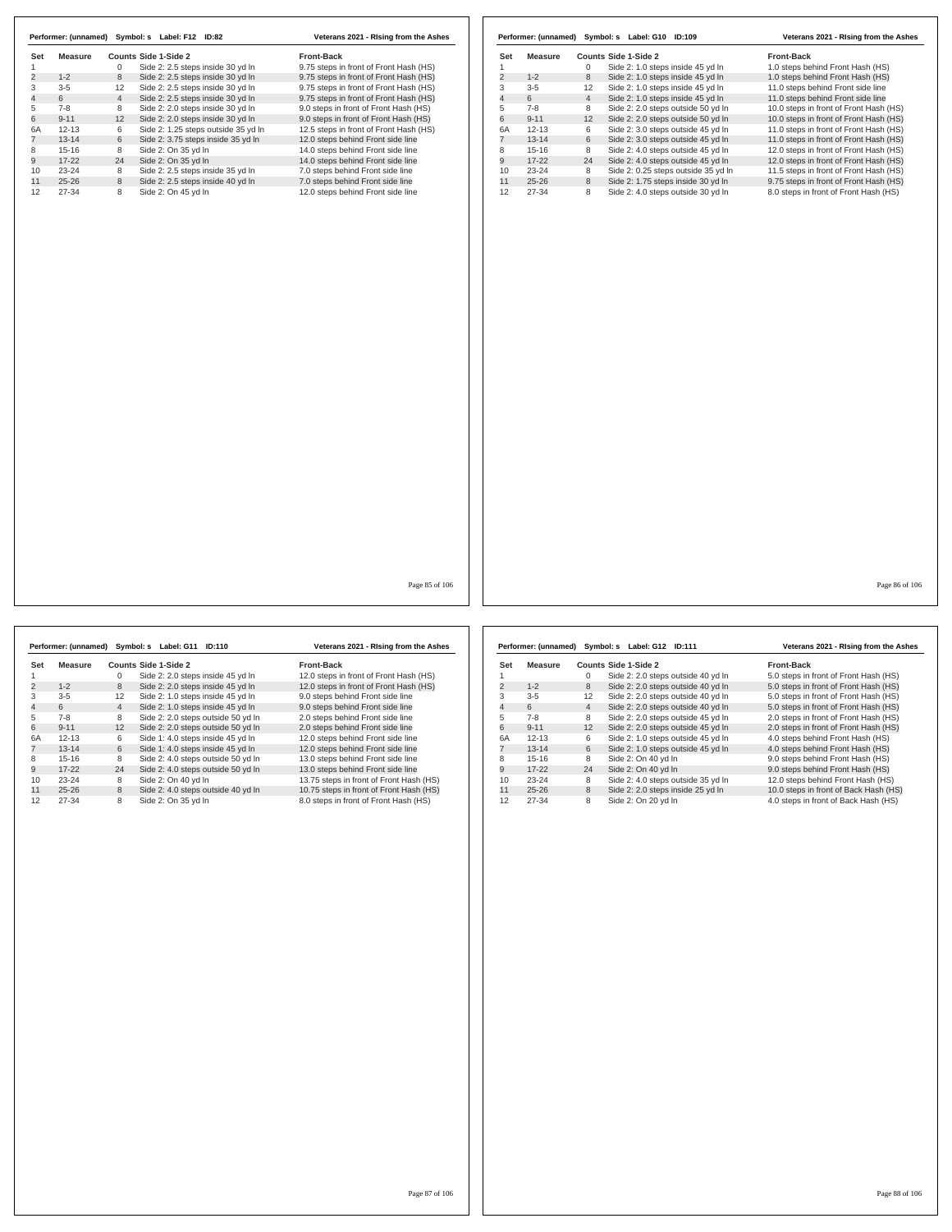| <b>Measure</b> | Counts Side 1-Side 2                                | Front-Back                             | Set            | <b>Measure</b> |                | Counts Side 1-Side 2                | Front-Back                             |
|----------------|-----------------------------------------------------|----------------------------------------|----------------|----------------|----------------|-------------------------------------|----------------------------------------|
|                | Side 2: 2.5 steps inside 30 yd In<br>$\mathbf 0$    | 9.75 steps in front of Front Hash (HS) | $\mathbf{1}$   |                | $\Omega$       | Side 2: 1.0 steps inside 45 yd In   | 1.0 steps behind Front Hash (HS)       |
| $1 - 2$        | 8<br>Side 2: 2.5 steps inside 30 yd In              | 9.75 steps in front of Front Hash (HS) | $\overline{2}$ | $1 - 2$        | 8              | Side 2: 1.0 steps inside 45 yd In   | 1.0 steps behind Front Hash (HS)       |
| $3-5$          | Side 2: 2.5 steps inside 30 yd In<br>12             | 9.75 steps in front of Front Hash (HS) | $\overline{3}$ | $3 - 5$        | 12             | Side 2: 1.0 steps inside 45 yd In   | 11.0 steps behind Front side line      |
| 6              | $\overline{4}$<br>Side 2: 2.5 steps inside 30 yd In | 9.75 steps in front of Front Hash (HS) | $\overline{4}$ | 6              | $\overline{4}$ | Side 2: 1.0 steps inside 45 yd In   | 11.0 steps behind Front side line      |
| $7 - 8$        | 8<br>Side 2: 2.0 steps inside 30 yd In              | 9.0 steps in front of Front Hash (HS)  | 5              | $7 - 8$        | 8              | Side 2: 2.0 steps outside 50 yd In  | 10.0 steps in front of Front Hash (HS) |
|                | Side 2: 2.0 steps inside 30 yd In<br>12             | 9.0 steps in front of Front Hash (HS)  | 6              | $9 - 11$       | 12             | Side 2: 2.0 steps outside 50 yd In  | 10.0 steps in front of Front Hash (HS) |
|                | Side 2: 1.25 steps outside 35 yd In<br>6            | 12.5 steps in front of Front Hash (HS) | 6A             | $12 - 13$      | 6              | Side 2: 3.0 steps outside 45 yd In  | 11.0 steps in front of Front Hash (HS) |
|                | 6<br>Side 2: 3.75 steps inside 35 yd In             | 12.0 steps behind Front side line      | $\overline{7}$ | $13 - 14$      | 6              | Side 2: 3.0 steps outside 45 yd In  | 11.0 steps in front of Front Hash (HS) |
|                | Side 2: On 35 yd In<br>8                            | 14.0 steps behind Front side line      | 8              | $15 - 16$      | 8              | Side 2: 4.0 steps outside 45 yd In  | 12.0 steps in front of Front Hash (HS) |
|                | 24<br>Side 2: On 35 yd In                           | 14.0 steps behind Front side line      | 9              | $17 - 22$      | 24             | Side 2: 4.0 steps outside 45 yd In  | 12.0 steps in front of Front Hash (HS) |
|                | Side 2: 2.5 steps inside 35 yd In<br>8              | 7.0 steps behind Front side line       | 10             | 23-24          | 8              | Side 2: 0.25 steps outside 35 yd In | 11.5 steps in front of Front Hash (HS) |
|                | 8<br>Side 2: 2.5 steps inside 40 yd In              | 7.0 steps behind Front side line       | 11             | $25 - 26$      | 8              | Side 2: 1.75 steps inside 30 yd In  | 9.75 steps in front of Front Hash (HS) |
|                | 8<br>Side 2: On 45 yd In                            | 12.0 steps behind Front side line      | 12             | $27 - 34$      | 8              | Side 2: 4.0 steps outside 30 yd In  | 8.0 steps in front of Front Hash (HS)  |
|                |                                                     |                                        |                |                |                |                                     |                                        |

|                | Performer: (unnamed) |                | Symbol: s Label: G11 ID:110        | Veterans 2021 - Rising from the Ashes   |
|----------------|----------------------|----------------|------------------------------------|-----------------------------------------|
| Set            | Measure              |                | Counts Side 1-Side 2               | <b>Front-Back</b>                       |
| 1              |                      | 0              | Side 2: 2.0 steps inside 45 yd In  | 12.0 steps in front of Front Hash (HS)  |
| $\overline{c}$ | $1 - 2$              | 8              | Side 2: 2.0 steps inside 45 yd In  | 12.0 steps in front of Front Hash (HS)  |
| 3              | $3 - 5$              | 12             | Side 2: 1.0 steps inside 45 yd In  | 9.0 steps behind Front side line        |
| $\overline{4}$ | 6                    | $\overline{4}$ | Side 2: 1.0 steps inside 45 yd In  | 9.0 steps behind Front side line        |
| 5              | $7 - 8$              | 8              | Side 2: 2.0 steps outside 50 yd In | 2.0 steps behind Front side line        |
| 6              | $9 - 11$             | 12             | Side 2: 2.0 steps outside 50 yd In | 2.0 steps behind Front side line        |
| 6A             | $12 - 13$            | 6              | Side 1: 4.0 steps inside 45 vd ln  | 12.0 steps behind Front side line       |
| 7              | $13 - 14$            | 6              | Side 1: 4.0 steps inside 45 yd In  | 12.0 steps behind Front side line       |
| 8              | $15 - 16$            | 8              | Side 2: 4.0 steps outside 50 yd In | 13.0 steps behind Front side line       |
| 9              | $17 - 22$            | 24             | Side 2: 4.0 steps outside 50 yd In | 13.0 steps behind Front side line       |
| 10             | $23 - 24$            | 8              | Side 2: On 40 yd In                | 13.75 steps in front of Front Hash (HS) |
| 11             | $25 - 26$            | 8              | Side 2: 4.0 steps outside 40 yd In | 10.75 steps in front of Front Hash (HS) |
| 12             | 27-34                | 8              | Side 2: On 35 vd In                | 8.0 steps in front of Front Hash (HS)   |

|                | Performer: (unnamed) |                | Symbol: s Label: G12 ID:111        | Veterans 2021 - Rising from the Ashes |
|----------------|----------------------|----------------|------------------------------------|---------------------------------------|
| Set            | Measure              |                | Counts Side 1-Side 2               | <b>Front-Back</b>                     |
|                |                      | 0              | Side 2: 2.0 steps outside 40 yd In | 5.0 steps in front of Front Hash (HS) |
| 2              | $1 - 2$              | 8              | Side 2: 2.0 steps outside 40 yd In | 5.0 steps in front of Front Hash (HS) |
| 3              | $3 - 5$              | 12             | Side 2: 2.0 steps outside 40 yd In | 5.0 steps in front of Front Hash (HS) |
| $\overline{4}$ | 6                    | $\overline{4}$ | Side 2: 2.0 steps outside 40 yd In | 5.0 steps in front of Front Hash (HS) |
| 5              | $7 - 8$              | 8              | Side 2: 2.0 steps outside 45 yd In | 2.0 steps in front of Front Hash (HS) |
| 6              | $9 - 11$             | 12             | Side 2: 2.0 steps outside 45 yd In | 2.0 steps in front of Front Hash (HS) |
| 6A             | $12 - 13$            | 6              | Side 2: 1.0 steps outside 45 yd In | 4.0 steps behind Front Hash (HS)      |
|                | $13 - 14$            | 6              | Side 2: 1.0 steps outside 45 yd In | 4.0 steps behind Front Hash (HS)      |
| 8              | $15-16$              | 8              | Side 2: On 40 vd In                | 9.0 steps behind Front Hash (HS)      |
| 9              | $17-22$              | 24             | Side 2: On 40 yd In                | 9.0 steps behind Front Hash (HS)      |
| 10             | $23 - 24$            | 8              | Side 2: 4.0 steps outside 35 yd In | 12.0 steps behind Front Hash (HS)     |
| 11             | $25 - 26$            | 8              | Side 2: 2.0 steps inside 25 yd In  | 10.0 steps in front of Back Hash (HS) |
| 12             | 27-34                | 8              | Side 2: On 20 yd In                | 4.0 steps in front of Back Hash (HS)  |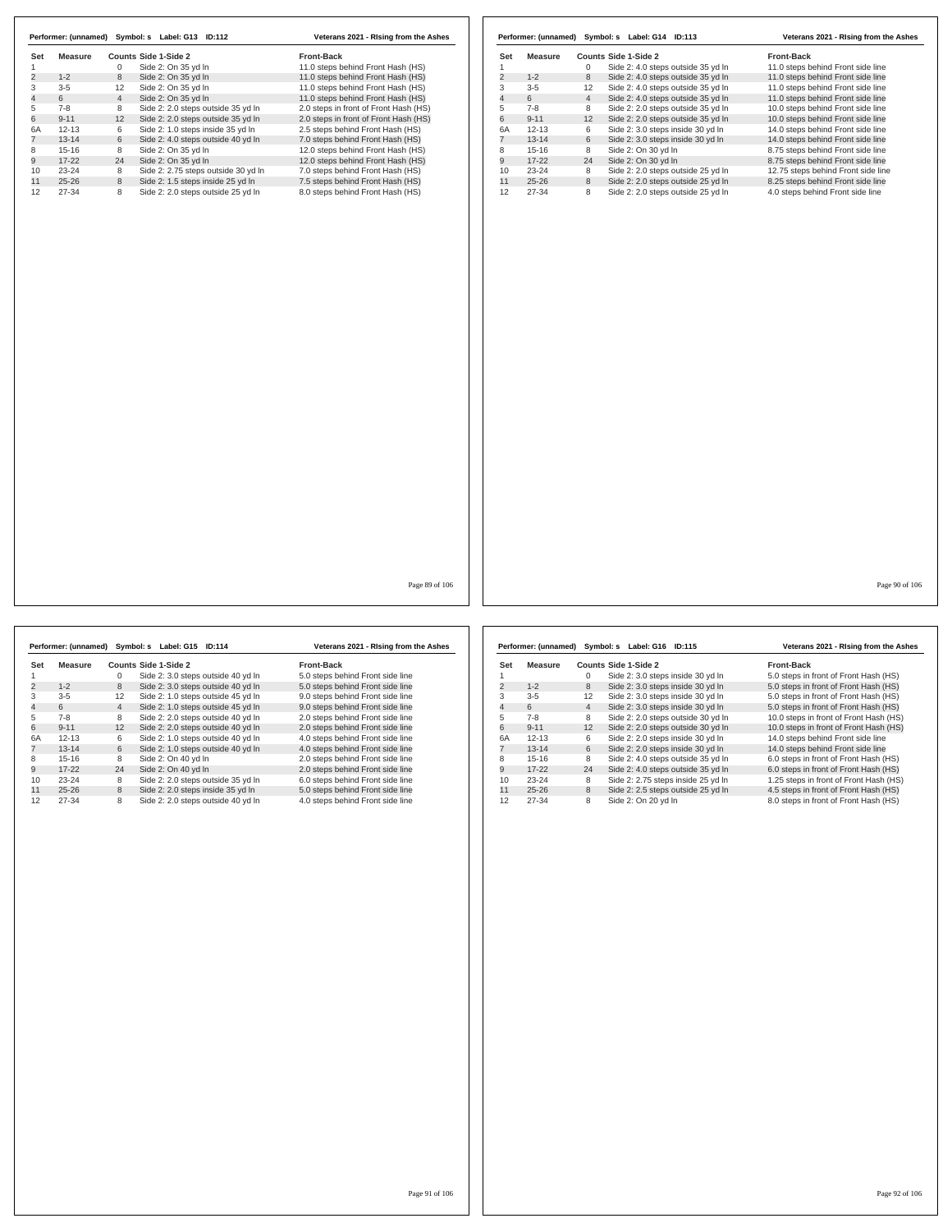| Set       | Measure   |                | Counts Side 1-Side 2                | Front-Back                            | Set            | <b>Measure</b> |                | Counts Side 1-Side 2               | Front-Back                         |
|-----------|-----------|----------------|-------------------------------------|---------------------------------------|----------------|----------------|----------------|------------------------------------|------------------------------------|
|           |           | $\mathbf 0$    | Side 2: On 35 yd In                 | 11.0 steps behind Front Hash (HS)     | $\mathbf{1}$   |                | $\mathbf 0$    | Side 2: 4.0 steps outside 35 yd In | 11.0 steps behind Front side line  |
|           | $1 - 2$   | 8              | Side 2: On 35 yd In                 | 11.0 steps behind Front Hash (HS)     | $\overline{c}$ | $1 - 2$        | 8              | Side 2: 4.0 steps outside 35 yd In | 11.0 steps behind Front side line  |
|           | $3-5$     | 12             | Side 2: On 35 yd In                 | 11.0 steps behind Front Hash (HS)     | 3              | $3-5$          | 12             | Side 2: 4.0 steps outside 35 yd In | 11.0 steps behind Front side line  |
|           | 6         | $\overline{4}$ | Side 2: On 35 yd In                 | 11.0 steps behind Front Hash (HS)     | $\overline{4}$ | 6              | $\overline{4}$ | Side 2: 4.0 steps outside 35 yd In | 11.0 steps behind Front side line  |
|           | $7 - 8$   | 8              | Side 2: 2.0 steps outside 35 yd In  | 2.0 steps in front of Front Hash (HS) | 5              | $7 - 8$        | 8              | Side 2: 2.0 steps outside 35 yd In | 10.0 steps behind Front side line  |
|           | $9 - 11$  | 12             | Side 2: 2.0 steps outside 35 yd In  | 2.0 steps in front of Front Hash (HS) | 6              | $9 - 11$       | 12             | Side 2: 2.0 steps outside 35 yd In | 10.0 steps behind Front side line  |
|           | $12 - 13$ | 6              | Side 2: 1.0 steps inside 35 yd In   | 2.5 steps behind Front Hash (HS)      | 6A             | $12 - 13$      | 6              | Side 2: 3.0 steps inside 30 yd In  | 14.0 steps behind Front side line  |
| $13 - 14$ |           | 6              | Side 2: 4.0 steps outside 40 yd In  | 7.0 steps behind Front Hash (HS)      | $\overline{7}$ | $13 - 14$      | 6              | Side 2: 3.0 steps inside 30 yd In  | 14.0 steps behind Front side line  |
|           |           | 8              | Side 2: On 35 yd In                 | 12.0 steps behind Front Hash (HS)     | 8              | $15 - 16$      | 8              | Side 2: On 30 yd In                | 8.75 steps behind Front side line  |
| $15 - 16$ |           | 24             | Side 2: On 35 yd In                 |                                       | 9              | $17 - 22$      | 24             | Side 2: On 30 yd In                |                                    |
| $17 - 22$ |           |                |                                     | 12.0 steps behind Front Hash (HS)     |                |                |                |                                    | 8.75 steps behind Front side line  |
| $23 - 24$ |           | 8              | Side 2: 2.75 steps outside 30 yd In | 7.0 steps behind Front Hash (HS)      | 10             | $23 - 24$      | 8              | Side 2: 2.0 steps outside 25 yd In | 12.75 steps behind Front side line |
| $25 - 26$ |           | 8              | Side 2: 1.5 steps inside 25 yd In   | 7.5 steps behind Front Hash (HS)      | 11             | $25 - 26$      | 8              | Side 2: 2.0 steps outside 25 yd In | 8.25 steps behind Front side line  |
| $27 - 34$ |           | 8              | Side 2: 2.0 steps outside 25 yd In  | 8.0 steps behind Front Hash (HS)      | 12             | $27 - 34$      | 8              | Side 2: 2.0 steps outside 25 yd In | 4.0 steps behind Front side line   |
|           |           |                |                                     |                                       |                |                |                |                                    |                                    |
|           |           |                |                                     | Page 89 of 106                        |                |                |                |                                    | Page 90 of 106                     |

|                | Performer: (unnamed) |                | Symbol: s Label: G15 ID:114        | Veterans 2021 - Rising from the Ashes |
|----------------|----------------------|----------------|------------------------------------|---------------------------------------|
| Set            | Measure              |                | Counts Side 1-Side 2               | <b>Front-Back</b>                     |
|                |                      | 0              | Side 2: 3.0 steps outside 40 yd In | 5.0 steps behind Front side line      |
| 2              | $1 - 2$              | 8              | Side 2: 3.0 steps outside 40 yd In | 5.0 steps behind Front side line      |
| 3              | $3 - 5$              | 12             | Side 2: 1.0 steps outside 45 yd In | 9.0 steps behind Front side line      |
| $\overline{4}$ | 6                    | $\overline{4}$ | Side 2: 1.0 steps outside 45 yd In | 9.0 steps behind Front side line      |
| 5              | $7 - 8$              | 8              | Side 2: 2.0 steps outside 40 yd In | 2.0 steps behind Front side line      |
| 6              | $9 - 11$             | 12             | Side 2: 2.0 steps outside 40 yd In | 2.0 steps behind Front side line      |
| 6A             | $12 - 13$            | 6              | Side 2: 1.0 steps outside 40 yd In | 4.0 steps behind Front side line      |
|                | $13 - 14$            | 6              | Side 2: 1.0 steps outside 40 yd In | 4.0 steps behind Front side line      |
| 8              | $15 - 16$            | 8              | Side 2: On 40 yd In                | 2.0 steps behind Front side line      |
| 9              | $17-22$              | 24             | Side 2: On 40 yd In                | 2.0 steps behind Front side line      |
| 10             | $23 - 24$            | 8              | Side 2: 2.0 steps outside 35 yd In | 6.0 steps behind Front side line      |
| 11             | $25 - 26$            | 8              | Side 2: 2.0 steps inside 35 yd In  | 5.0 steps behind Front side line      |
| 12             | $27 - 34$            | 8              | Side 2: 2.0 steps outside 40 yd In | 4.0 steps behind Front side line      |

|     | Performer: (unnamed) |                | Symbol: s Label: G16               | ID:115 | Veterans 2021 - Rising from the Ashes  |
|-----|----------------------|----------------|------------------------------------|--------|----------------------------------------|
| Set | Measure              |                | Counts Side 1-Side 2               |        | <b>Front-Back</b>                      |
|     |                      | 0              | Side 2: 3.0 steps inside 30 yd In  |        | 5.0 steps in front of Front Hash (HS)  |
| 2   | $1 - 2$              | 8              | Side 2: 3.0 steps inside 30 yd In  |        | 5.0 steps in front of Front Hash (HS)  |
| 3   | $3 - 5$              | 12             | Side 2: 3.0 steps inside 30 yd In  |        | 5.0 steps in front of Front Hash (HS)  |
| 4   | 6                    | $\overline{4}$ | Side 2: 3.0 steps inside 30 yd In  |        | 5.0 steps in front of Front Hash (HS)  |
| 5   | $7 - 8$              | 8              | Side 2: 2.0 steps outside 30 yd In |        | 10.0 steps in front of Front Hash (HS) |
| 6   | $9 - 11$             | 12             | Side 2: 2.0 steps outside 30 yd In |        | 10.0 steps in front of Front Hash (HS) |
| 6A  | $12 - 13$            | 6              | Side 2: 2.0 steps inside 30 yd In  |        | 14.0 steps behind Front side line      |
|     | $13 - 14$            | 6              | Side 2: 2.0 steps inside 30 yd In  |        | 14.0 steps behind Front side line      |
| 8   | $15-16$              | 8              | Side 2: 4.0 steps outside 35 yd In |        | 6.0 steps in front of Front Hash (HS)  |
| 9   | $17-22$              | 24             | Side 2: 4.0 steps outside 35 yd In |        | 6.0 steps in front of Front Hash (HS)  |
| 10  | 23-24                | 8              | Side 2: 2.75 steps inside 25 yd In |        | 1.25 steps in front of Front Hash (HS) |
| 11  | $25 - 26$            | 8              | Side 2: 2.5 steps outside 25 yd In |        | 4.5 steps in front of Front Hash (HS)  |
| 12  | 27-34                | 8              | Side 2: On 20 vd In                |        | 8.0 steps in front of Front Hash (HS)  |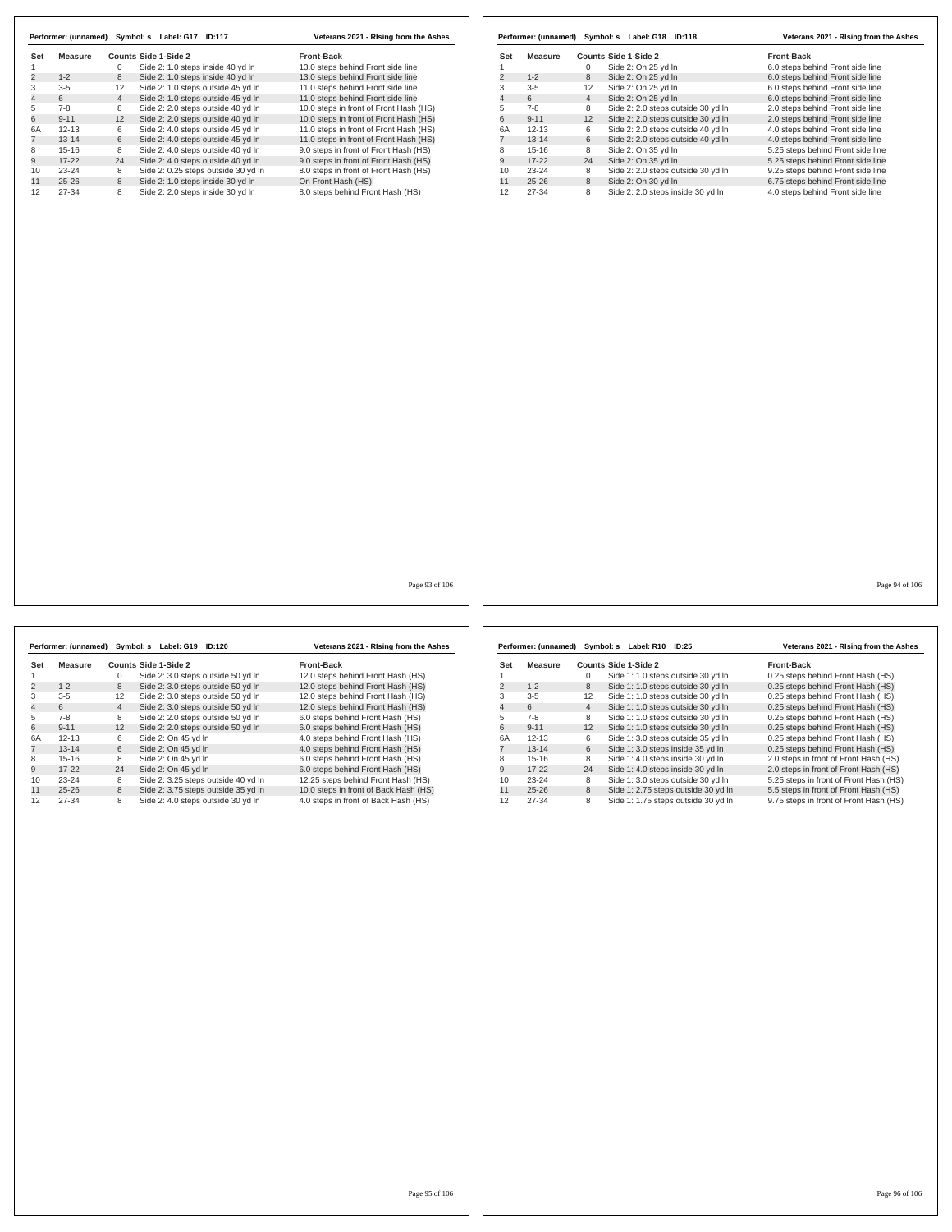|                | Performer: (unnamed) | Symbol: s      | Label: G17<br><b>ID:117</b>         | Veterans 2021 - Rising from the Ashes  |
|----------------|----------------------|----------------|-------------------------------------|----------------------------------------|
| Set            | Measure              |                | Counts Side 1-Side 2                | <b>Front-Back</b>                      |
|                |                      | 0              | Side 2: 1.0 steps inside 40 yd In   | 13.0 steps behind Front side line      |
| $\overline{2}$ | $1 - 2$              | 8              | Side 2: 1.0 steps inside 40 yd In   | 13.0 steps behind Front side line      |
| 3              | $3 - 5$              | 12             | Side 2: 1.0 steps outside 45 yd In  | 11.0 steps behind Front side line      |
| 4              | 6                    | $\overline{4}$ | Side 2: 1.0 steps outside 45 yd In  | 11.0 steps behind Front side line      |
| 5              | $7-8$                | 8              | Side 2: 2.0 steps outside 40 yd In  | 10.0 steps in front of Front Hash (HS) |
| 6              | $9 - 11$             | 12             | Side 2: 2.0 steps outside 40 yd In  | 10.0 steps in front of Front Hash (HS) |
| 6A             | $12 - 13$            | 6              | Side 2: 4.0 steps outside 45 yd In  | 11.0 steps in front of Front Hash (HS) |
|                | $13 - 14$            | 6              | Side 2: 4.0 steps outside 45 yd In  | 11.0 steps in front of Front Hash (HS) |
| 8              | $15 - 16$            | 8              | Side 2: 4.0 steps outside 40 yd In  | 9.0 steps in front of Front Hash (HS)  |
| 9              | $17 - 22$            | 24             | Side 2: 4.0 steps outside 40 yd In  | 9.0 steps in front of Front Hash (HS)  |
| 10             | $23 - 24$            | 8              | Side 2: 0.25 steps outside 30 yd In | 8.0 steps in front of Front Hash (HS)  |
| 11             | $25 - 26$            | 8              | Side 2: 1.0 steps inside 30 yd In   | On Front Hash (HS)                     |
| 12             | $27 - 34$            | 8              | Side 2: 2.0 steps inside 30 yd In   | 8.0 steps behind Front Hash (HS)       |

|                | Performer: (unnamed) |                   | Symbol: s Label: G18 ID:118        | Veterans 2021 - Rising from the Ashes |
|----------------|----------------------|-------------------|------------------------------------|---------------------------------------|
| Set            | Measure              |                   | Counts Side 1-Side 2               | <b>Front-Back</b>                     |
|                |                      | $\Omega$          | Side 2: On 25 yd In                | 6.0 steps behind Front side line      |
| $\overline{2}$ | $1 - 2$              | 8                 | Side 2: On 25 yd In                | 6.0 steps behind Front side line      |
| 3              | $3 - 5$              | $12 \overline{ }$ | Side 2: On 25 yd In                | 6.0 steps behind Front side line      |
| 4              | 6                    | $\overline{4}$    | Side 2: On 25 yd In                | 6.0 steps behind Front side line      |
| 5              | $7-8$                | 8                 | Side 2: 2.0 steps outside 30 yd In | 2.0 steps behind Front side line      |
| 6              | $9 - 11$             | 12                | Side 2: 2.0 steps outside 30 yd In | 2.0 steps behind Front side line      |
| 6A             | $12 - 13$            | 6                 | Side 2: 2.0 steps outside 40 yd In | 4.0 steps behind Front side line      |
|                | $13 - 14$            | 6                 | Side 2: 2.0 steps outside 40 yd In | 4.0 steps behind Front side line      |
| 8              | $15-16$              | 8                 | Side 2: On 35 vd In                | 5.25 steps behind Front side line     |
| 9              | $17-22$              | 24                | Side 2: On 35 yd In                | 5.25 steps behind Front side line     |
| 10             | $23 - 24$            | 8                 | Side 2: 2.0 steps outside 30 yd In | 9.25 steps behind Front side line     |
| 11             | $25 - 26$            | 8                 | Side 2: On 30 yd In                | 6.75 steps behind Front side line     |
| 12             | 27-34                | 8                 | Side 2: 2.0 steps inside 30 yd In  | 4.0 steps behind Front side line      |

Page 93 of 106

|     |           |                | Performer: (unnamed) Symbol: s Label: G19 ID:120 | Veterans 2021 - Rising from the Ashes |
|-----|-----------|----------------|--------------------------------------------------|---------------------------------------|
| Set | Measure   |                | Counts Side 1-Side 2                             | <b>Front-Back</b>                     |
|     |           | 0              | Side 2: 3.0 steps outside 50 yd In               | 12.0 steps behind Front Hash (HS)     |
| 2   | $1 - 2$   | 8              | Side 2: 3.0 steps outside 50 yd In               | 12.0 steps behind Front Hash (HS)     |
| 3   | $3 - 5$   | 12             | Side 2: 3.0 steps outside 50 yd In               | 12.0 steps behind Front Hash (HS)     |
| 4   | 6         | $\overline{4}$ | Side 2: 3.0 steps outside 50 yd In               | 12.0 steps behind Front Hash (HS)     |
| 5   | $7-8$     | 8              | Side 2: 2.0 steps outside 50 yd In               | 6.0 steps behind Front Hash (HS)      |
| 6   | $9 - 11$  | 12             | Side 2: 2.0 steps outside 50 yd In               | 6.0 steps behind Front Hash (HS)      |
| 6A  | $12 - 13$ | 6              | Side 2: On 45 yd In                              | 4.0 steps behind Front Hash (HS)      |
|     | $13 - 14$ | 6              | Side 2: On 45 vd In                              | 4.0 steps behind Front Hash (HS)      |
| 8   | $15-16$   | 8              | Side 2: On 45 yd In                              | 6.0 steps behind Front Hash (HS)      |
| 9   | $17-22$   | 24             | Side 2: On 45 yd In                              | 6.0 steps behind Front Hash (HS)      |
| 10  | $23 - 24$ | 8              | Side 2: 3.25 steps outside 40 yd In              | 12.25 steps behind Front Hash (HS)    |
| 11  | $25 - 26$ | 8              | Side 2: 3.75 steps outside 35 yd In              | 10.0 steps in front of Back Hash (HS) |
| 12  | 27-34     | 8              | Side 2: 4.0 steps outside 30 vd In               | 4.0 steps in front of Back Hash (HS)  |

|                | Performer: (unnamed) |                   | Symbol: s Label: R10 | ID:25                               | Veterans 2021 - Rising from the Ashes  |
|----------------|----------------------|-------------------|----------------------|-------------------------------------|----------------------------------------|
| Set            | Measure              |                   | Counts Side 1-Side 2 |                                     | <b>Front-Back</b>                      |
|                |                      | 0                 |                      | Side 1: 1.0 steps outside 30 yd In  | 0.25 steps behind Front Hash (HS)      |
| $\overline{2}$ | $1 - 2$              | 8                 |                      | Side 1: 1.0 steps outside 30 yd In  | 0.25 steps behind Front Hash (HS)      |
| 3              | $3-5$                | $12 \overline{ }$ |                      | Side 1: 1.0 steps outside 30 yd In  | 0.25 steps behind Front Hash (HS)      |
| 4              | 6                    | $\overline{4}$    |                      | Side 1: 1.0 steps outside 30 yd In  | 0.25 steps behind Front Hash (HS)      |
| 5              | $7-8$                | 8                 |                      | Side 1: 1.0 steps outside 30 yd In  | 0.25 steps behind Front Hash (HS)      |
| 6              | $9 - 11$             | 12                |                      | Side 1: 1.0 steps outside 30 yd In  | 0.25 steps behind Front Hash (HS)      |
| 6A             | $12 - 13$            | 6                 |                      | Side 1: 3.0 steps outside 35 yd In  | 0.25 steps behind Front Hash (HS)      |
|                | $13 - 14$            | 6                 |                      | Side 1: 3.0 steps inside 35 yd In   | 0.25 steps behind Front Hash (HS)      |
| 8              | $15-16$              | 8                 |                      | Side 1: 4.0 steps inside 30 yd In   | 2.0 steps in front of Front Hash (HS)  |
| 9              | $17-22$              | 24                |                      | Side 1: 4.0 steps inside 30 yd In   | 2.0 steps in front of Front Hash (HS)  |
| 10             | $23 - 24$            | 8                 |                      | Side 1: 3.0 steps outside 30 yd In  | 5.25 steps in front of Front Hash (HS) |
| 11             | $25 - 26$            | 8                 |                      | Side 1: 2.75 steps outside 30 yd In | 5.5 steps in front of Front Hash (HS)  |
| 12             | 27-34                | 8                 |                      | Side 1: 1.75 steps outside 30 yd In | 9.75 steps in front of Front Hash (HS) |

Page 95 of 106

Page 94 of 106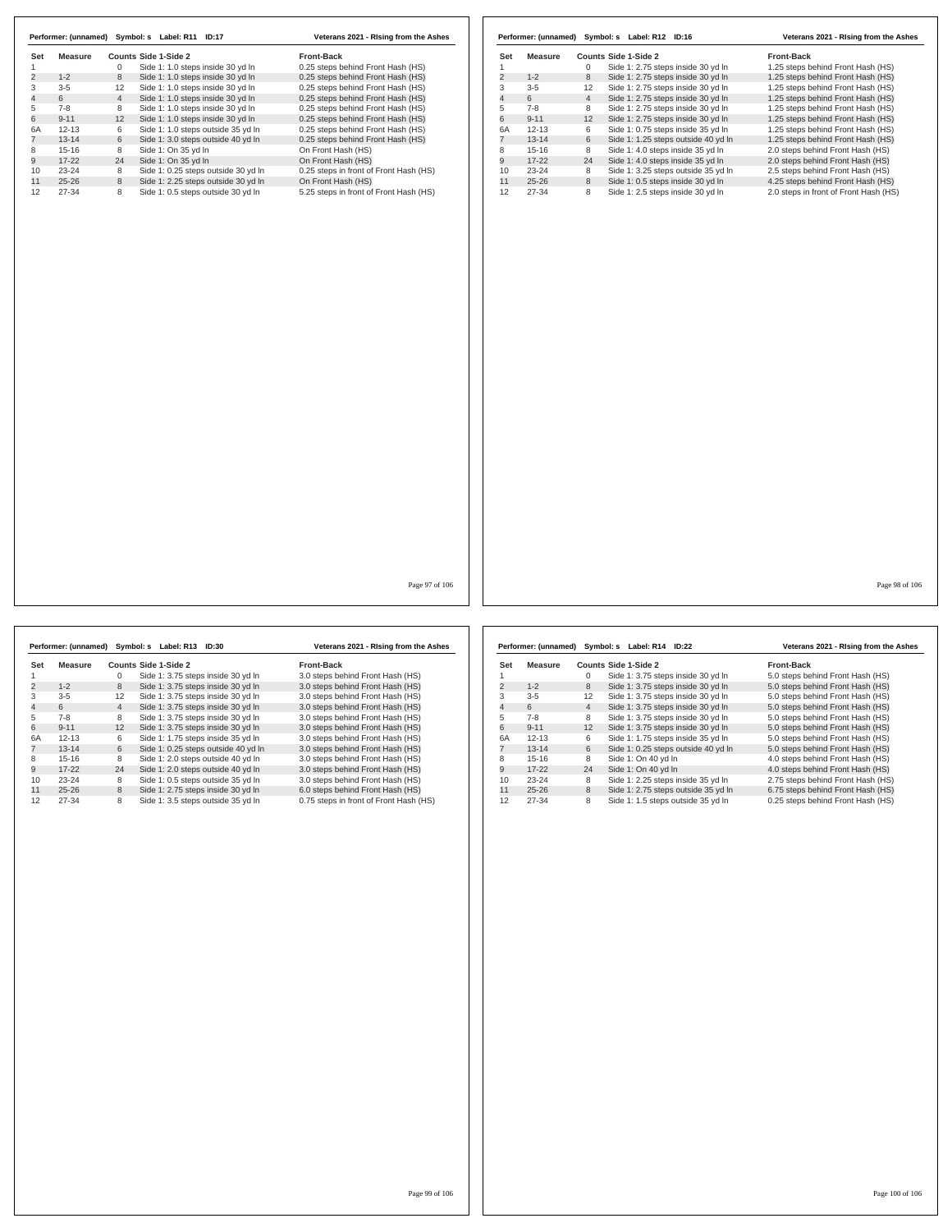|                     |                |                | Performer: (unnamed) Symbol: s Label: R11 ID:17 | Veterans 2021 - Rising from the Ashes  |                |                |                | Performer: (unnamed) Symbol: s Label: R12 ID:16 | Veterans 2021 - Rising from the Ashes |
|---------------------|----------------|----------------|-------------------------------------------------|----------------------------------------|----------------|----------------|----------------|-------------------------------------------------|---------------------------------------|
| Set                 | <b>Measure</b> |                | Counts Side 1-Side 2                            | Front-Back                             | Set            | <b>Measure</b> |                | Counts Side 1-Side 2                            | Front-Back                            |
| 1                   |                | $\mathbf 0$    | Side 1: 1.0 steps inside 30 yd In               | 0.25 steps behind Front Hash (HS)      | 1              |                | $\mathbf 0$    | Side 1: 2.75 steps inside 30 yd In              | 1.25 steps behind Front Hash (HS)     |
| $\overline{2}$      | $1 - 2$        | 8              | Side 1: 1.0 steps inside 30 yd In               | 0.25 steps behind Front Hash (HS)      | $\overline{2}$ | $1 - 2$        | 8              | Side 1: 2.75 steps inside 30 yd In              | 1.25 steps behind Front Hash (HS)     |
| 3<br>$\overline{4}$ | $3-5$          | 12             | Side 1: 1.0 steps inside 30 yd In               | 0.25 steps behind Front Hash (HS)      | 3              | $3 - 5$        | 12             | Side 1: 2.75 steps inside 30 yd In              | 1.25 steps behind Front Hash (HS)     |
|                     | 6              | $\overline{4}$ | Side 1: 1.0 steps inside 30 yd In               | 0.25 steps behind Front Hash (HS)      | $\overline{4}$ | 6              | $\overline{4}$ | Side 1: 2.75 steps inside 30 yd In              | 1.25 steps behind Front Hash (HS)     |
|                     | $7 - 8$        | 8              | Side 1: 1.0 steps inside 30 yd In               | 0.25 steps behind Front Hash (HS)      | 5              | $7 - 8$        | 8              | Side 1: 2.75 steps inside 30 yd In              | 1.25 steps behind Front Hash (HS)     |
|                     | $9 - 11$       | 12             | Side 1: 1.0 steps inside 30 yd In               | 0.25 steps behind Front Hash (HS)      | 6              | $9 - 11$       | 12             | Side 1: 2.75 steps inside 30 yd In              | 1.25 steps behind Front Hash (HS)     |
|                     | $12 - 13$      | 6              | Side 1: 1.0 steps outside 35 yd In              | 0.25 steps behind Front Hash (HS)      | 6A             | $12 - 13$      | 6              | Side 1: 0.75 steps inside 35 yd In              | 1.25 steps behind Front Hash (HS)     |
|                     | $13 - 14$      | 6              | Side 1: 3.0 steps outside 40 yd In              | 0.25 steps behind Front Hash (HS)      | $\overline{7}$ | $13 - 14$      | 6              | Side 1: 1.25 steps outside 40 yd In             | 1.25 steps behind Front Hash (HS)     |
|                     | $15 - 16$      | 8              | Side 1: On 35 yd In                             | On Front Hash (HS)                     | 8              | $15 - 16$      | 8              | Side 1: 4.0 steps inside 35 yd In               | 2.0 steps behind Front Hash (HS)      |
|                     | $17 - 22$      | 24             | Side 1: On 35 yd In                             | On Front Hash (HS)                     | 9              | $17 - 22$      | 24             | Side 1: 4.0 steps inside 35 yd In               | 2.0 steps behind Front Hash (HS)      |
|                     | $23 - 24$      | 8              | Side 1: 0.25 steps outside 30 yd In             | 0.25 steps in front of Front Hash (HS) | 10             | $23 - 24$      | 8              | Side 1: 3.25 steps outside 35 yd In             | 2.5 steps behind Front Hash (HS)      |
|                     | $25 - 26$      | 8              | Side 1: 2.25 steps outside 30 yd In             | On Front Hash (HS)                     | 11             | $25 - 26$      | 8              | Side 1: 0.5 steps inside 30 yd In               | 4.25 steps behind Front Hash (HS)     |
|                     | 27-34          | 8              | Side 1: 0.5 steps outside 30 yd In              | 5.25 steps in front of Front Hash (HS) | 12             | 27-34          | 8              | Side 1: 2.5 steps inside 30 yd In               | 2.0 steps in front of Front Hash (HS) |
|                     |                |                |                                                 |                                        |                |                |                |                                                 |                                       |
|                     |                |                |                                                 |                                        |                |                |                |                                                 |                                       |

|                | Performer: (unnamed) |                | Symbol: s Label: R13               | ID:30                               | Veterans 2021 - Rising from the Ashes  |
|----------------|----------------------|----------------|------------------------------------|-------------------------------------|----------------------------------------|
| Set            | Measure              |                | Counts Side 1-Side 2               |                                     | <b>Front-Back</b>                      |
|                |                      | 0              | Side 1: 3.75 steps inside 30 yd In |                                     | 3.0 steps behind Front Hash (HS)       |
| 2              | $1 - 2$              | 8              | Side 1: 3.75 steps inside 30 yd In |                                     | 3.0 steps behind Front Hash (HS)       |
| 3              | $3 - 5$              | 12             | Side 1: 3.75 steps inside 30 yd In |                                     | 3.0 steps behind Front Hash (HS)       |
| $\overline{4}$ | 6                    | $\overline{4}$ | Side 1: 3.75 steps inside 30 yd In |                                     | 3.0 steps behind Front Hash (HS)       |
| 5              | $7 - 8$              | 8              | Side 1: 3.75 steps inside 30 yd In |                                     | 3.0 steps behind Front Hash (HS)       |
| 6              | $9 - 11$             | 12             | Side 1: 3.75 steps inside 30 yd In |                                     | 3.0 steps behind Front Hash (HS)       |
| 6A             | $12 - 13$            | 6              | Side 1: 1.75 steps inside 35 yd In |                                     | 3.0 steps behind Front Hash (HS)       |
|                | $13 - 14$            | 6              |                                    | Side 1: 0.25 steps outside 40 vd In | 3.0 steps behind Front Hash (HS)       |
| 8              | $15 - 16$            | 8              | Side 1: 2.0 steps outside 40 vd In |                                     | 3.0 steps behind Front Hash (HS)       |
| 9              | $17 - 22$            | 24             | Side 1: 2.0 steps outside 40 yd In |                                     | 3.0 steps behind Front Hash (HS)       |
| 10             | $23 - 24$            | 8              | Side 1: 0.5 steps outside 35 yd In |                                     | 3.0 steps behind Front Hash (HS)       |
| 11             | $25 - 26$            | 8              | Side 1: 2.75 steps inside 30 yd In |                                     | 6.0 steps behind Front Hash (HS)       |
| 12             | 27-34                | 8              |                                    | Side 1: 3.5 steps outside 35 yd In  | 0.75 steps in front of Front Hash (HS) |

|                | Performer: (unnamed) | Symbol: s      | Label: R14 ID:22                    | Veterans 2021 - Rising from the Ashes |
|----------------|----------------------|----------------|-------------------------------------|---------------------------------------|
| Set            | Measure              |                | Counts Side 1-Side 2                | <b>Front-Back</b>                     |
|                |                      | 0              | Side 1: 3.75 steps inside 30 yd In  | 5.0 steps behind Front Hash (HS)      |
| $\overline{2}$ | $1 - 2$              | 8              | Side 1: 3.75 steps inside 30 yd In  | 5.0 steps behind Front Hash (HS)      |
| 3              | $3 - 5$              | 12             | Side 1: 3.75 steps inside 30 yd In  | 5.0 steps behind Front Hash (HS)      |
| 4              | 6                    | $\overline{4}$ | Side 1: 3.75 steps inside 30 yd In  | 5.0 steps behind Front Hash (HS)      |
| 5              | $7-8$                | 8              | Side 1: 3.75 steps inside 30 yd In  | 5.0 steps behind Front Hash (HS)      |
| 6              | $9 - 11$             | 12             | Side 1: 3.75 steps inside 30 yd In  | 5.0 steps behind Front Hash (HS)      |
| 6A             | $12 - 13$            | 6              | Side 1: 1.75 steps inside 35 yd In  | 5.0 steps behind Front Hash (HS)      |
|                | $13 - 14$            | 6              | Side 1: 0.25 steps outside 40 yd In | 5.0 steps behind Front Hash (HS)      |
| 8              | $15-16$              | 8              | Side 1: On 40 yd In                 | 4.0 steps behind Front Hash (HS)      |
| 9              | $17-22$              | 24             | Side 1: On 40 yd In                 | 4.0 steps behind Front Hash (HS)      |
| 10             | $23 - 24$            | 8              | Side 1: 2.25 steps inside 35 yd In  | 2.75 steps behind Front Hash (HS)     |
| 11             | $25 - 26$            | 8              | Side 1: 2.75 steps outside 35 yd In | 6.75 steps behind Front Hash (HS)     |
| 12             | 27-34                | 8              | Side 1: 1.5 steps outside 35 yd In  | 0.25 steps behind Front Hash (HS)     |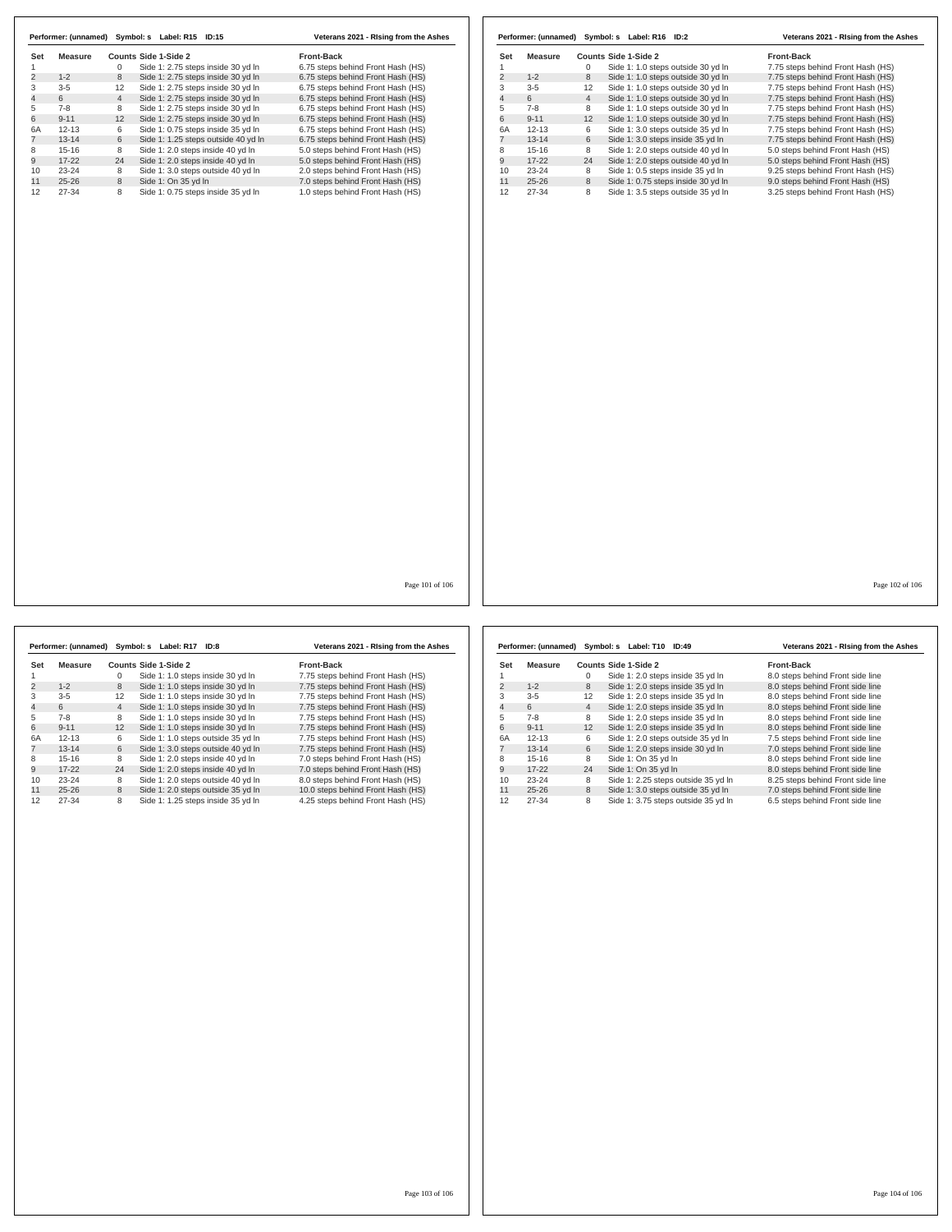| Set            | <b>Measure</b> |                | <b>Counts Side 1-Side 2</b> |                                     | <b>Front-Back</b>                 | Set |
|----------------|----------------|----------------|-----------------------------|-------------------------------------|-----------------------------------|-----|
|                |                | 0              |                             | Side 1: 2.75 steps inside 30 yd In  | 6.75 steps behind Front Hash (HS) | 1   |
| 2              | $1 - 2$        | 8              |                             | Side 1: 2.75 steps inside 30 yd In  | 6.75 steps behind Front Hash (HS) | 2   |
| 3              | $3 - 5$        | 12             |                             | Side 1: 2.75 steps inside 30 yd In  | 6.75 steps behind Front Hash (HS) | 3   |
|                | 6              | $\overline{4}$ |                             | Side 1: 2.75 steps inside 30 yd In  | 6.75 steps behind Front Hash (HS) | 4   |
|                | $7 - 8$        | 8              |                             | Side 1: 2.75 steps inside 30 yd In  | 6.75 steps behind Front Hash (HS) | 5   |
| 6              | $9 - 11$       | 12             |                             | Side 1: 2.75 steps inside 30 yd In  | 6.75 steps behind Front Hash (HS) | 6   |
| 6A             | $12 - 13$      | 6              |                             | Side 1: 0.75 steps inside 35 yd In  | 6.75 steps behind Front Hash (HS) | 6A  |
| $\overline{7}$ | $13 - 14$      | 6              |                             | Side 1: 1.25 steps outside 40 yd In | 6.75 steps behind Front Hash (HS) | 7   |
| 8              | $15 - 16$      | 8              |                             | Side 1: 2.0 steps inside 40 yd In   | 5.0 steps behind Front Hash (HS)  | 8   |
| 9              | $17 - 22$      | 24             |                             | Side 1: 2.0 steps inside 40 yd In   | 5.0 steps behind Front Hash (HS)  | 9   |
| 10             | $23 - 24$      | 8              |                             | Side 1: 3.0 steps outside 40 yd In  | 2.0 steps behind Front Hash (HS)  | 10  |
| 11             | $25 - 26$      | 8              | Side 1: On 35 yd In         |                                     | 7.0 steps behind Front Hash (HS)  | 11  |
| 12             | 27-34          | 8              |                             | Side 1: 0.75 steps inside 35 yd In  | 1.0 steps behind Front Hash (HS)  | 12  |
|                |                |                |                             |                                     |                                   |     |
|                |                |                |                             |                                     |                                   |     |
|                |                |                |                             |                                     |                                   |     |
|                |                |                |                             |                                     |                                   |     |
|                |                |                |                             |                                     |                                   |     |
|                |                |                |                             |                                     |                                   |     |
|                |                |                |                             |                                     |                                   |     |
|                |                |                |                             |                                     |                                   |     |

|                | Performer: (unnamed) |                | Symbol: s Label: R16 ID:2          |                                    | Veterans 2021 - Rising from the Ashes |
|----------------|----------------------|----------------|------------------------------------|------------------------------------|---------------------------------------|
| Set            | Measure              |                | Counts Side 1-Side 2               |                                    | <b>Front-Back</b>                     |
|                |                      | $\Omega$       |                                    | Side 1: 1.0 steps outside 30 yd In | 7.75 steps behind Front Hash (HS)     |
| $\overline{2}$ | $1 - 2$              | 8              |                                    | Side 1: 1.0 steps outside 30 yd In | 7.75 steps behind Front Hash (HS)     |
| 3              | $3 - 5$              | 12             |                                    | Side 1: 1.0 steps outside 30 yd In | 7.75 steps behind Front Hash (HS)     |
| 4              | 6                    | $\overline{4}$ |                                    | Side 1: 1.0 steps outside 30 yd In | 7.75 steps behind Front Hash (HS)     |
| 5              | $7 - 8$              | 8              |                                    | Side 1: 1.0 steps outside 30 yd In | 7.75 steps behind Front Hash (HS)     |
| 6              | $9 - 11$             | 12             |                                    | Side 1: 1.0 steps outside 30 yd In | 7.75 steps behind Front Hash (HS)     |
| 6A             | $12 - 13$            | 6              |                                    | Side 1: 3.0 steps outside 35 yd In | 7.75 steps behind Front Hash (HS)     |
|                | $13 - 14$            | 6              | Side 1: 3.0 steps inside 35 yd In  |                                    | 7.75 steps behind Front Hash (HS)     |
| 8              | $15 - 16$            | 8              |                                    | Side 1: 2.0 steps outside 40 vd In | 5.0 steps behind Front Hash (HS)      |
| 9              | $17 - 22$            | 24             |                                    | Side 1: 2.0 steps outside 40 yd In | 5.0 steps behind Front Hash (HS)      |
| 10             | $23 - 24$            | 8              | Side 1: 0.5 steps inside 35 yd In  |                                    | 9.25 steps behind Front Hash (HS)     |
| 11             | $25 - 26$            | 8              | Side 1: 0.75 steps inside 30 yd In |                                    | 9.0 steps behind Front Hash (HS)      |
| 12             | 27-34                | 8              | Side 1: 3.5 steps outside 35 yd In |                                    | 3.25 steps behind Front Hash (HS)     |

Page 101 of 106

**Set Measure Counts Side 1-Side 2 Front-Back**<br>
1 0 Side 1: 1.0 steps inside 30 yd In 7.75 steps b<br>
2 1-2 8 Side 1: 1.0 steps inside 30 yd In 7.75 steps b 1 0 Side 1: 1.0 steps inside 30 yd ln 7.75 steps behind Front Hash (HS) 2 1-2 8 Side 1: 1.0 steps inside 30 yd ln 7.75 steps behind Front Hash (HS) 3-5 12 Side 1: 1.0 steps inside 30 yd ln 7.75 steps behind Front Hash (HS) 4 6 4 Side 1: 1.0 steps inside 30 yd ln 7.75 steps behind Front Hash (HS) 7-8 8 Side 1: 1.0 steps inside 30 yd ln 7.75 steps behind Front Hash (HS) 6 9-11 12 Side 1: 1.0 steps inside 30 yd ln 7.75 steps behind Front Hash (HS) 6A 12-13 6 Side 1: 1.0 steps outside 35 yd ln 7.75 steps behind Front Hash (HS) 7 13-14 6 Side 1: 3.0 steps outside 40 yd ln 7.75 steps behind Front Hash (HS) 15-16 8 Side 1: 2.0 steps inside 40 yd ln 7.0 steps behind Front Hash (HS) 9 17-22 24 Side 1: 2.0 steps inside 40 yd ln 7.0 steps behind Front Hash (HS) 10 23-24 8 Side 1: 2.0 steps outside 40 yd In 8.0 steps behind Front Hash (HS)<br>11 25-26 8 Side 1: 2.0 steps outside 35 yd In 10.0 steps behind Front Hash (HS)<br>12 27-34 8 Side 1: 1.25 steps in **Performer: (unnamed) Symbol: s Label: R17 ID:8 Veterans 2021 - RIsing from the Ashes**

|     | Performer: (unnamed) |                   | Symbol: s Label: T10<br>ID:49       | Veterans 2021 - Rising from the Ashes |  |  |
|-----|----------------------|-------------------|-------------------------------------|---------------------------------------|--|--|
| Set | Measure              |                   | Counts Side 1-Side 2                | Front-Back                            |  |  |
|     |                      | 0                 | Side 1: 2.0 steps inside 35 yd In   | 8.0 steps behind Front side line      |  |  |
| 2   | $1 - 2$              | 8                 | Side 1: 2.0 steps inside 35 yd In   | 8.0 steps behind Front side line      |  |  |
| 3   | $3 - 5$              | $12 \overline{ }$ | Side 1: 2.0 steps inside 35 yd In   | 8.0 steps behind Front side line      |  |  |
| 4   | 6                    | $\overline{4}$    | Side 1: 2.0 steps inside 35 yd In   | 8.0 steps behind Front side line      |  |  |
| 5   | $7 - 8$              | 8                 | Side 1: 2.0 steps inside 35 yd In   | 8.0 steps behind Front side line      |  |  |
| 6   | $9 - 11$             | 12                | Side 1: 2.0 steps inside 35 yd In   | 8.0 steps behind Front side line      |  |  |
| 6A  | $12 - 13$            | 6                 | Side 1: 2.0 steps outside 35 yd In  | 7.5 steps behind Front side line      |  |  |
|     | $13 - 14$            | 6                 | Side 1: 2.0 steps inside 30 yd In   | 7.0 steps behind Front side line      |  |  |
| 8   | $15-16$              | 8                 | Side 1: On 35 vd In                 | 8.0 steps behind Front side line      |  |  |
| 9   | $17-22$              | 24                | Side 1: On 35 yd In                 | 8.0 steps behind Front side line      |  |  |
| 10  | $23 - 24$            | 8                 | Side 1: 2.25 steps outside 35 yd In | 8.25 steps behind Front side line     |  |  |
| 11  | $25 - 26$            | 8                 | Side 1: 3.0 steps outside 35 yd In  | 7.0 steps behind Front side line      |  |  |
| 12  | 27-34                | 8                 | Side 1: 3.75 steps outside 35 yd In | 6.5 steps behind Front side line      |  |  |

Page 102 of 106